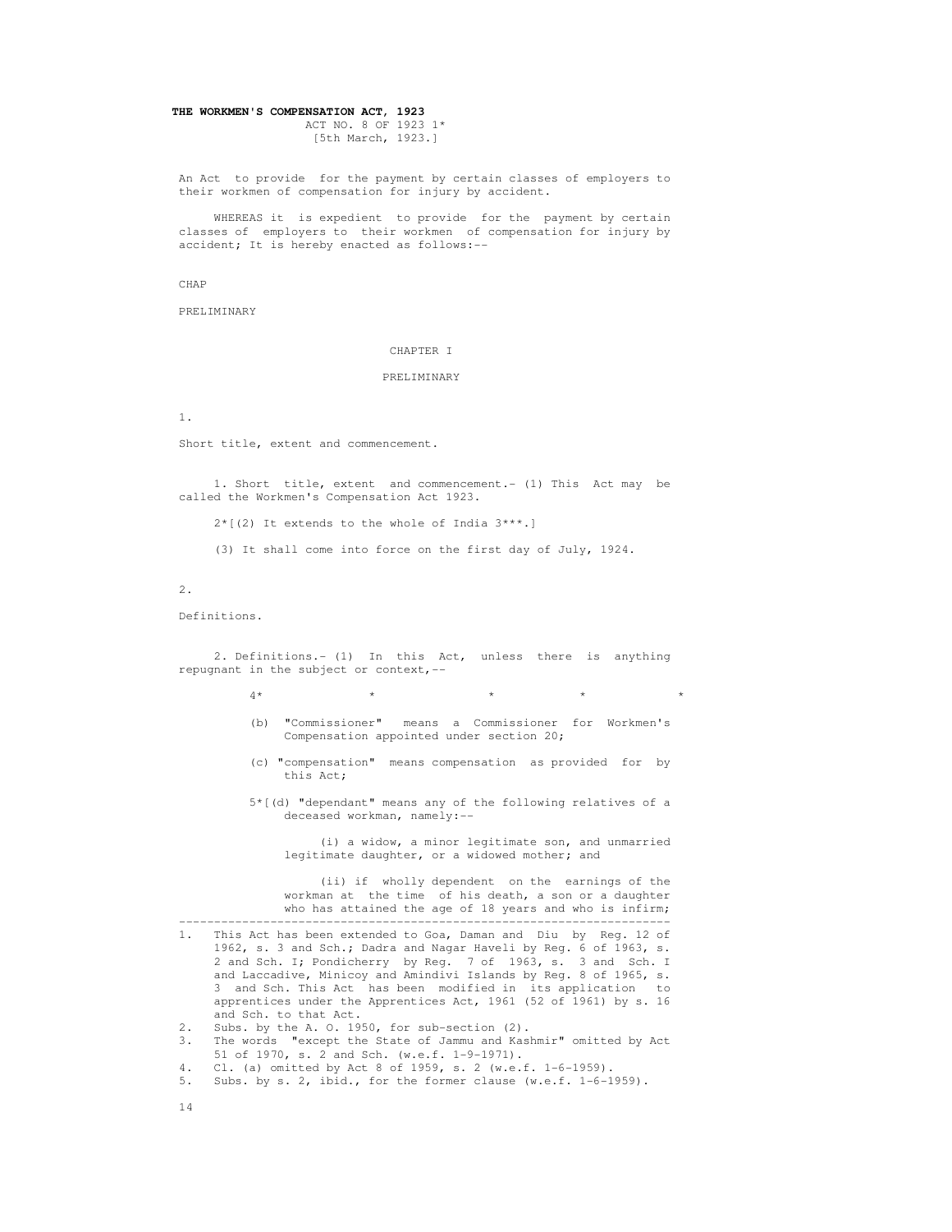# **THE WORKMEN'S COMPENSATION ACT, 1923** ACT NO. 8 OF 1923 1\*

[5th March, 1923.]

 An Act to provide for the payment by certain classes of employers to their workmen of compensation for injury by accident.

 WHEREAS it is expedient to provide for the payment by certain classes of employers to their workmen of compensation for injury by accident; It is hereby enacted as follows:--

CHAP

PRELIMINARY

## CHAPTER I

## PRELIMINARY

1.

Short title, extent and commencement.

 1. Short title, extent and commencement.- (1) This Act may be called the Workmen's Compensation Act 1923.

2\*[(2) It extends to the whole of India 3\*\*\*.]

(3) It shall come into force on the first day of July, 1924.

2.

Definitions.

 2. Definitions.- (1) In this Act, unless there is anything repugnant in the subject or context,--

 $4*$  \* \* \* \* \* \* \*

- (b) "Commissioner" means a Commissioner for Workmen's Compensation appointed under section 20;
- (c) "compensation" means compensation as provided for by this Act;
- 5\*[(d) "dependant" means any of the following relatives of a deceased workman, namely:--

 (i) a widow, a minor legitimate son, and unmarried legitimate daughter, or a widowed mother; and

 (ii) if wholly dependent on the earnings of the workman at the time of his death, a son or a daughter who has attained the age of 18 years and who is infirm; ----------------------------------------------------------------------

- 1. This Act has been extended to Goa, Daman and Diu by Reg. 12 of 1962, s. 3 and Sch.; Dadra and Nagar Haveli by Reg. 6 of 1963, s. 2 and Sch. I; Pondicherry by Reg. 7 of 1963, s. 3 and Sch. I and Laccadive, Minicoy and Amindivi Islands by Reg. 8 of 1965, s. 3 and Sch. This Act has been modified in its application to apprentices under the Apprentices Act, 1961 (52 of 1961) by s. 16 and Sch. to that Act.
- 2. Subs. by the A. O. 1950, for sub-section (2).
- 3. The words "except the State of Jammu and Kashmir" omitted by Act 51 of 1970, s. 2 and Sch. (w.e.f. 1-9-1971).<br>4. Cl. (a) omitted by Act 8 of 1959, s. 2 (w.e.
- Cl. (a) omitted by Act 8 of 1959, s. 2 (w.e.f. 1-6-1959).
- 5. Subs. by s. 2, ibid., for the former clause (w.e.f. 1-6-1959).
- 14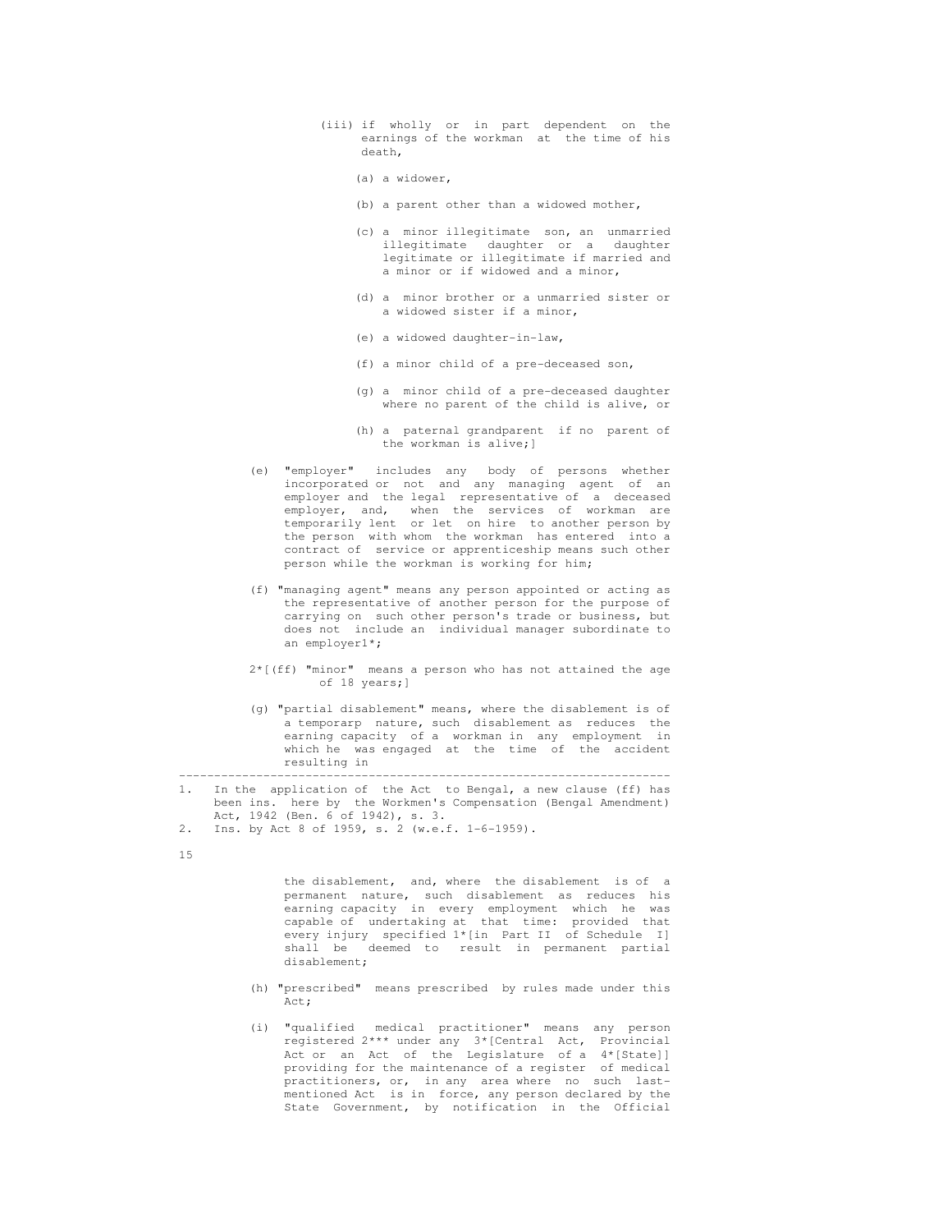- (iii) if wholly or in part dependent on the earnings of the workman at the time of his death,
	- (a) a widower,
	- (b) a parent other than a widowed mother,
	- (c) a minor illegitimate son, an unmarried illegitimate daughter or a daughter legitimate or illegitimate if married and a minor or if widowed and a minor,
	- (d) a minor brother or a unmarried sister or a widowed sister if a minor,
	- (e) a widowed daughter-in-law,
	- (f) a minor child of a pre-deceased son,
	- (g) a minor child of a pre-deceased daughter where no parent of the child is alive, or
	- (h) a paternal grandparent if no parent of the workman is alive;]
- (e) "employer" includes any body of persons whether incorporated or not and any managing agent of an employer and the legal representative of a deceased employer, and, when the services of workman are temporarily lent or let on hire to another person by the person with whom the workman has entered into a contract of service or apprenticeship means such other person while the workman is working for him;
	- (f) "managing agent" means any person appointed or acting as the representative of another person for the purpose of carrying on such other person's trade or business, but does not include an individual manager subordinate to an employer1\*;
	- 2\*[(ff) "minor" means a person who has not attained the age of 18 years;]
- (g) "partial disablement" means, where the disablement is of a temporarp nature, such disablement as reduces the earning capacity of a workman in any employment in which he was engaged at the time of the accident resulting in

 ---------------------------------------------------------------------- 1. In the application of the Act to Bengal, a new clause (ff) has been ins. here by the Workmen's Compensation (Bengal Amendment) Act, 1942 (Ben. 6 of 1942), s. 3.<br>2 Ins by Act 8 of 1959 s. 2 (we)

2. Ins. by Act 8 of 1959, s. 2 (w.e.f. 1-6-1959).

15

 the disablement, and, where the disablement is of a permanent nature, such disablement as reduces his earning capacity in every employment which he was capable of undertaking at that time: provided that every injury specified 1\*[in Part II of Schedule I] shall be deemed to result in permanent partial disablement;

- (h) "prescribed" means prescribed by rules made under this Act:
- (i) "qualified medical practitioner" means any person registered 2\*\*\* under any 3\*[Central Act, Provincial Act or an Act of the Legislature of a 4\*[State]] providing for the maintenance of a register of medical practitioners, or, in any area where no such last mentioned Act is in force, any person declared by the State Government, by notification in the Official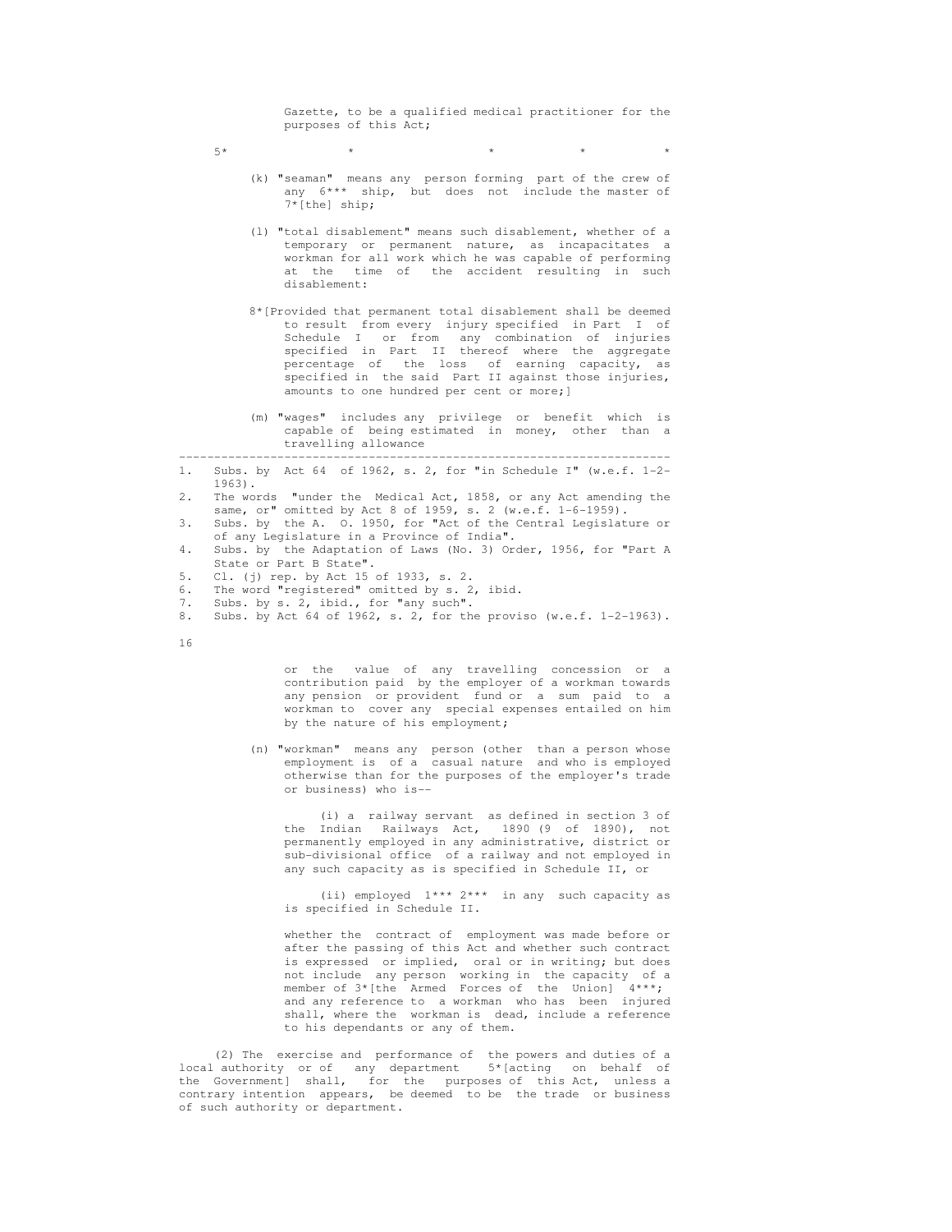Gazette, to be a qualified medical practitioner for the purposes of this Act;

- $5*$  \* \* \* \* \* \* \*
	- (k) "seaman" means any person forming part of the crew of any  $6***$  ship, but does not include the master of 7\*[the] ship;
	- (l) "total disablement" means such disablement, whether of a temporary or permanent nature, as incapacitates a workman for all work which he was capable of performing at the time of the accident resulting in such disablement:
- 8\*[Provided that permanent total disablement shall be deemed to result from every injury specified in Part I of Schedule I or from any combination of injuries specified in Part II thereof where the aggregate percentage of the loss of earning capacity, as specified in the said Part II against those injuries, amounts to one hundred per cent or more;]
	- (m) "wages" includes any privilege or benefit which is capable of being estimated in money, other than a travelling allowance
- ---------------------------------------------------------------------- 1. Subs. by Act 64 of 1962, s. 2, for "in Schedule I" (w.e.f. 1-2- 1963).
- 2. The words "under the Medical Act, 1858, or any Act amending the same, or" omitted by Act 8 of 1959, s. 2 (w.e.f. 1-6-1959).
- 3. Subs. by the A. O. 1950, for "Act of the Central Legislature or of any Legislature in a Province of India".<br>4. Subs. by the Adaptation of Laws (No. 3) Org
- Subs. by the Adaptation of Laws (No. 3) Order, 1956, for "Part A State or Part B State".<br>5. Cl. (i) rep. by Act 15
- 5. Cl. (j) rep. by Act 15 of 1933, s. 2.
- 6. The word "registered" omitted by s. 2, ibid.
- 7. Subs. by s. 2, ibid., for "any such".<br>8. Subs. by Act 64 of 1962. s. 2. for th
- Subs. by Act 64 of 1962, s. 2, for the proviso (w.e.f.  $1-2-1963$ ).
- 16

 or the value of any travelling concession or a contribution paid by the employer of a workman towards any pension or provident fund or a sum paid to a workman to cover any special expenses entailed on him by the nature of his employment;

 (n) "workman" means any person (other than a person whose employment is of a casual nature and who is employed otherwise than for the purposes of the employer's trade or business) who is--

 (i) a railway servant as defined in section 3 of the Indian Railways Act, 1890 (9 of 1890), not permanently employed in any administrative, district or sub-divisional office of a railway and not employed in any such capacity as is specified in Schedule II, or

 (ii) employed 1\*\*\* 2\*\*\* in any such capacity as is specified in Schedule II.

 whether the contract of employment was made before or after the passing of this Act and whether such contract is expressed or implied, oral or in writing; but does not include any person working in the capacity of a member of  $3*($ the Armed Forces of the Union]  $4***;$  and any reference to a workman who has been injured shall, where the workman is dead, include a reference to his dependants or any of them.

 (2) The exercise and performance of the powers and duties of a local authority or of any department 5\* [acting on behalf of the Government] shall, for the purposes of this Act, unless a contrary intention appears, be deemed to be the trade or business of such authority or department.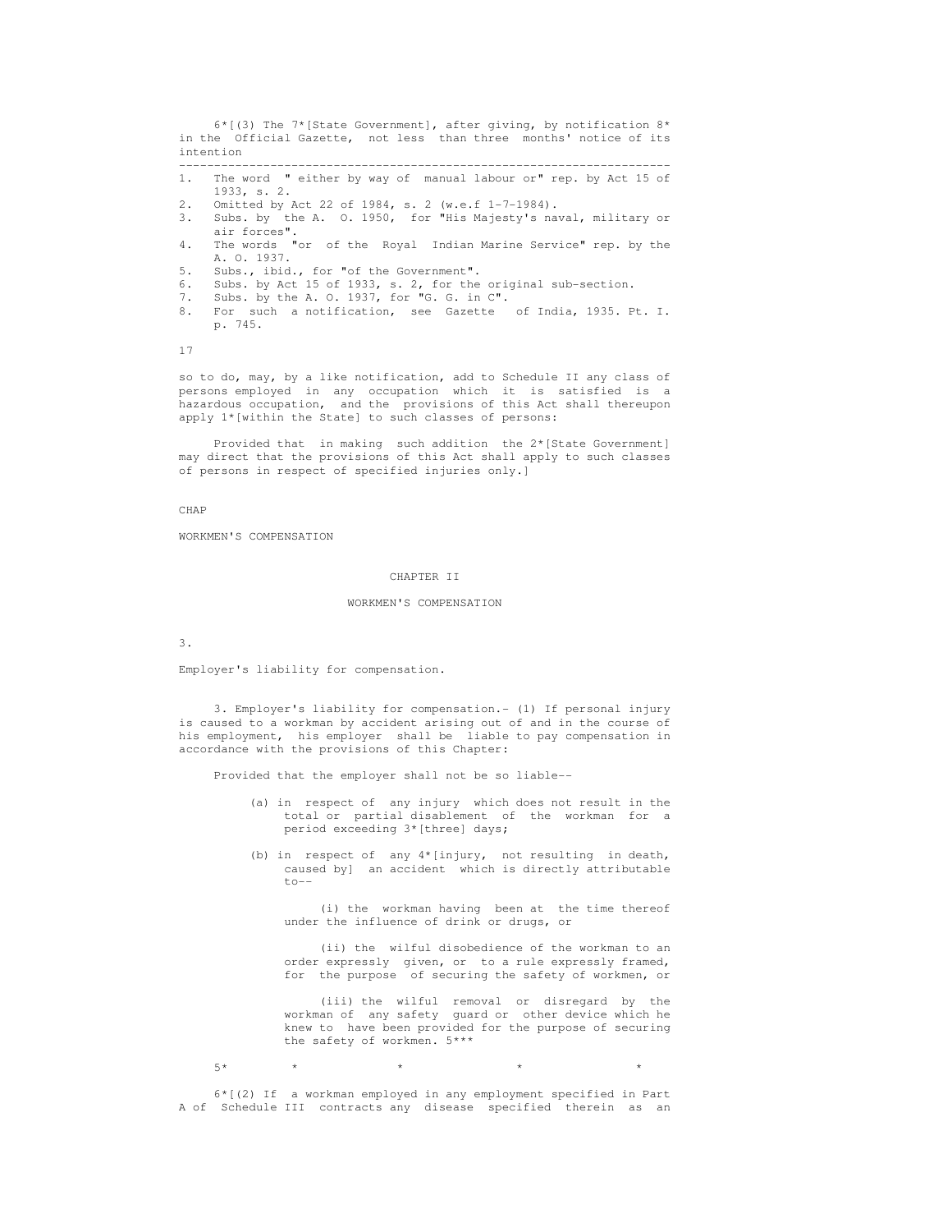6\*[(3) The 7\*[State Government], after giving, by notification 8\* in the Official Gazette, not less than three months' notice of its intention ----------------------------------------------------------------------

- 1. The word " either by way of manual labour or" rep. by Act 15 of 1933, s. 2.
- 2. Omitted by Act 22 of 1984, s. 2 (w.e.f 1-7-1984).
- 3. Subs. by the A. O. 1950, for "His Majesty's naval, military or air forces".
- 4. The words "or of the Royal Indian Marine Service" rep. by the A. O. 1937.<br>5. Subs., ibid.
- 5. Subs., ibid., for "of the Government".
- 6. Subs. by Act 15 of 1933, s. 2, for the original sub-section.
- 7. Subs. by the A. O. 1937, for "G. G. in C".
- 8. For such a notification, see Gazette of India, 1935. Pt. I. p. 745.

17

 so to do, may, by a like notification, add to Schedule II any class of persons employed in any occupation which it is satisfied is a hazardous occupation, and the provisions of this Act shall thereupon apply 1\*[within the State] to such classes of persons:

 Provided that in making such addition the 2\*[State Government] may direct that the provisions of this Act shall apply to such classes of persons in respect of specified injuries only.]

CHAP

WORKMEN'S COMPENSATION

## CHAPTER II

#### WORKMEN'S COMPENSATION

3.

Employer's liability for compensation.

 3. Employer's liability for compensation.- (1) If personal injury is caused to a workman by accident arising out of and in the course of his employment, his employer shall be liable to pay compensation in accordance with the provisions of this Chapter:

Provided that the employer shall not be so liable--

- (a) in respect of any injury which does not result in the total or partial disablement of the workman for a period exceeding 3\*[three] days;
- (b) in respect of any 4\*[injury, not resulting in death, caused by] an accident which is directly attributable  $to --$

 (i) the workman having been at the time thereof under the influence of drink or drugs, or

 (ii) the wilful disobedience of the workman to an order expressly given, or to a rule expressly framed, for the purpose of securing the safety of workmen, or

> (iii) the wilful removal or disregard by the workman of any safety guard or other device which he knew to have been provided for the purpose of securing the safety of workmen. 5\*\*\*

 $5*$  \* \* \* \* \* \* \* \*

 6\*[(2) If a workman employed in any employment specified in Part A of Schedule III contracts any disease specified therein as an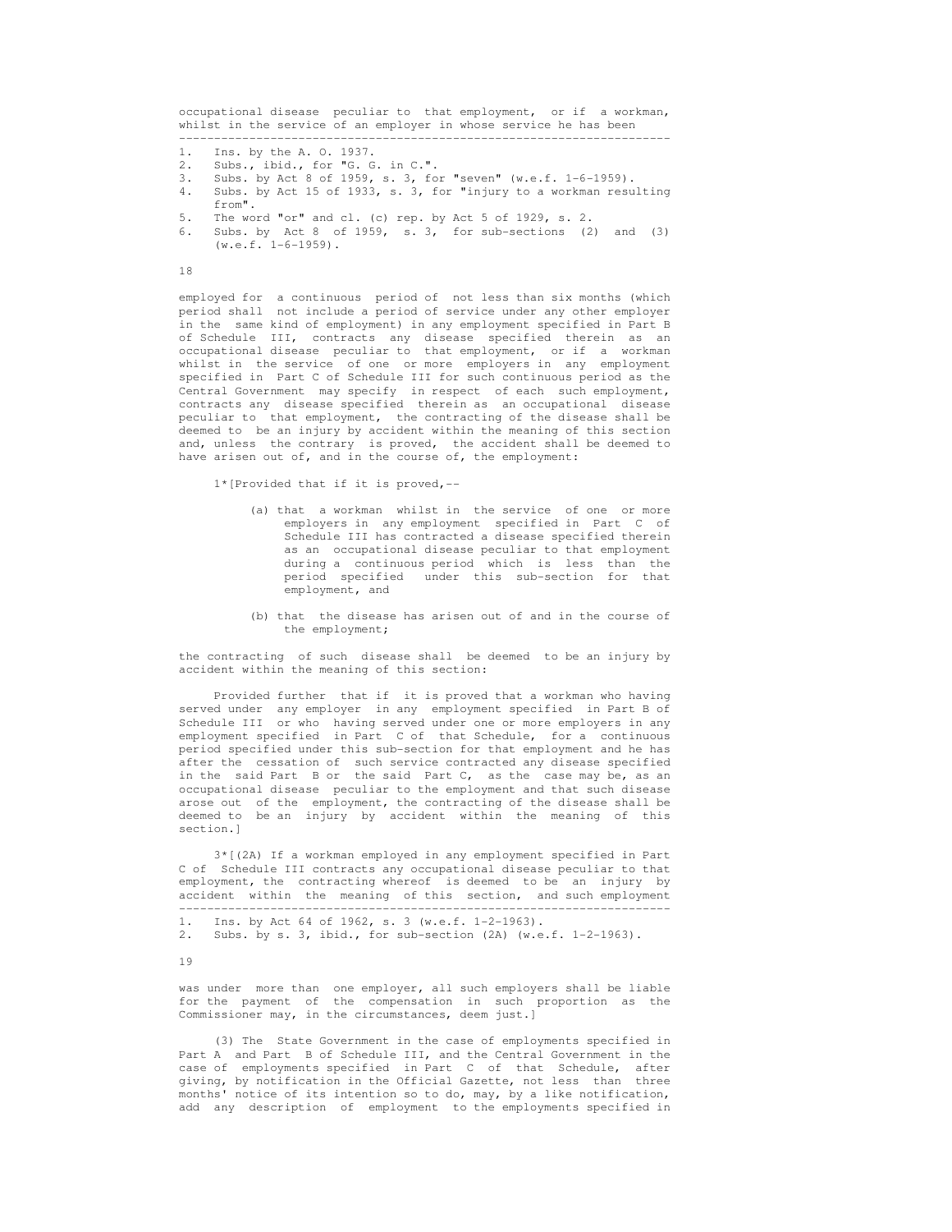occupational disease peculiar to that employment, or if a workman, whilst in the service of an employer in whose service he has been ----------------------------------------------------------------------

- 1. Ins. by the A. O. 1937.<br>2. Subs., ibid., for "G. G.
- Subs., ibid., for "G. G. in C.".
- 3. Subs. by Act 8 of 1959, s. 3, for "seven" (w.e.f. 1-6-1959).
- 4. Subs. by Act 15 of 1933, s. 3, for "injury to a workman resulting
- from".<br>5. The wo 5. The word "or" and cl. (c) rep. by Act 5 of 1929, s. 2.<br>6. Subs. by Act 8 of 1959, s. 3 for sub-sections (2)
- Subs. by Act 8 of 1959, s.  $3,$  for sub-sections (2) and (3)  $(w.e.f. 1-6-1959)$ .

# 18

 employed for a continuous period of not less than six months (which period shall not include a period of service under any other employer in the same kind of employment) in any employment specified in Part B of Schedule III, contracts any disease specified therein as an occupational disease peculiar to that employment, or if a workman whilst in the service of one or more employers in any employment specified in Part C of Schedule III for such continuous period as the Central Government may specify in respect of each such employment, contracts any disease specified therein as an occupational disease peculiar to that employment, the contracting of the disease shall be deemed to be an injury by accident within the meaning of this section and, unless the contrary is proved, the accident shall be deemed to have arisen out of, and in the course of, the employment:

1\*[Provided that if it is proved,--

- (a) that a workman whilst in the service of one or more employers in any employment specified in Part C of Schedule III has contracted a disease specified therein as an occupational disease peculiar to that employment during a continuous period which is less than the period specified under this sub-section for that employment, and
- (b) that the disease has arisen out of and in the course of the employment;

 the contracting of such disease shall be deemed to be an injury by accident within the meaning of this section:

 Provided further that if it is proved that a workman who having served under any employer in any employment specified in Part B of Schedule III or who having served under one or more employers in any employment specified in Part C of that Schedule, for a continuous period specified under this sub-section for that employment and he has after the cessation of such service contracted any disease specified in the said Part B or the said Part C, as the case may be, as an occupational disease peculiar to the employment and that such disease arose out of the employment, the contracting of the disease shall be deemed to be an injury by accident within the meaning of this section.]

 3\*[(2A) If a workman employed in any employment specified in Part C of Schedule III contracts any occupational disease peculiar to that employment, the contracting whereof is deemed to be an injury by accident within the meaning of this section, and such employment

2. Subs. by s. 3, ibid., for sub-section (2A) (w.e.f. 1-2-1963).

19

 was under more than one employer, all such employers shall be liable for the payment of the compensation in such proportion as the Commissioner may, in the circumstances, deem just.]

 (3) The State Government in the case of employments specified in Part A and Part B of Schedule III, and the Central Government in the case of employments specified in Part C of that Schedule, after giving, by notification in the Official Gazette, not less than three months' notice of its intention so to do, may, by a like notification, add any description of employment to the employments specified in

 <sup>----------------------------------------------------------------------</sup>  1. Ins. by Act 64 of 1962, s. 3 (w.e.f. 1-2-1963).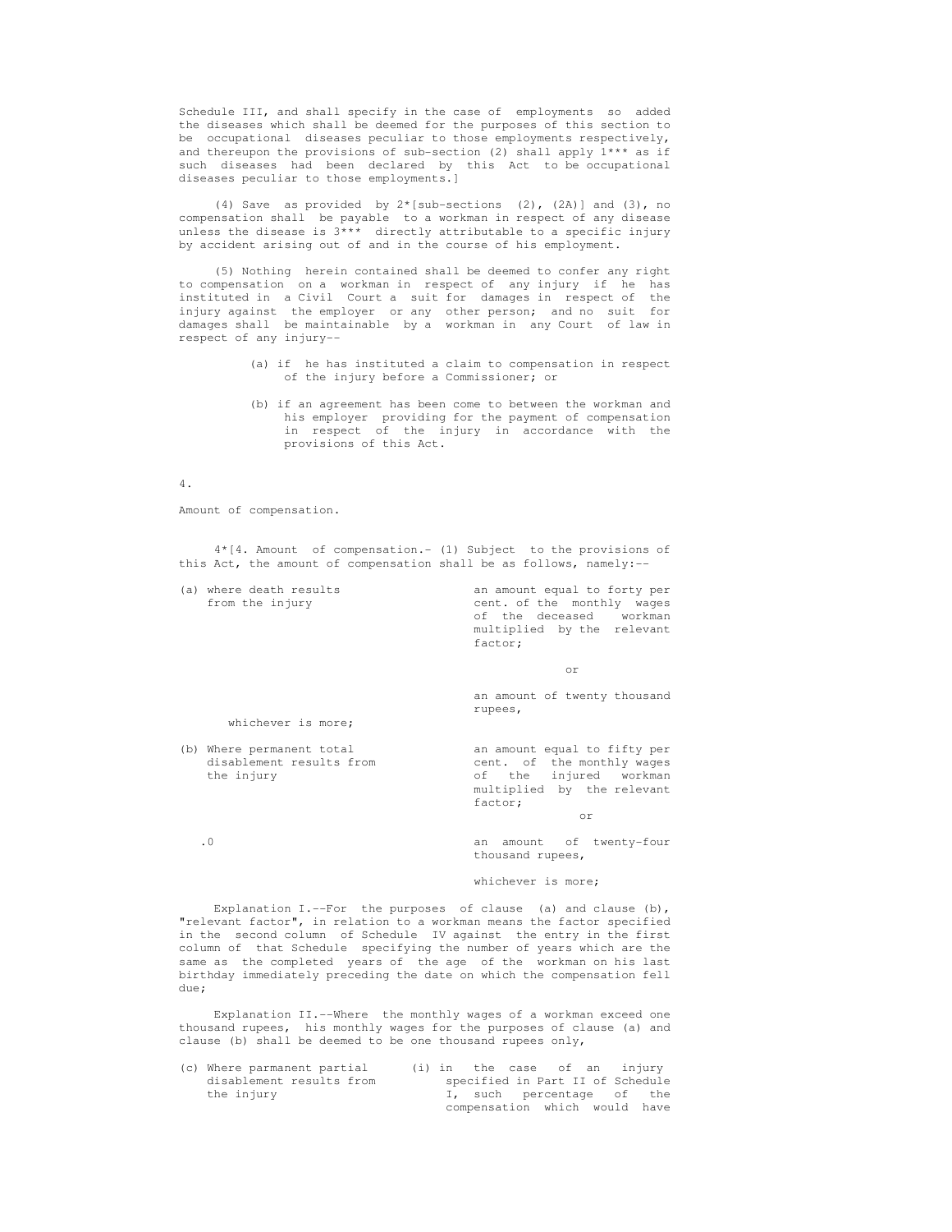Schedule III, and shall specify in the case of employments so added the diseases which shall be deemed for the purposes of this section to be occupational diseases peculiar to those employments respectively, and thereupon the provisions of sub-section (2) shall apply  $1***$  as if such diseases had been declared by this Act to be occupational diseases peculiar to those employments.]

 (4) Save as provided by 2\*[sub-sections (2), (2A)] and (3), no compensation shall be payable to a workman in respect of any disease unless the disease is  $3***$  directly attributable to a specific injury by accident arising out of and in the course of his employment.

 (5) Nothing herein contained shall be deemed to confer any right to compensation on a workman in respect of any injury if he has instituted in a Civil Court a suit for damages in respect of the injury against the employer or any other person; and no suit for damages shall be maintainable by a workman in any Court of law in respect of any injury--

- (a) if he has instituted a claim to compensation in respect of the injury before a Commissioner; or
- (b) if an agreement has been come to between the workman and his employer providing for the payment of compensation in respect of the injury in accordance with the provisions of this Act.

## 4.

Amount of compensation.

 4\*[4. Amount of compensation.- (1) Subject to the provisions of this Act, the amount of compensation shall be as follows, namely:--

 (a) where death results an amount equal to forty per from the injury cent. of the monthly wages<br>of the deceased workman of the deceased multiplied by the relevant factor;

or

 an amount of twenty thousand rupees,

whichever is more;

(b) Where permanent total an amount equal to fifty per

disablement results from  $\qquad \qquad \text{cent.} \quad \text{of} \quad \text{the monthly wages}$  the injury of the injured workman multiplied by the relevant factor;

or

 .0 an amount of twenty-four thousand rupees,

## whichever is more;

Explanation I.--For the purposes of clause (a) and clause (b), "relevant factor", in relation to a workman means the factor specified in the second column of Schedule IV against the entry in the first column of that Schedule specifying the number of years which are the same as the completed years of the age of the workman on his last birthday immediately preceding the date on which the compensation fell due;

 Explanation II.--Where the monthly wages of a workman exceed one thousand rupees, his monthly wages for the purposes of clause (a) and clause (b) shall be deemed to be one thousand rupees only,

| (c) Where parmanent partial |  | (i) in the case of an injury     |  |  |
|-----------------------------|--|----------------------------------|--|--|
| disablement results from    |  | specified in Part II of Schedule |  |  |
| the injury                  |  | I, such percentage of the        |  |  |
|                             |  | compensation which would have    |  |  |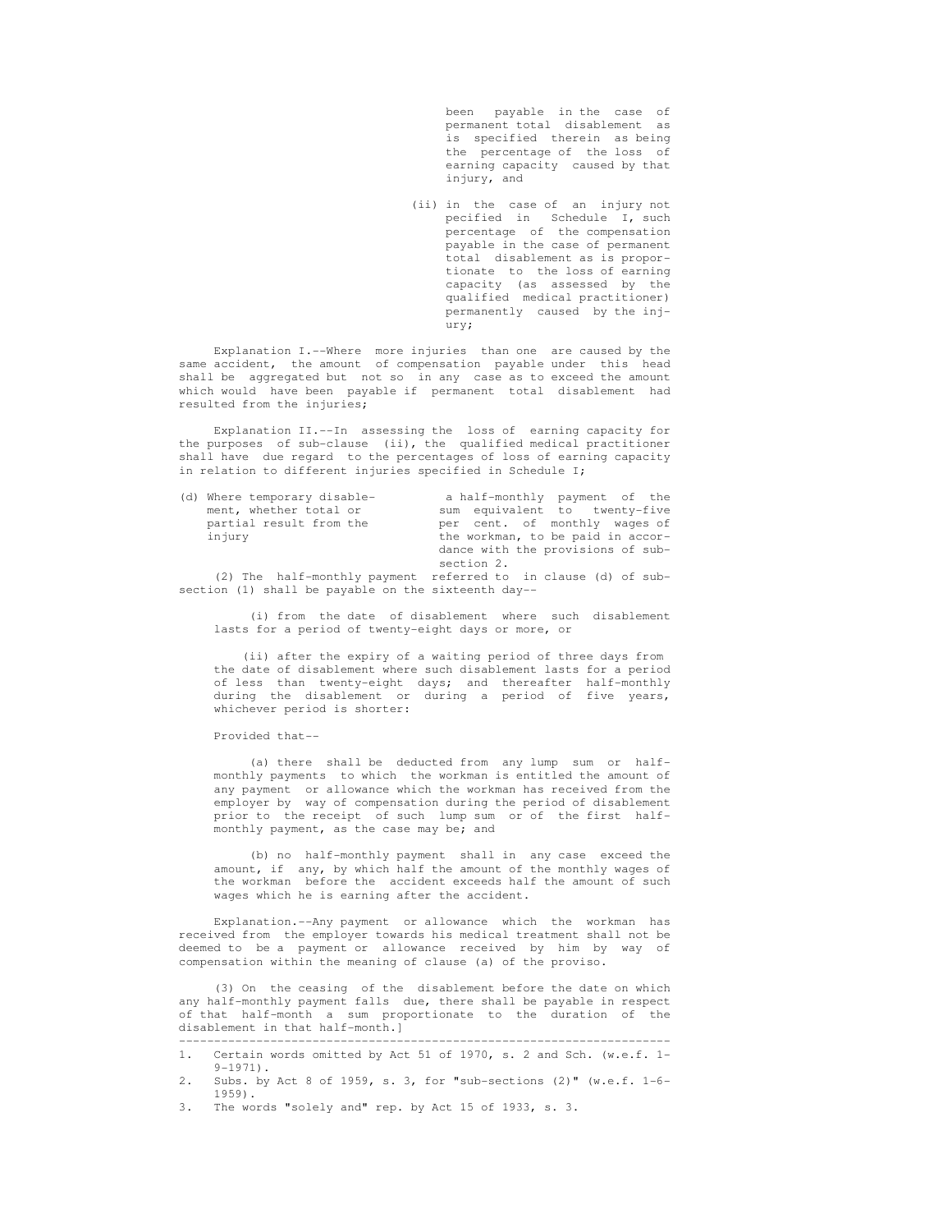been payable in the case of permanent total disablement as is specified therein as being the percentage of the loss of earning capacity caused by that injury, and

 (ii) in the case of an injury not pecified in Schedule I, such percentage of the compensation payable in the case of permanent total disablement as is propor tionate to the loss of earning capacity (as assessed by the qualified medical practitioner) permanently caused by the inj ury;

 Explanation I.--Where more injuries than one are caused by the same accident, the amount of compensation payable under this head shall be aggregated but not so in any case as to exceed the amount which would have been payable if permanent total disablement had resulted from the injuries;

 Explanation II.--In assessing the loss of earning capacity for the purposes of sub-clause (ii), the qualified medical practitioner shall have due regard to the percentages of loss of earning capacity in relation to different injuries specified in Schedule I;

| (d) Where temporary disable- | a half-monthly payment of the                                  |
|------------------------------|----------------------------------------------------------------|
| ment, whether total or       | sum equivalent to twenty-five                                  |
| partial result from the      | per cent. of monthly wages of                                  |
| injury                       | the workman, to be paid in accor-                              |
|                              | dance with the provisions of sub-                              |
|                              | section 2.                                                     |
|                              | (2) The half-monthly payment referred to in clause (d) of sub- |

section (1) shall be payable on the sixteenth day--

 (i) from the date of disablement where such disablement lasts for a period of twenty-eight days or more, or

 (ii) after the expiry of a waiting period of three days from the date of disablement where such disablement lasts for a period of less than twenty-eight days; and thereafter half-monthly during the disablement or during a period of five years, whichever period is shorter:

Provided that--

 (a) there shall be deducted from any lump sum or half monthly payments to which the workman is entitled the amount of any payment or allowance which the workman has received from the employer by way of compensation during the period of disablement prior to the receipt of such lump sum or of the first half monthly payment, as the case may be; and

 (b) no half-monthly payment shall in any case exceed the amount, if any, by which half the amount of the monthly wages of the workman before the accident exceeds half the amount of such wages which he is earning after the accident.

 Explanation.--Any payment or allowance which the workman has received from the employer towards his medical treatment shall not be deemed to be a payment or allowance received by him by way of compensation within the meaning of clause (a) of the proviso.

 (3) On the ceasing of the disablement before the date on which any half-monthly payment falls due, there shall be payable in respect of that half-month a sum proportionate to the duration of the disablement in that half-month.]

3. The words "solely and" rep. by Act 15 of 1933, s. 3.

 <sup>----------------------------------------------------------------------</sup>  1. Certain words omitted by Act 51 of 1970, s. 2 and Sch. (w.e.f. 1-

 $9-1971$ ).<br>2. Subs. by 2. Subs. by Act 8 of 1959, s. 3, for "sub-sections (2)" (w.e.f. 1-6- 1959).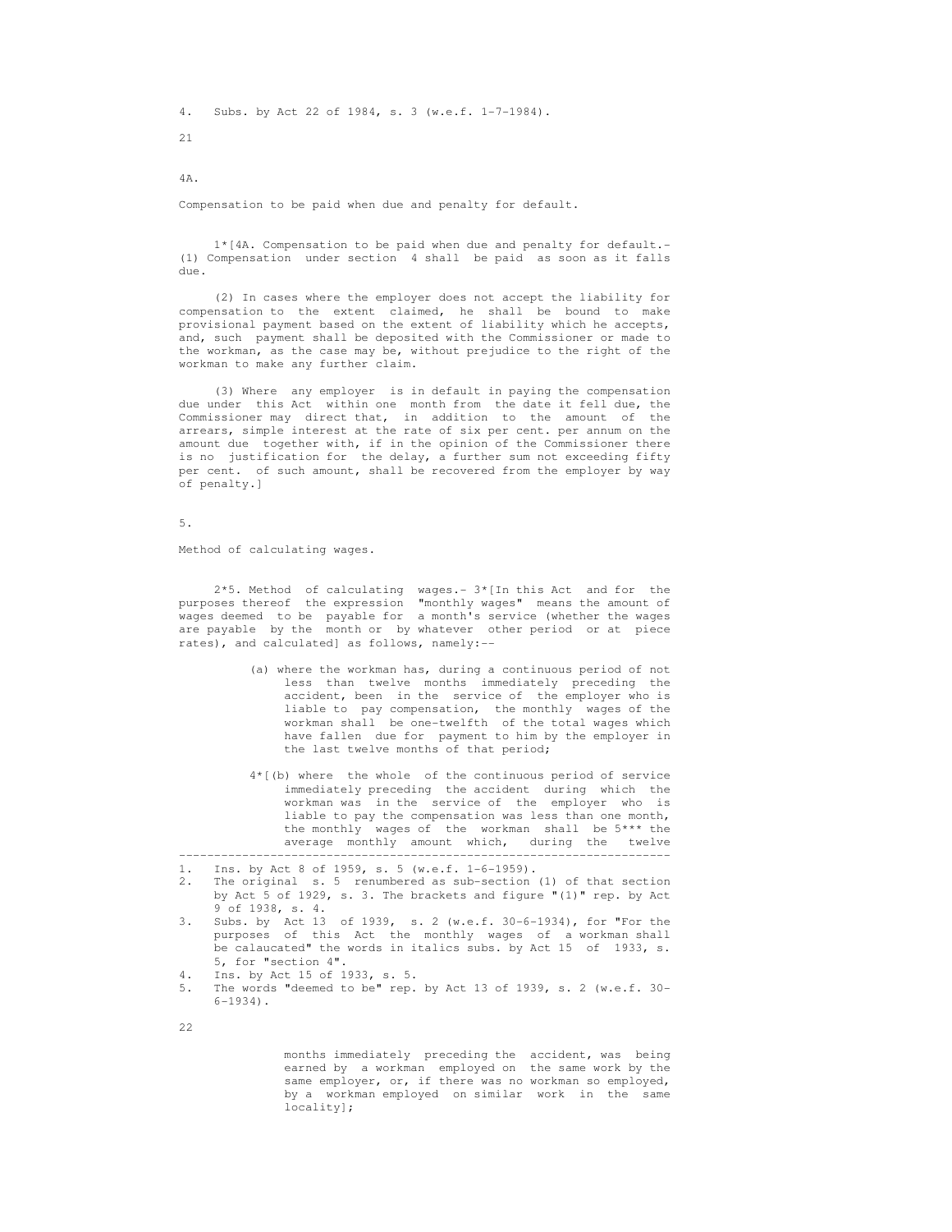4. Subs. by Act 22 of 1984, s. 3 (w.e.f. 1-7-1984).

21

4A.

Compensation to be paid when due and penalty for default.

 1\*[4A. Compensation to be paid when due and penalty for default.- (1) Compensation under section 4 shall be paid as soon as it falls due.

 (2) In cases where the employer does not accept the liability for compensation to the extent claimed, he shall be bound to make provisional payment based on the extent of liability which he accepts, and, such payment shall be deposited with the Commissioner or made to the workman, as the case may be, without prejudice to the right of the workman to make any further claim.

 (3) Where any employer is in default in paying the compensation due under this Act within one month from the date it fell due, the Commissioner may direct that, in addition to the amount of the arrears, simple interest at the rate of six per cent. per annum on the amount due together with, if in the opinion of the Commissioner there is no justification for the delay, a further sum not exceeding fifty per cent. of such amount, shall be recovered from the employer by way of penalty.]

5.

Method of calculating wages.

 2\*5. Method of calculating wages.- 3\*[In this Act and for the purposes thereof the expression "monthly wages" means the amount of wages deemed to be payable for a month's service (whether the wages are payable by the month or by whatever other period or at piece rates), and calculated] as follows, namely:--

- (a) where the workman has, during a continuous period of not less than twelve months immediately preceding the accident, been in the service of the employer who is liable to pay compensation, the monthly wages of the workman shall be one-twelfth of the total wages which have fallen due for payment to him by the employer in the last twelve months of that period;
- 4\*[(b) where the whole of the continuous period of service immediately preceding the accident during which the workman was in the service of the employer who is liable to pay the compensation was less than one month, the monthly wages of the workman shall be 5\*\*\* the average monthly amount which, during the twelve

 2. The original s. 5 renumbered as sub-section (1) of that section by Act 5 of 1929, s. 3. The brackets and figure "(1)" rep. by Act 9 of 1938, s. 4.

----------------------------------------------------------------------

- 3. Subs. by Act 13 of 1939, s. 2 (w.e.f. 30-6-1934), for "For the purposes of this Act the monthly wages of a workman shall be calaucated" the words in italics subs. by Act 15 of 1933, s. 5, for "section 4".
- 4. Ins. by Act 15 of 1933, s. 5.
- 5. The words "deemed to be" rep. by Act 13 of 1939, s. 2 (w.e.f. 30-  $6-1934$ .
- 22

 months immediately preceding the accident, was being earned by a workman employed on the same work by the same employer, or, if there was no workman so employed, by a workman employed on similar work in the same locality];

 <sup>1.</sup> Ins. by Act 8 of 1959, s. 5 (w.e.f. 1-6-1959).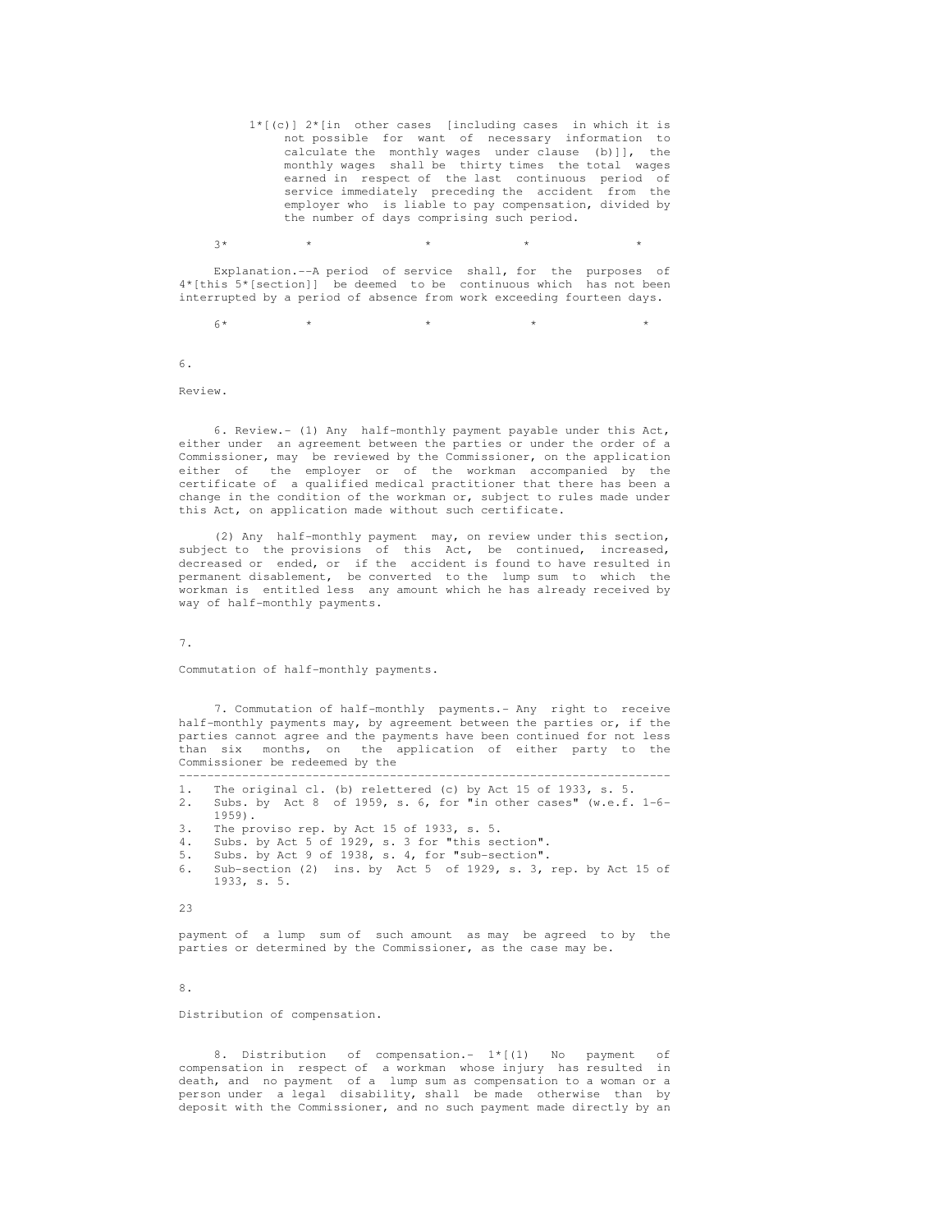1\*[(c)] 2\*[in other cases [including cases in which it is not possible for want of necessary information to calculate the monthly wages under clause (b)]], the monthly wages shall be thirty times the total wages earned in respect of the last continuous period of service immediately preceding the accident from the employer who is liable to pay compensation, divided by the number of days comprising such period.

 $3*$  \* \* \* \* \* \* \* \*

 Explanation.--A period of service shall, for the purposes of 4\*[this 5\*[section]] be deemed to be continuous which has not been interrupted by a period of absence from work exceeding fourteen days.

 $6*$  \* \* \* \* \* \* \* \*

6.

Review.

 6. Review.- (1) Any half-monthly payment payable under this Act, either under an agreement between the parties or under the order of a Commissioner, may be reviewed by the Commissioner, on the application either of the employer or of the workman accompanied by the certificate of a qualified medical practitioner that there has been a change in the condition of the workman or, subject to rules made under this Act, on application made without such certificate.

 (2) Any half-monthly payment may, on review under this section, subject to the provisions of this Act, be continued, increased, decreased or ended, or if the accident is found to have resulted in permanent disablement, be converted to the lump sum to which the workman is entitled less any amount which he has already received by way of half-monthly payments.

7.

Commutation of half-monthly payments.

 7. Commutation of half-monthly payments.- Any right to receive half-monthly payments may, by agreement between the parties or, if the parties cannot agree and the payments have been continued for not less than six months, on the application of either party to the Commissioner be redeemed by the

 ---------------------------------------------------------------------- 1. The original cl. (b) relettered (c) by Act 15 of 1933, s. 5.

- 2. Subs. by Act 8 of 1959, s. 6, for "in other cases" (w.e.f. 1-6-
- $1959$ ).<br>3 Thenro The proviso rep. by Act 15 of 1933, s. 5.
- 4. Subs. by Act 5 of 1929, s. 3 for "this section".
- 5. Subs. by Act 9 of 1938, s. 4, for "sub-section".
- 6. Sub-section (2) ins. by Act 5 of 1929, s. 3, rep. by Act 15 of 1933, s. 5.

23

 payment of a lump sum of such amount as may be agreed to by the parties or determined by the Commissioner, as the case may be.

8.

Distribution of compensation.

8. Distribution of compensation.-  $1*(1)$  No payment compensation in respect of a workman whose injury has resulted in death, and no payment of a lump sum as compensation to a woman or a person under a legal disability, shall be made otherwise than by deposit with the Commissioner, and no such payment made directly by an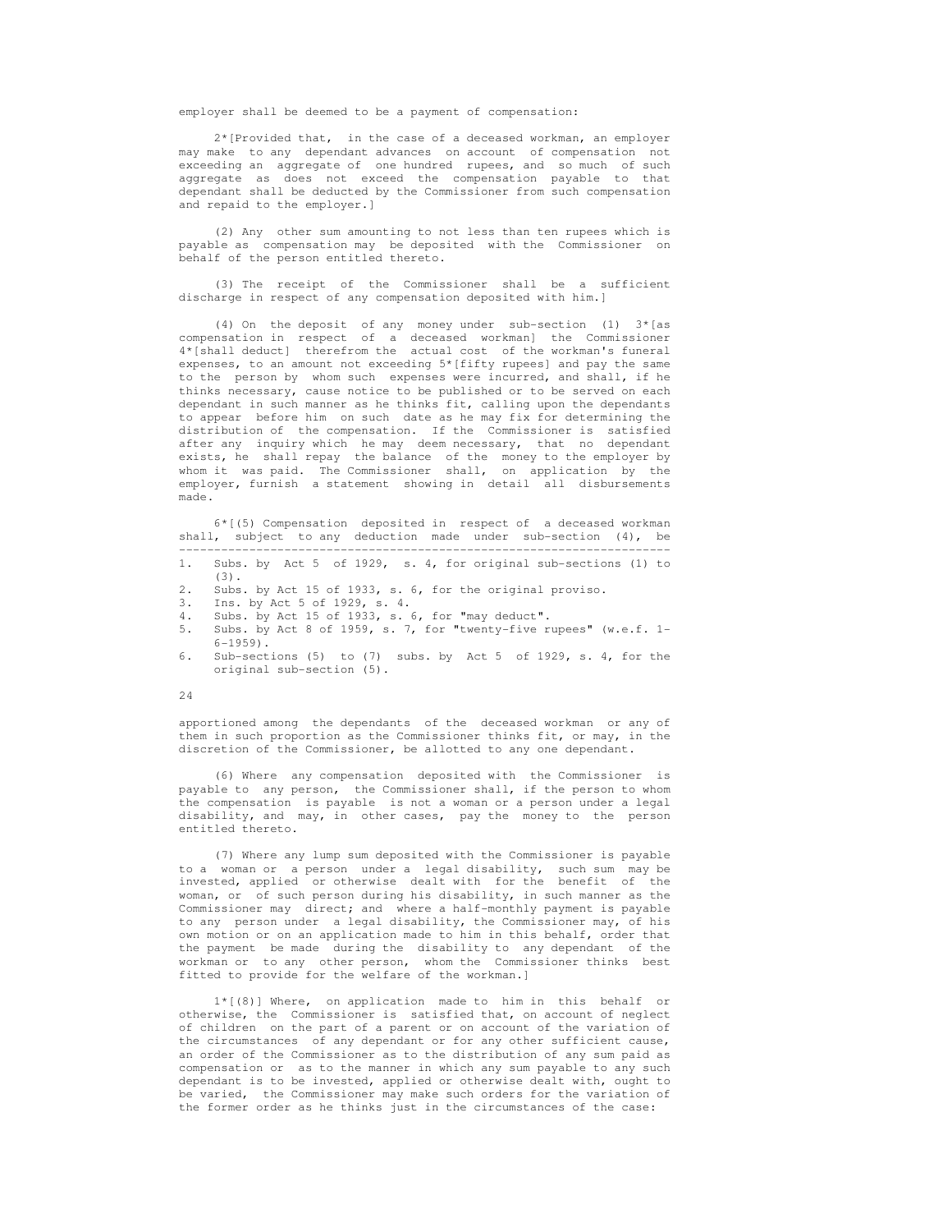employer shall be deemed to be a payment of compensation:

 2\*[Provided that, in the case of a deceased workman, an employer may make to any dependant advances on account of compensation not exceeding an aggregate of one hundred rupees, and so much of such aggregate as does not exceed the compensation payable to that dependant shall be deducted by the Commissioner from such compensation and repaid to the employer.]

 (2) Any other sum amounting to not less than ten rupees which is payable as compensation may be deposited with the Commissioner on behalf of the person entitled thereto.

 (3) The receipt of the Commissioner shall be a sufficient discharge in respect of any compensation deposited with him.]

 (4) On the deposit of any money under sub-section (1) 3\*[as compensation in respect of a deceased workman] the Commissioner 4\*[shall deduct] therefrom the actual cost of the workman's funeral expenses, to an amount not exceeding 5\*[fifty rupees] and pay the same to the person by whom such expenses were incurred, and shall, if he thinks necessary, cause notice to be published or to be served on each dependant in such manner as he thinks fit, calling upon the dependants to appear before him on such date as he may fix for determining the distribution of the compensation. If the Commissioner is satisfied after any inquiry which he may deem necessary, that no dependant exists, he shall repay the balance of the money to the employer by whom it was paid. The Commissioner shall, on application by the employer, furnish a statement showing in detail all disbursements made.

 6\*[(5) Compensation deposited in respect of a deceased workman shall, subject to any deduction made under sub-section (4), be ----------------------------------------------------------------------

- 1. Subs. by Act 5 of 1929, s. 4, for original sub-sections (1) to (3).
- 2. Subs. by Act 15 of 1933, s. 6, for the original proviso.
- 3. Ins. by Act 5 of 1929, s. 4.
- Subs. by Act 15 of 1933, s.  $6$ , for "may deduct".
- 5. Subs. by Act 8 of 1959, s. 7, for "twenty-five rupees" (w.e.f. 1-  $6 - 1959$ .
- Sub-sections (5) to (7) subs. by Act 5 of 1929, s. 4, for the original sub-section (5).

24

 apportioned among the dependants of the deceased workman or any of them in such proportion as the Commissioner thinks fit, or may, in the discretion of the Commissioner, be allotted to any one dependant.

 (6) Where any compensation deposited with the Commissioner is payable to any person, the Commissioner shall, if the person to whom the compensation is payable is not a woman or a person under a legal disability, and may, in other cases, pay the money to the person entitled thereto.

 (7) Where any lump sum deposited with the Commissioner is payable to a woman or a person under a legal disability, such sum may be invested, applied or otherwise dealt with for the benefit of the woman, or of such person during his disability, in such manner as the Commissioner may direct; and where a half-monthly payment is payable to any person under a legal disability, the Commissioner may, of his own motion or on an application made to him in this behalf, order that the payment be made during the disability to any dependant of the workman or to any other person, whom the Commissioner thinks best fitted to provide for the welfare of the workman.]

 1\*[(8)] Where, on application made to him in this behalf or otherwise, the Commissioner is satisfied that, on account of neglect of children on the part of a parent or on account of the variation of the circumstances of any dependant or for any other sufficient cause, an order of the Commissioner as to the distribution of any sum paid as compensation or as to the manner in which any sum payable to any such dependant is to be invested, applied or otherwise dealt with, ought to be varied, the Commissioner may make such orders for the variation of the former order as he thinks just in the circumstances of the case: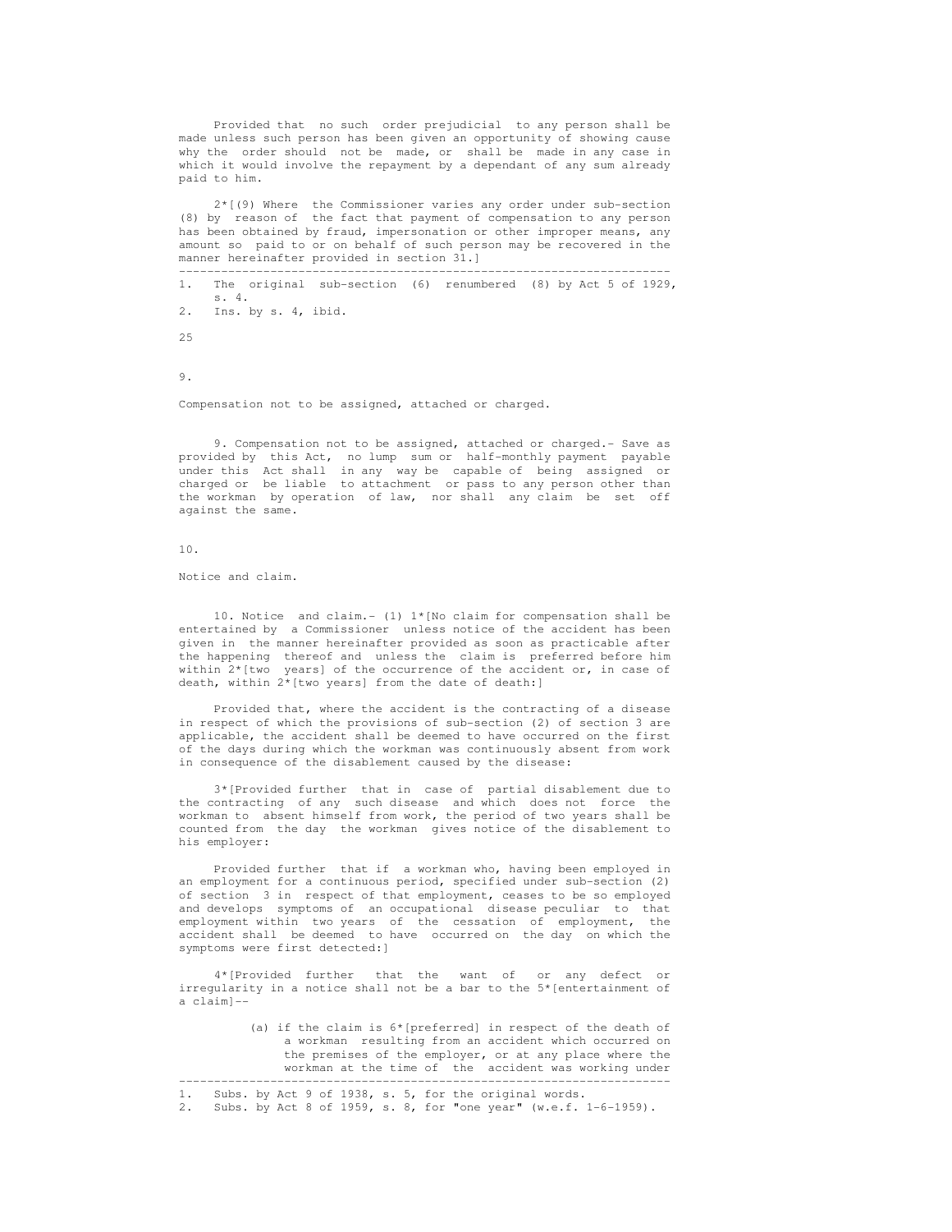Provided that no such order prejudicial to any person shall be made unless such person has been given an opportunity of showing cause why the order should not be made, or shall be made in any case in which it would involve the repayment by a dependant of any sum already paid to him.

 2\*[(9) Where the Commissioner varies any order under sub-section (8) by reason of the fact that payment of compensation to any person has been obtained by fraud, impersonation or other improper means, any amount so paid to or on behalf of such person may be recovered in the manner hereinafter provided in section 31.]

 ---------------------------------------------------------------------- 1. The original sub-section (6) renumbered (8) by Act 5 of 1929, s. 4. 2. Ins. by s. 4, ibid.  $25$ 

9.

Compensation not to be assigned, attached or charged.

 9. Compensation not to be assigned, attached or charged.- Save as provided by this Act, no lump sum or half-monthly payment payable under this Act shall in any way be capable of being assigned or charged or be liable to attachment or pass to any person other than the workman by operation of law, nor shall any claim be set off against the same.

10.

Notice and claim.

10. Notice and claim.- (1)  $1*(No$  claim for compensation shall be entertained by a Commissioner unless notice of the accident has been given in the manner hereinafter provided as soon as practicable after the happening thereof and unless the claim is preferred before him within  $2*$ [two years] of the occurrence of the accident or, in case of death, within  $2^*$ [two years] from the date of death:]

 Provided that, where the accident is the contracting of a disease in respect of which the provisions of sub-section (2) of section 3 are applicable, the accident shall be deemed to have occurred on the first of the days during which the workman was continuously absent from work in consequence of the disablement caused by the disease:

 3\*[Provided further that in case of partial disablement due to the contracting of any such disease and which does not force the workman to absent himself from work, the period of two years shall be counted from the day the workman gives notice of the disablement to his employer:

 Provided further that if a workman who, having been employed in an employment for a continuous period, specified under sub-section (2) of section 3 in respect of that employment, ceases to be so employed and develops symptoms of an occupational disease peculiar to that employment within two years of the cessation of employment, the accident shall be deemed to have occurred on the day on which the symptoms were first detected:]

 4\*[Provided further that the want of or any defect or irregularity in a notice shall not be a bar to the 5\*[entertainment of a claim]--

> (a) if the claim is  $6*$  [preferred] in respect of the death of a workman resulting from an accident which occurred on the premises of the employer, or at any place where the workman at the time of the accident was working under

----------------------------------------------------------------------

 <sup>1.</sup> Subs. by Act 9 of 1938, s. 5, for the original words.

 <sup>2.</sup> Subs. by Act 8 of 1959, s. 8, for "one year" (w.e.f. 1-6-1959).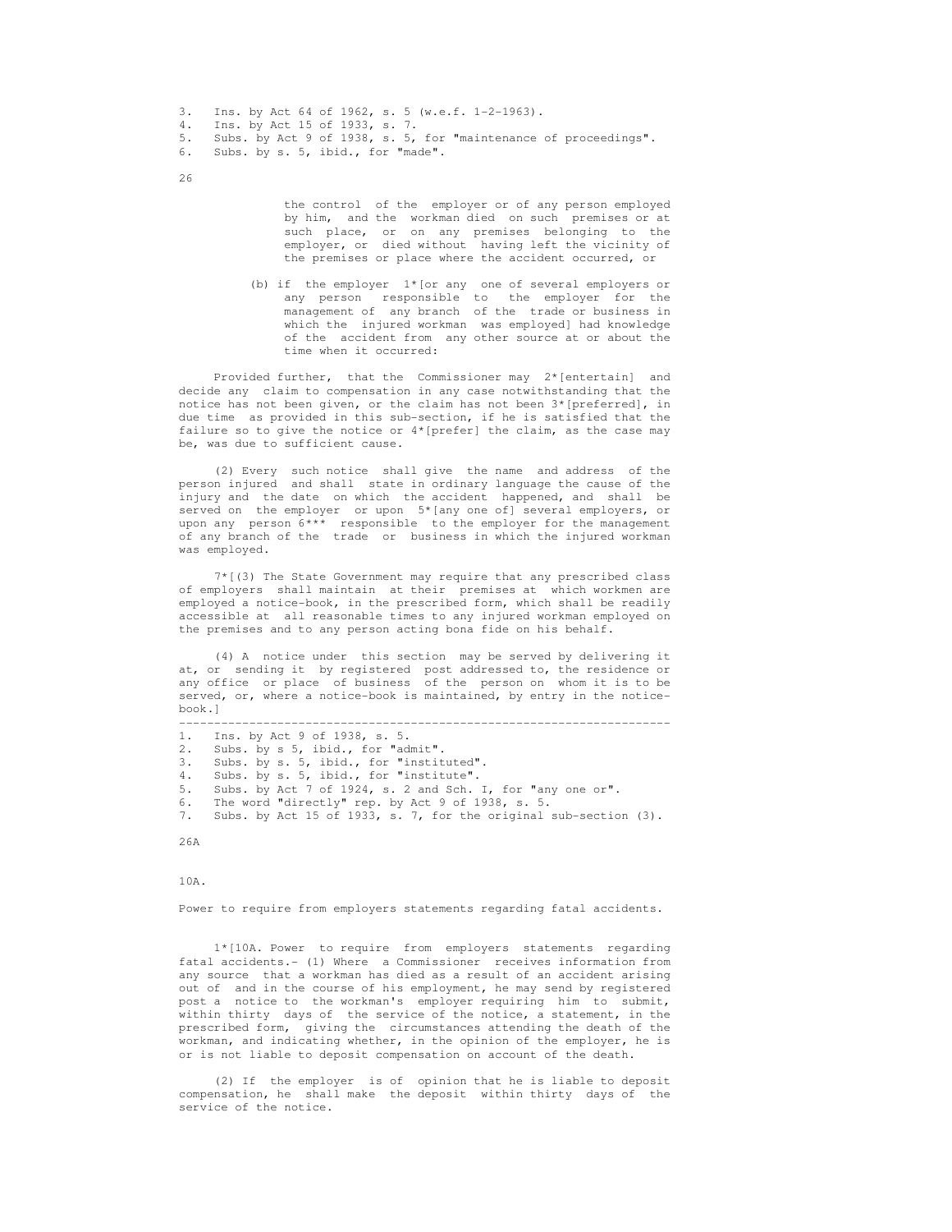- 3. Ins. by Act 64 of 1962, s. 5 (w.e.f. 1-2-1963).
- 4. Ins. by Act 15 of 1933, s. 7.
- 5. Subs. by Act 9 of 1938, s. 5, for "maintenance of proceedings".<br>6. Subs. by s. 5, ibid., for "made".
- Subs. by s. 5, ibid., for "made".
- 26

 the control of the employer or of any person employed by him, and the workman died on such premises or at such place, or on any premises belonging to the employer, or died without having left the vicinity of the premises or place where the accident occurred, or

 (b) if the employer 1\*[or any one of several employers or any person responsible to the employer for the management of any branch of the trade or business in which the injured workman was employed] had knowledge of the accident from any other source at or about the time when it occurred:

Provided further, that the Commissioner may  $2*$  [entertain] and decide any claim to compensation in any case notwithstanding that the notice has not been given, or the claim has not been  $3*[perfect]$ , in due time as provided in this sub-section, if he is satisfied that the failure so to give the notice or  $4*$ [prefer] the claim, as the case may be, was due to sufficient cause.

 (2) Every such notice shall give the name and address of the person injured and shall state in ordinary language the cause of the injury and the date on which the accident happened, and shall be served on the employer or upon 5\*[any one of] several employers, or upon any person  $6***$  responsible to the employer for the management of any branch of the trade or business in which the injured workman was employed.

 7\*[(3) The State Government may require that any prescribed class of employers shall maintain at their premises at which workmen are employed a notice-book, in the prescribed form, which shall be readily accessible at all reasonable times to any injured workman employed on the premises and to any person acting bona fide on his behalf.

 (4) A notice under this section may be served by delivering it at, or sending it by registered post addressed to, the residence or any office or place of business of the person on whom it is to be served, or, where a notice-book is maintained, by entry in the notice book.]

----------------------------------------------------------------------

- 1. Ins. by Act 9 of 1938, s. 5.
- 2. Subs. by s 5, ibid., for "admit".
- 3. Subs. by s. 5, ibid., for "instituted".
- 4. Subs. by s. 5, ibid., for "institute".

5. Subs. by Act 7 of 1924, s. 2 and Sch. I, for "any one or".

6. The word "directly" rep. by Act 9 of 1938, s. 5.

7. Subs. by Act 15 of 1933, s. 7, for the original sub-section (3).

26A

10A.

Power to require from employers statements regarding fatal accidents.

 1\*[10A. Power to require from employers statements regarding fatal accidents.- (1) Where a Commissioner receives information from any source that a workman has died as a result of an accident arising out of and in the course of his employment, he may send by registered post a notice to the workman's employer requiring him to submit, within thirty days of the service of the notice, a statement, in the prescribed form, giving the circumstances attending the death of the workman, and indicating whether, in the opinion of the employer, he is or is not liable to deposit compensation on account of the death.

 (2) If the employer is of opinion that he is liable to deposit compensation, he shall make the deposit within thirty days of the service of the notice.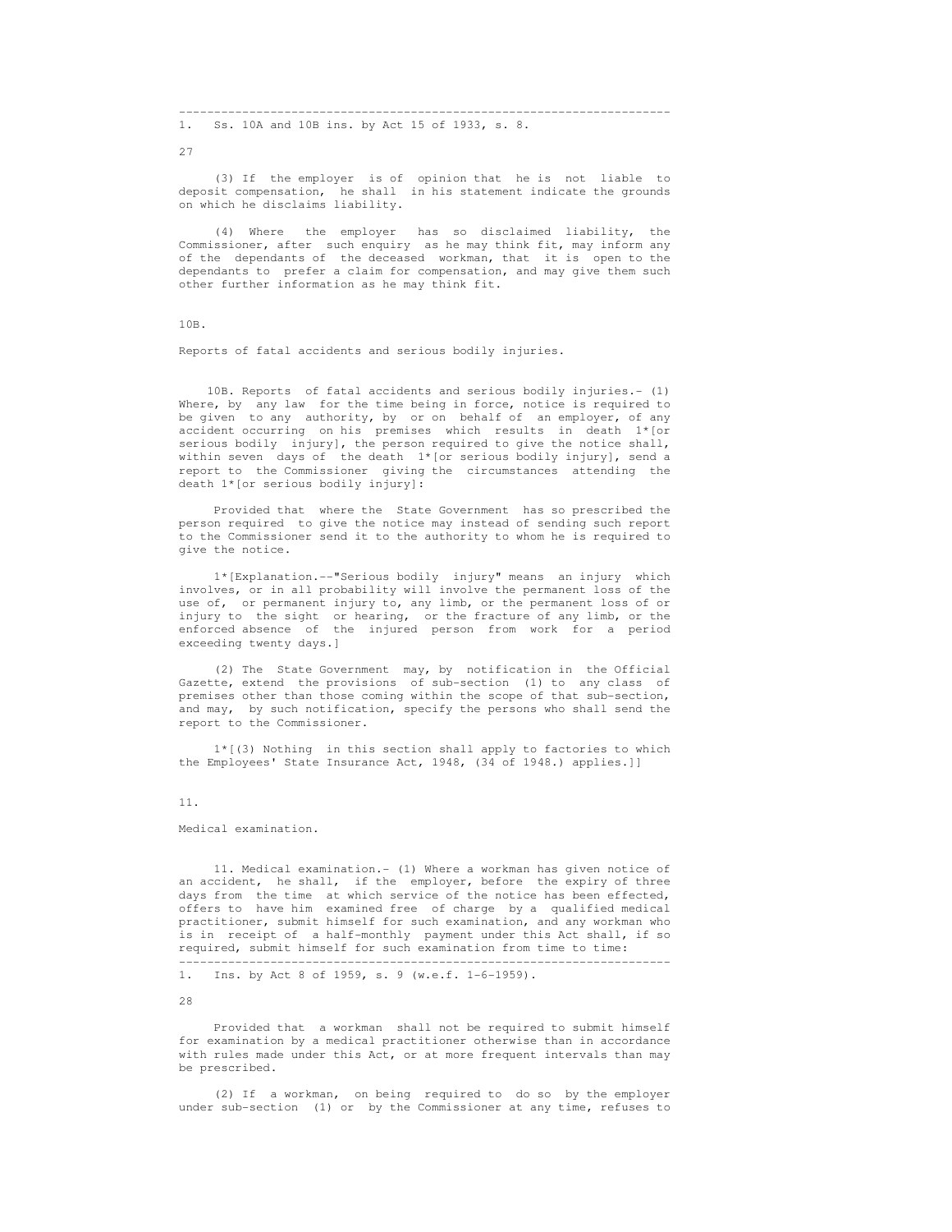---------------------------------------------------------------------- 1. Ss. 10A and 10B ins. by Act 15 of 1933, s. 8.

27

 (3) If the employer is of opinion that he is not liable to deposit compensation, he shall in his statement indicate the grounds on which he disclaims liability.

 (4) Where the employer has so disclaimed liability, the Commissioner, after such enquiry as he may think fit, may inform any of the dependants of the deceased workman, that it is open to the dependants to prefer a claim for compensation, and may give them such other further information as he may think fit.

10B.

Reports of fatal accidents and serious bodily injuries.

 10B. Reports of fatal accidents and serious bodily injuries.- (1) Where, by any law for the time being in force, notice is required to be given to any authority, by or on behalf of an employer, of any accident occurring on his premises which results in death 1\*[or serious bodily injury], the person required to give the notice shall, within seven days of the death 1\*[or serious bodily injury], send a report to the Commissioner giving the circumstances attending the death 1\*[or serious bodily injury]:

 Provided that where the State Government has so prescribed the person required to give the notice may instead of sending such report to the Commissioner send it to the authority to whom he is required to give the notice.

 1\*[Explanation.--"Serious bodily injury" means an injury which involves, or in all probability will involve the permanent loss of the use of, or permanent injury to, any limb, or the permanent loss of or injury to the sight or hearing, or the fracture of any limb, or the enforced absence of the injured person from work for a period exceeding twenty days.]

 (2) The State Government may, by notification in the Official Gazette, extend the provisions of sub-section (1) to any class of premises other than those coming within the scope of that sub-section, and may, by such notification, specify the persons who shall send the report to the Commissioner.

 1\*[(3) Nothing in this section shall apply to factories to which the Employees' State Insurance Act, 1948, (34 of 1948.) applies.]]

11.

Medical examination.

 11. Medical examination.- (1) Where a workman has given notice of an accident, he shall, if the employer, before the expiry of three days from the time at which service of the notice has been effected, offers to have him examined free of charge by a qualified medical practitioner, submit himself for such examination, and any workman who is in receipt of a half-monthly payment under this Act shall, if so required, submit himself for such examination from time to time:

----------------------------------------------------------------------

1. Ins. by Act 8 of 1959, s. 9 (w.e.f. 1-6-1959).

28

 Provided that a workman shall not be required to submit himself for examination by a medical practitioner otherwise than in accordance with rules made under this Act, or at more frequent intervals than may be prescribed.

 (2) If a workman, on being required to do so by the employer under sub-section (1) or by the Commissioner at any time, refuses to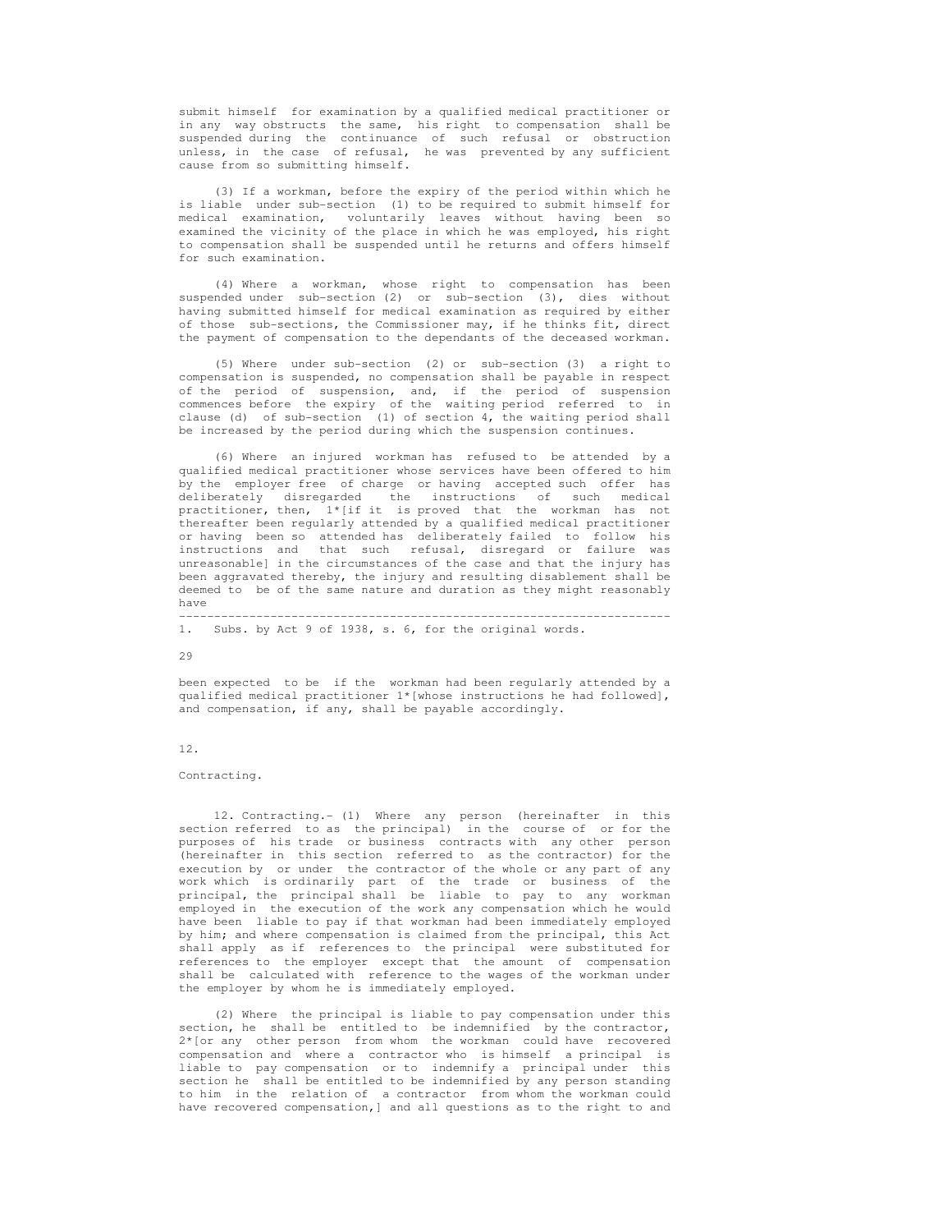submit himself for examination by a qualified medical practitioner or in any way obstructs the same, his right to compensation shall be suspended during the continuance of such refusal or obstruction unless, in the case of refusal, he was prevented by any sufficient cause from so submitting himself.

 (3) If a workman, before the expiry of the period within which he is liable under sub-section (1) to be required to submit himself for medical examination, voluntarily leaves without having been so examined the vicinity of the place in which he was employed, his right to compensation shall be suspended until he returns and offers himself for such examination.

 (4) Where a workman, whose right to compensation has been suspended under sub-section (2) or sub-section (3), dies without having submitted himself for medical examination as required by either of those sub-sections, the Commissioner may, if he thinks fit, direct the payment of compensation to the dependants of the deceased workman.

 (5) Where under sub-section (2) or sub-section (3) a right to compensation is suspended, no compensation shall be payable in respect of the period of suspension, and, if the period of suspension commences before the expiry of the waiting period referred to in clause (d) of sub-section (1) of section 4, the waiting period shall be increased by the period during which the suspension continues.

 (6) Where an injured workman has refused to be attended by a qualified medical practitioner whose services have been offered to him by the employer free of charge or having accepted such offer has deliberately disregarded the instructions of such medical practitioner, then, 1\*[if it is proved that the workman has not thereafter been regularly attended by a qualified medical practitioner or having been so attended has deliberately failed to follow his instructions and that such refusal, disregard or failure was that such refusal, disregard or failure was unreasonable] in the circumstances of the case and that the injury has been aggravated thereby, the injury and resulting disablement shall be deemed to be of the same nature and duration as they might reasonably have

#### 1. Subs. by Act 9 of 1938, s. 6, for the original words.

 $29$ 

 been expected to be if the workman had been regularly attended by a qualified medical practitioner 1\*[whose instructions he had followed], and compensation, if any, shall be payable accordingly.

----------------------------------------------------------------------

#### 12.

Contracting.

 12. Contracting.- (1) Where any person (hereinafter in this section referred to as the principal) in the course of or for the purposes of his trade or business contracts with any other person (hereinafter in this section referred to as the contractor) for the execution by or under the contractor of the whole or any part of any work which is ordinarily part of the trade or business of the principal, the principal shall be liable to pay to any workman employed in the execution of the work any compensation which he would have been liable to pay if that workman had been immediately employed by him; and where compensation is claimed from the principal, this Act shall apply as if references to the principal were substituted for references to the employer except that the amount of compensation shall be calculated with reference to the wages of the workman under the employer by whom he is immediately employed.

 (2) Where the principal is liable to pay compensation under this section, he shall be entitled to be indemnified by the contractor, 2\*[or any other person from whom the workman could have recovered compensation and where a contractor who is himself a principal is liable to pay compensation or to indemnify a principal under this section he shall be entitled to be indemnified by any person standing to him in the relation of a contractor from whom the workman could have recovered compensation,] and all questions as to the right to and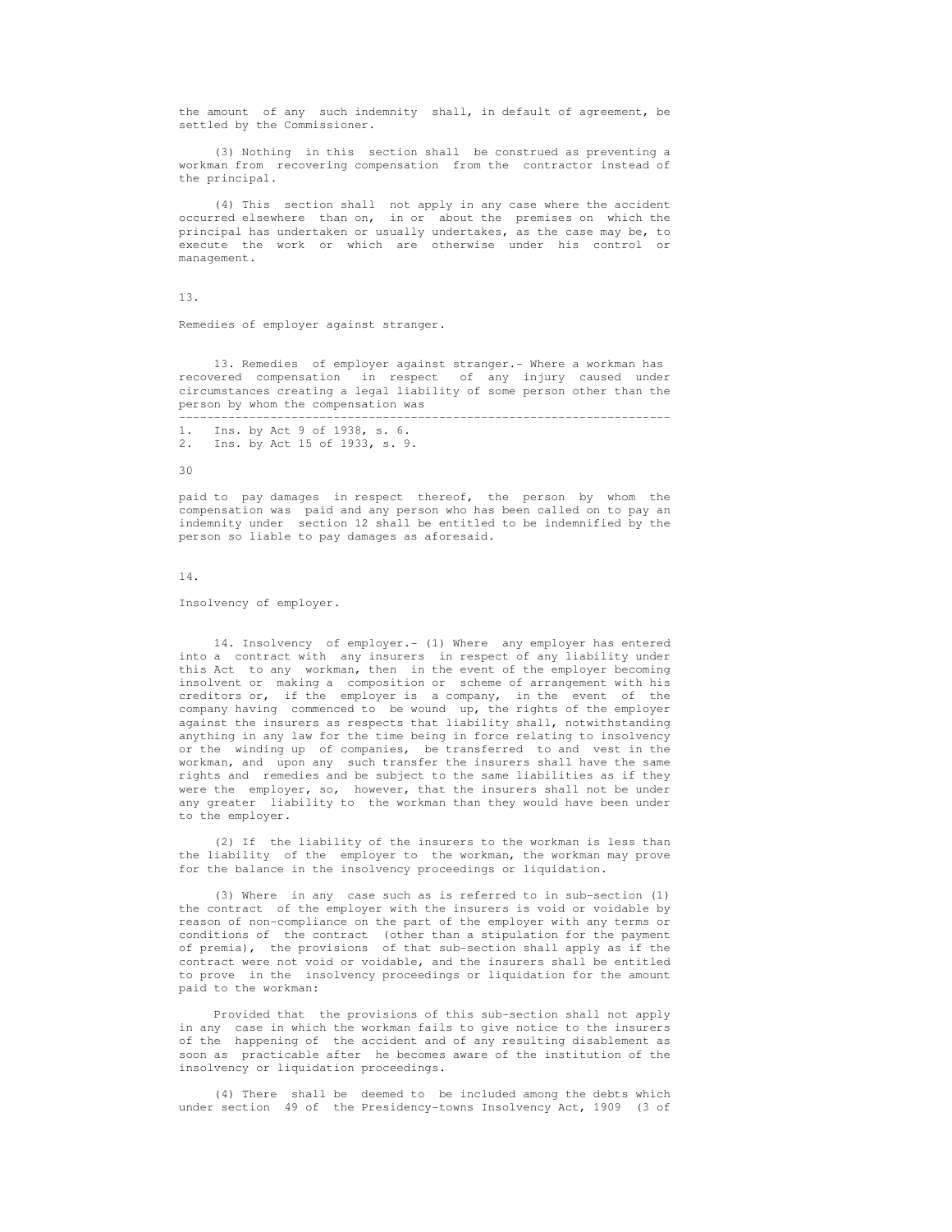the amount of any such indemnity shall, in default of agreement, be settled by the Commissioner.

 (3) Nothing in this section shall be construed as preventing a workman from recovering compensation from the contractor instead of the principal.

 (4) This section shall not apply in any case where the accident occurred elsewhere than on, in or about the premises on which the principal has undertaken or usually undertakes, as the case may be, to execute the work or which are otherwise under his control or management.

13.

Remedies of employer against stranger.

 13. Remedies of employer against stranger.- Where a workman has recovered compensation in respect of any injury caused under circumstances creating a legal liability of some person other than the person by whom the compensation was

 ---------------------------------------------------------------------- 1. Ins. by Act 9 of 1938, s. 6. 2. Ins. by Act 15 of 1933, s. 9.

 $30$ 

 paid to pay damages in respect thereof, the person by whom the compensation was paid and any person who has been called on to pay an indemnity under section 12 shall be entitled to be indemnified by the person so liable to pay damages as aforesaid.

14.

Insolvency of employer.

 14. Insolvency of employer.- (1) Where any employer has entered into a contract with any insurers in respect of any liability under this Act to any workman, then in the event of the employer becoming insolvent or making a composition or scheme of arrangement with his creditors or, if the employer is a company, in the event of the company having commenced to be wound up, the rights of the employer against the insurers as respects that liability shall, notwithstanding anything in any law for the time being in force relating to insolvency or the winding up of companies, be transferred to and vest in the workman, and upon any such transfer the insurers shall have the same rights and remedies and be subject to the same liabilities as if they were the employer, so, however, that the insurers shall not be under any greater liability to the workman than they would have been under to the employer.

 (2) If the liability of the insurers to the workman is less than the liability of the employer to the workman, the workman may prove for the balance in the insolvency proceedings or liquidation.

 (3) Where in any case such as is referred to in sub-section (1) the contract of the employer with the insurers is void or voidable by reason of non-compliance on the part of the employer with any terms or conditions of the contract (other than a stipulation for the payment of premia), the provisions of that sub-section shall apply as if the contract were not void or voidable, and the insurers shall be entitled to prove in the insolvency proceedings or liquidation for the amount paid to the workman:

 Provided that the provisions of this sub-section shall not apply in any case in which the workman fails to give notice to the insurers of the happening of the accident and of any resulting disablement as soon as practicable after he becomes aware of the institution of the insolvency or liquidation proceedings.

 (4) There shall be deemed to be included among the debts which under section 49 of the Presidency-towns Insolvency Act, 1909 (3 of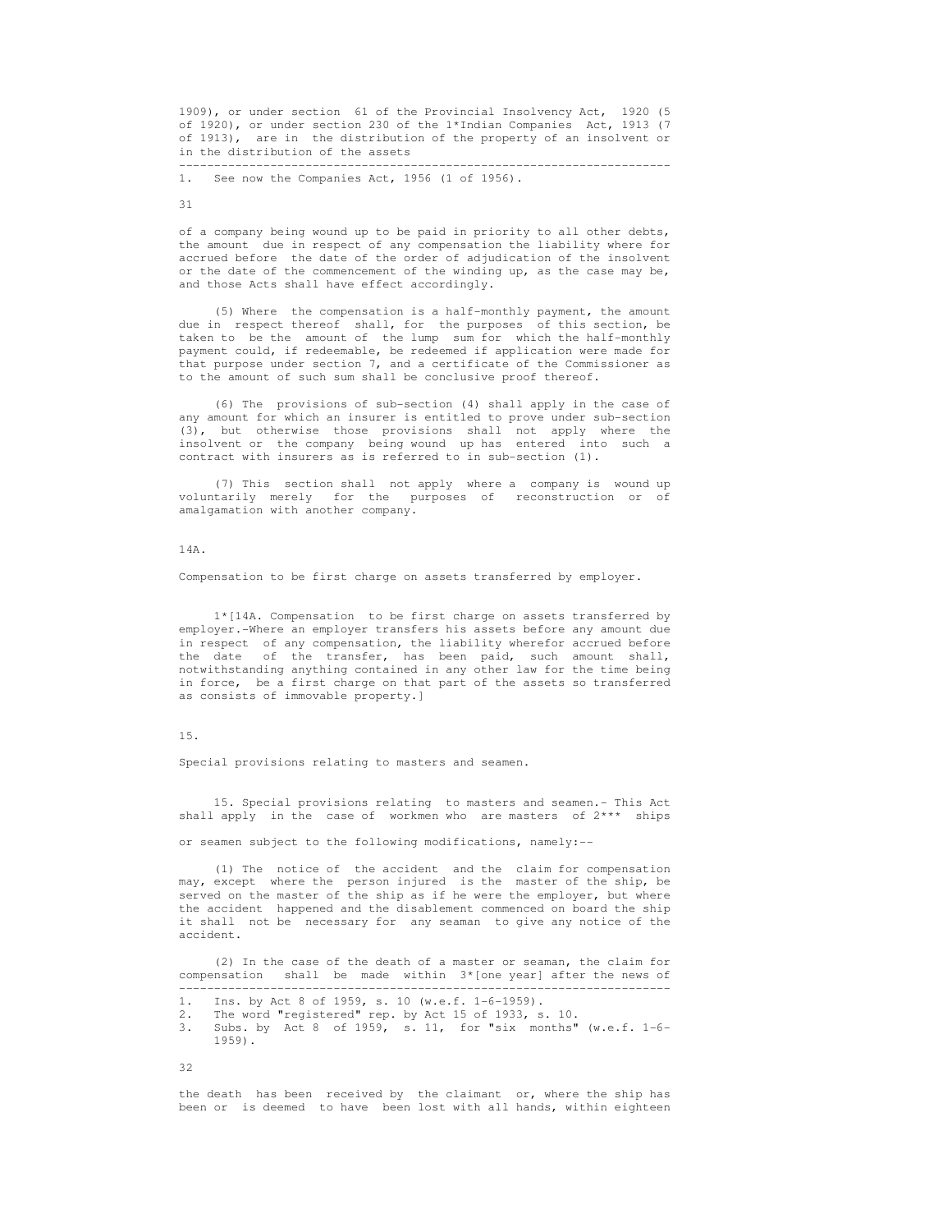1909), or under section 61 of the Provincial Insolvency Act, 1920 (5 of 1920), or under section 230 of the 1\*Indian Companies Act, 1913 (7 of 1913), are in the distribution of the property of an insolvent or in the distribution of the assets

----------------------------------------------------------------------

1. See now the Companies Act, 1956 (1 of 1956).

31

 of a company being wound up to be paid in priority to all other debts, the amount due in respect of any compensation the liability where for accrued before the date of the order of adjudication of the insolvent or the date of the commencement of the winding up, as the case may be, and those Acts shall have effect accordingly.

 (5) Where the compensation is a half-monthly payment, the amount due in respect thereof shall, for the purposes of this section, be taken to be the amount of the lump sum for which the half-monthly payment could, if redeemable, be redeemed if application were made for that purpose under section 7, and a certificate of the Commissioner as to the amount of such sum shall be conclusive proof thereof.

 (6) The provisions of sub-section (4) shall apply in the case of any amount for which an insurer is entitled to prove under sub-section (3), but otherwise those provisions shall not apply where the insolvent or the company being wound up has entered into such a contract with insurers as is referred to in sub-section (1).

 (7) This section shall not apply where a company is wound up voluntarily merely for the purposes of reconstruction or of amalgamation with another company.

## 14A.

Compensation to be first charge on assets transferred by employer.

 1\*[14A. Compensation to be first charge on assets transferred by employer.-Where an employer transfers his assets before any amount due in respect of any compensation, the liability wherefor accrued before the date of the transfer, has been paid, such amount shall, notwithstanding anything contained in any other law for the time being in force, be a first charge on that part of the assets so transferred as consists of immovable property.]

## 15.

Special provisions relating to masters and seamen.

 15. Special provisions relating to masters and seamen.- This Act shall apply in the case of workmen who are masters of 2\*\*\* ships

or seamen subject to the following modifications, namely:--

 (1) The notice of the accident and the claim for compensation may, except where the person injured is the master of the ship, be served on the master of the ship as if he were the employer, but where the accident happened and the disablement commenced on board the ship it shall not be necessary for any seaman to give any notice of the accident.

 (2) In the case of the death of a master or seaman, the claim for compensation shall be made within 3\*[one year] after the news of ----------------------------------------------------------------------

1. Ins. by Act 8 of 1959, s. 10 (w.e.f. 1-6-1959).

- 2. The word "registered" rep. by Act 15 of 1933, s. 10.
- 3. Subs. by Act 8 of 1959, s. 11, for "six months" (w.e.f. 1-6- 1959).

32

 the death has been received by the claimant or, where the ship has been or is deemed to have been lost with all hands, within eighteen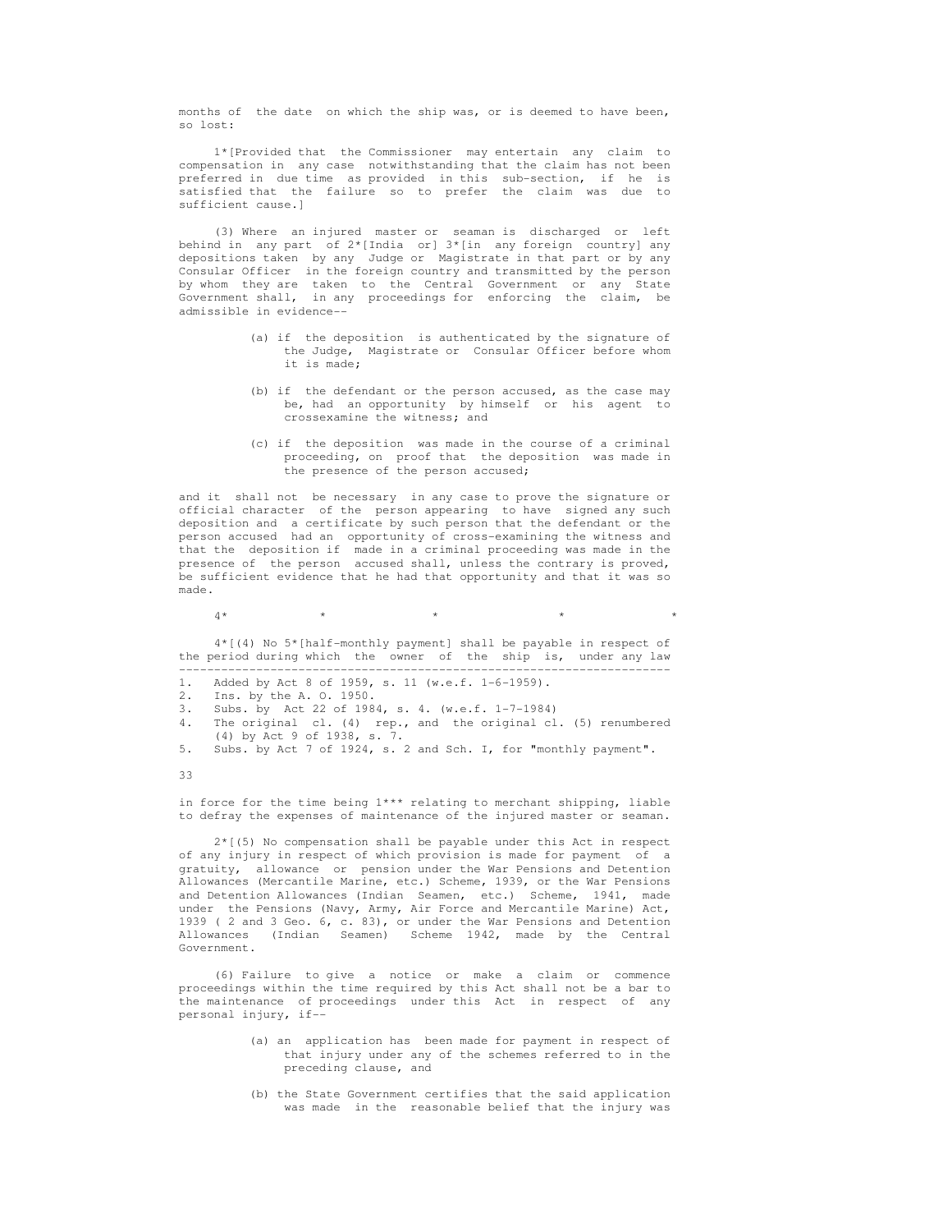months of the date on which the ship was, or is deemed to have been, so lost:

 1\*[Provided that the Commissioner may entertain any claim to compensation in any case notwithstanding that the claim has not been preferred in due time as provided in this sub-section, if he is satisfied that the failure so to prefer the claim was due to sufficient cause.]

 (3) Where an injured master or seaman is discharged or left behind in any part of 2\*[India or] 3\*[in any foreign country] any depositions taken by any Judge or Magistrate in that part or by any Consular Officer in the foreign country and transmitted by the person by whom they are taken to the Central Government or any State Government shall, in any proceedings for enforcing the claim, be admissible in evidence--

- (a) if the deposition is authenticated by the signature of the Judge, Magistrate or Consular Officer before whom it is made;
- (b) if the defendant or the person accused, as the case may be, had an opportunity by himself or his agent to crossexamine the witness; and
- (c) if the deposition was made in the course of a criminal proceeding, on proof that the deposition was made in the presence of the person accused;

 and it shall not be necessary in any case to prove the signature or official character of the person appearing to have signed any such deposition and a certificate by such person that the defendant or the person accused had an opportunity of cross-examining the witness and that the deposition if made in a criminal proceeding was made in the presence of the person accused shall, unless the contrary is proved, be sufficient evidence that he had that opportunity and that it was so made.

 $4*$  \* \* \* \* \* \* \* \* \*

 4\*[(4) No 5\*[half-monthly payment] shall be payable in respect of the period during which the owner of the ship is, under any law ----------------------------------------------------------------------

|  |  |  |  |  |  |  |  |  |  | Added by Act 8 of 1959, s. 11 (w.e.f. 1-6-1959). |
|--|--|--|--|--|--|--|--|--|--|--------------------------------------------------|
|--|--|--|--|--|--|--|--|--|--|--------------------------------------------------|

- 2. Ins. by the A. O. 1950.
- 3. Subs. by Act 22 of 1984, s. 4. (w.e.f. 1-7-1984)
- 4. The original cl. (4) rep., and the original cl. (5) renumbered (4) by Act 9 of 1938, s. 7.<br>5. Subs. by Act 7 of 1924, s.

33

 in force for the time being 1\*\*\* relating to merchant shipping, liable to defray the expenses of maintenance of the injured master or seaman.

 2\*[(5) No compensation shall be payable under this Act in respect of any injury in respect of which provision is made for payment of a gratuity, allowance or pension under the War Pensions and Detention Allowances (Mercantile Marine, etc.) Scheme, 1939, or the War Pensions and Detention Allowances (Indian Seamen, etc.) Scheme, 1941, made under the Pensions (Navy, Army, Air Force and Mercantile Marine) Act, 1939 ( 2 and 3 Geo. 6, c. 83), or under the War Pensions and Detention Allowances (Indian Seamen) Scheme 1942, made by the Central Government.

 (6) Failure to give a notice or make a claim or commence proceedings within the time required by this Act shall not be a bar to the maintenance of proceedings under this Act in respect of any personal injury, if--

- (a) an application has been made for payment in respect of that injury under any of the schemes referred to in the preceding clause, and
- (b) the State Government certifies that the said application was made in the reasonable belief that the injury was

Subs. by Act 7 of 1924, s. 2 and Sch. I, for "monthly payment".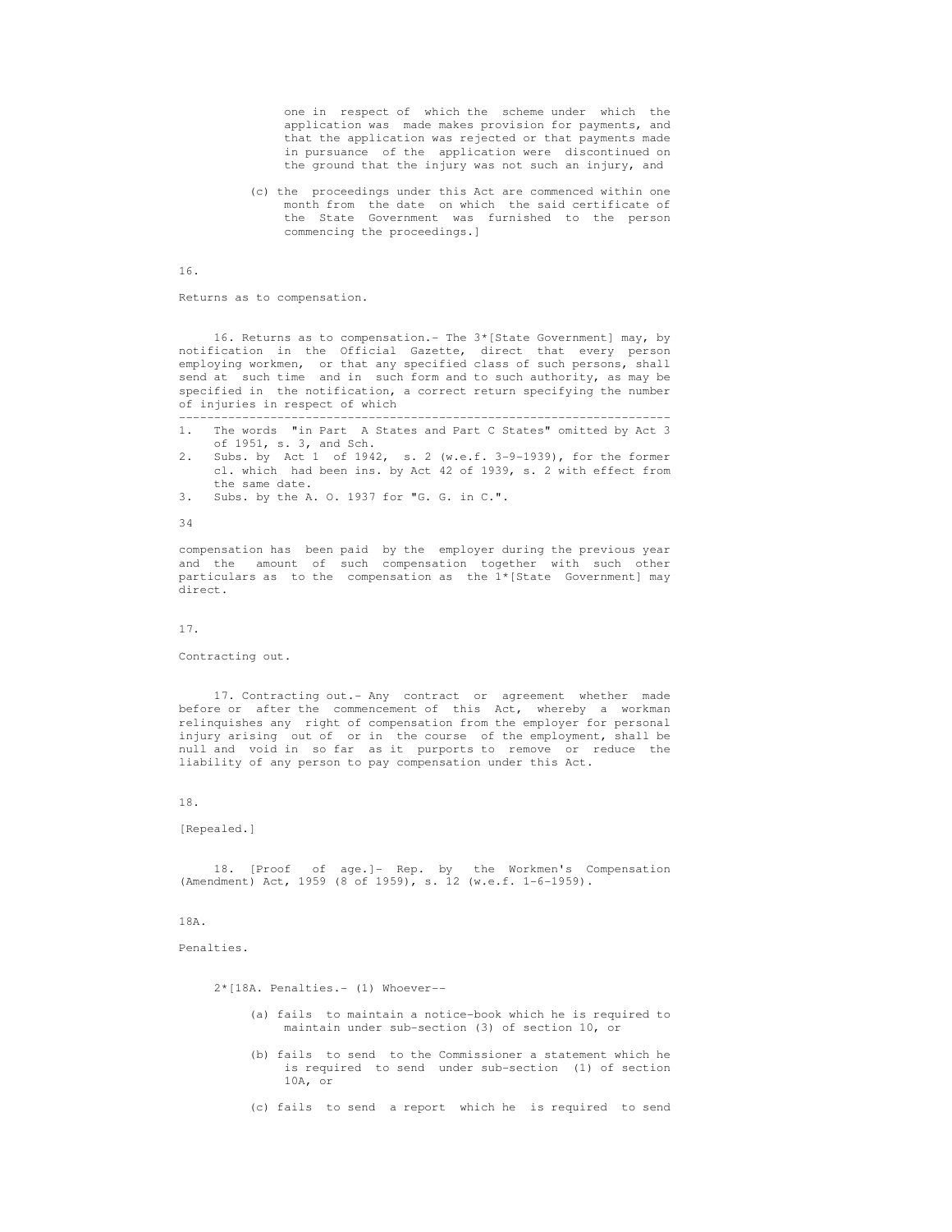one in respect of which the scheme under which the application was made makes provision for payments, and that the application was rejected or that payments made in pursuance of the application were discontinued on the ground that the injury was not such an injury, and

 (c) the proceedings under this Act are commenced within one month from the date on which the said certificate of the State Government was furnished to the person commencing the proceedings.]

16.

Returns as to compensation.

 16. Returns as to compensation.- The 3\*[State Government] may, by notification in the Official Gazette, direct that every person employing workmen, or that any specified class of such persons, shall send at such time and in such form and to such authority, as may be specified in the notification, a correct return specifying the number of injuries in respect of which

```
 ---------------------------------------------------------------------- 
 1. The words "in Part A States and Part C States" omitted by Act 3 
      of 1951, s. 3, and Sch.
```
 2. Subs. by Act 1 of 1942, s. 2 (w.e.f. 3-9-1939), for the former cl. which had been ins. by Act 42 of 1939, s. 2 with effect from the same date.

3. Subs. by the A. O. 1937 for "G. G. in C.".

34

 compensation has been paid by the employer during the previous year and the amount of such compensation together with such other particulars as to the compensation as the 1\*[State Government] may direct.

17.

Contracting out.

 17. Contracting out.- Any contract or agreement whether made before or after the commencement of this Act, whereby a workman relinquishes any right of compensation from the employer for personal injury arising out of or in the course of the employment, shall be null and void in so far as it purports to remove or reduce the liability of any person to pay compensation under this Act.

18.

```
 [Repealed.]
```
 18. [Proof of age.]- Rep. by the Workmen's Compensation (Amendment) Act, 1959 (8 of 1959), s. 12 (w.e.f. 1-6-1959).

18A.

Penalties.

2\*[18A. Penalties.- (1) Whoever--

- (a) fails to maintain a notice-book which he is required to maintain under sub-section (3) of section 10, or
- (b) fails to send to the Commissioner a statement which he is required to send under sub-section (1) of section 10A, or

(c) fails to send a report which he is required to send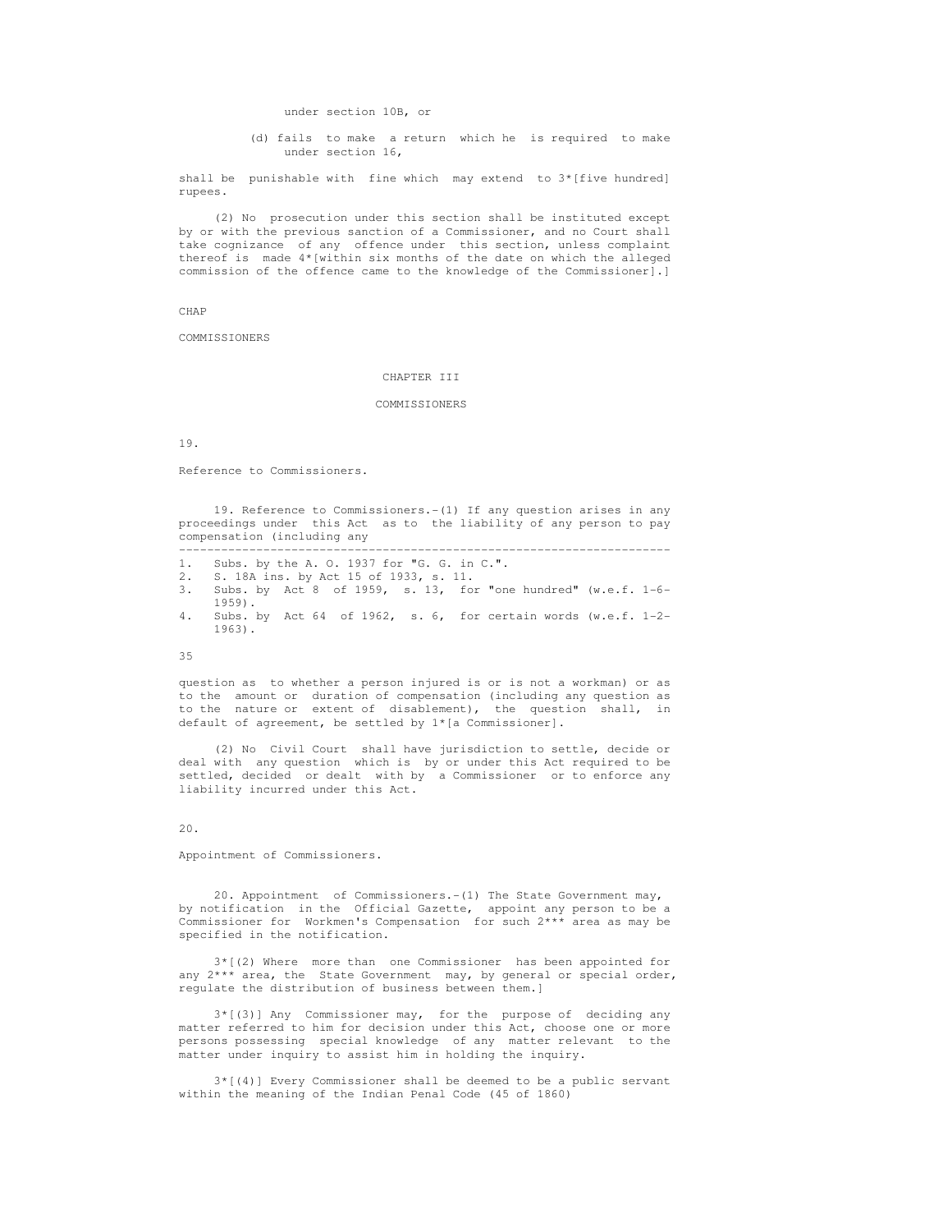under section 10B, or

 (d) fails to make a return which he is required to make under section 16,

 shall be punishable with fine which may extend to 3\*[five hundred] rupees.

 (2) No prosecution under this section shall be instituted except by or with the previous sanction of a Commissioner, and no Court shall take cognizance of any offence under this section, unless complaint thereof is made 4\*[within six months of the date on which the alleged commission of the offence came to the knowledge of the Commissioner].]

CHAP

COMMISSIONERS

# CHAPTER III

## COMMISSIONERS

19.

Reference to Commissioners.

 19. Reference to Commissioners.-(1) If any question arises in any proceedings under this Act as to the liability of any person to pay compensation (including any

----------------------------------------------------------------------

- 1. Subs. by the A. O. 1937 for "G. G. in C.".
- 2. S. 18A ins. by Act 15 of 1933, s. 11.
- 3. Subs. by Act 8 of 1959, s. 13, for "one hundred" (w.e.f. 1-6-  $1959$ .<br>4. Subs.
- Subs. by Act 64 of 1962, s. 6, for certain words (w.e.f.  $1-2-$ 1963).

35

 question as to whether a person injured is or is not a workman) or as to the amount or duration of compensation (including any question as to the nature or extent of disablement), the question shall, in default of agreement, be settled by 1\*[a Commissioner].

 (2) No Civil Court shall have jurisdiction to settle, decide or deal with any question which is by or under this Act required to be settled, decided or dealt with by a Commissioner or to enforce any liability incurred under this Act.

 $20<sup>2</sup>$ 

Appointment of Commissioners.

 20. Appointment of Commissioners.-(1) The State Government may, by notification in the Official Gazette, appoint any person to be a Commissioner for Workmen's Compensation for such 2\*\*\* area as may be specified in the notification.

 3\*[(2) Where more than one Commissioner has been appointed for any  $2***$  area, the State Government may, by general or special order, regulate the distribution of business between them.]

 3\*[(3)] Any Commissioner may, for the purpose of deciding any matter referred to him for decision under this Act, choose one or more persons possessing special knowledge of any matter relevant to the matter under inquiry to assist him in holding the inquiry.

 3\*[(4)] Every Commissioner shall be deemed to be a public servant within the meaning of the Indian Penal Code (45 of 1860)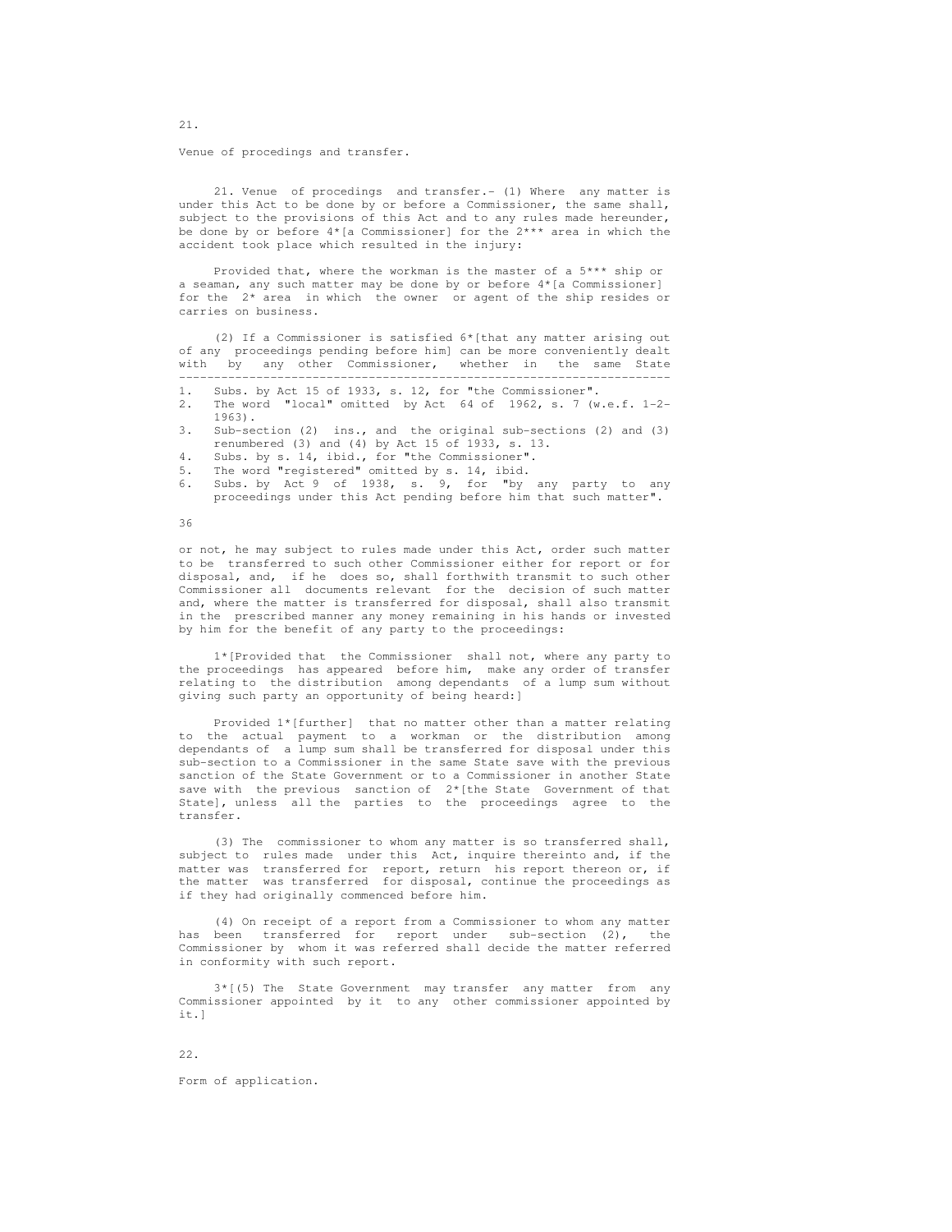Venue of procedings and transfer.

 21. Venue of procedings and transfer.- (1) Where any matter is under this Act to be done by or before a Commissioner, the same shall, subject to the provisions of this Act and to any rules made hereunder, be done by or before  $4*$ [a Commissioner] for the  $2***$  area in which the accident took place which resulted in the injury:

 Provided that, where the workman is the master of a 5\*\*\* ship or a seaman, any such matter may be done by or before 4\*[a Commissioner] for the 2\* area in which the owner or agent of the ship resides or carries on business.

 (2) If a Commissioner is satisfied 6\*[that any matter arising out of any proceedings pending before him] can be more conveniently dealt with by any other Commissioner, whether in the same State ----------------------------------------------------------------------

- 1. Subs. by Act 15 of 1933, s. 12, for "the Commissioner".
- 2. The word "local" omitted by Act 64 of 1962, s. 7 (w.e.f. 1-2- 1963).
- 3. Sub-section (2) ins., and the original sub-sections (2) and (3) renumbered (3) and (4) by Act 15 of 1933, s. 13.
- 4. Subs. by s. 14, ibid., for "the Commissioner".
- 5. The word "registered" omitted by s. 14, ibid.
- 6. Subs. by Act 9 of 1938, s. 9, for "by any party to any proceedings under this Act pending before him that such matter".

36

 or not, he may subject to rules made under this Act, order such matter to be transferred to such other Commissioner either for report or for disposal, and, if he does so, shall forthwith transmit to such other Commissioner all documents relevant for the decision of such matter and, where the matter is transferred for disposal, shall also transmit in the prescribed manner any money remaining in his hands or invested by him for the benefit of any party to the proceedings:

 1\*[Provided that the Commissioner shall not, where any party to the proceedings has appeared before him, make any order of transfer relating to the distribution among dependants of a lump sum without giving such party an opportunity of being heard:]

 Provided 1\*[further] that no matter other than a matter relating to the actual payment to a workman or the distribution among dependants of a lump sum shall be transferred for disposal under this sub-section to a Commissioner in the same State save with the previous sanction of the State Government or to a Commissioner in another State save with the previous sanction of  $2*($  the State Government of that State], unless all the parties to the proceedings agree to the transfer.

 (3) The commissioner to whom any matter is so transferred shall, subject to rules made under this Act, inquire thereinto and, if the matter was transferred for report, return his report thereon or, if the matter was transferred for disposal, continue the proceedings as if they had originally commenced before him.

 (4) On receipt of a report from a Commissioner to whom any matter has been transferred for report under sub-section (2), the Commissioner by whom it was referred shall decide the matter referred in conformity with such report.

 3\*[(5) The State Government may transfer any matter from any Commissioner appointed by it to any other commissioner appointed by it.]

22.

Form of application.

21.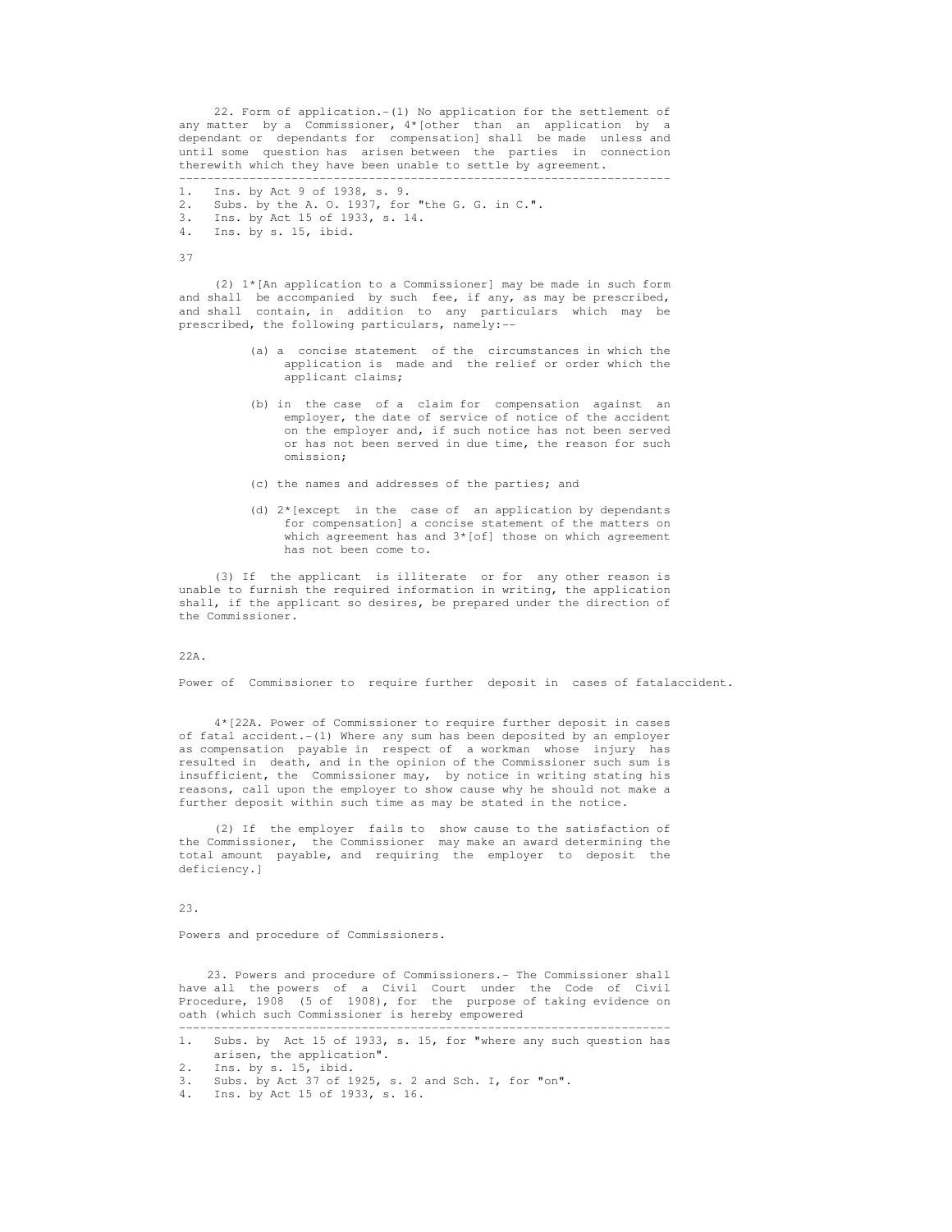22. Form of application.-(1) No application for the settlement of any matter by a Commissioner, 4\*[other than an application by a dependant or dependants for compensation] shall be made unless and until some question has arisen between the parties in connection therewith which they have been unable to settle by agreement.

----------------------------------------------------------------------

- 1. Ins. by Act 9 of 1938, s. 9.
- 2. Subs. by the A. O. 1937, for "the G. G. in C.".<br>3. Ins. by Act 15 of 1933, s. 14.
- 3. Ins. by Act 15 of 1933, s. 14.
- Ins. by s. 15, ibid.

37

 (2) 1\*[An application to a Commissioner] may be made in such form and shall be accompanied by such fee, if any, as may be prescribed, and shall contain, in addition to any particulars which may be prescribed, the following particulars, namely:--

- (a) a concise statement of the circumstances in which the application is made and the relief or order which the applicant claims;
- (b) in the case of a claim for compensation against an employer, the date of service of notice of the accident on the employer and, if such notice has not been served or has not been served in due time, the reason for such omission;
- (c) the names and addresses of the parties; and
- (d)  $2*(\text{except in the case of an application by dependants})$  for compensation] a concise statement of the matters on which agreement has and  $3*[of]$  those on which agreement has not been come to.

 (3) If the applicant is illiterate or for any other reason is unable to furnish the required information in writing, the application shall, if the applicant so desires, be prepared under the direction of the Commissioner.

#### $22A$

Power of Commissioner to require further deposit in cases of fatalaccident.

 4\*[22A. Power of Commissioner to require further deposit in cases of fatal accident.-(1) Where any sum has been deposited by an employer as compensation payable in respect of a workman whose injury has resulted in death, and in the opinion of the Commissioner such sum is insufficient, the Commissioner may, by notice in writing stating his reasons, call upon the employer to show cause why he should not make a further deposit within such time as may be stated in the notice.

 (2) If the employer fails to show cause to the satisfaction of the Commissioner, the Commissioner may make an award determining the total amount payable, and requiring the employer to deposit the deficiency.]

23.

Powers and procedure of Commissioners.

 23. Powers and procedure of Commissioners.- The Commissioner shall have all the powers of a Civil Court under the Code of Civil Procedure, 1908 (5 of 1908), for the purpose of taking evidence on oath (which such Commissioner is hereby empowered

 <sup>----------------------------------------------------------------------</sup>  1. Subs. by Act 15 of 1933, s. 15, for "where any such question has arisen, the application".<br>2. Ins. by s. 15, ibid.

<sup>2.</sup> Ins. by s. 15, ibid.<br>3. Subs. by Act 37 of 1

Subs. by Act 37 of 1925, s. 2 and Sch. I, for "on".

 <sup>4.</sup> Ins. by Act 15 of 1933, s. 16.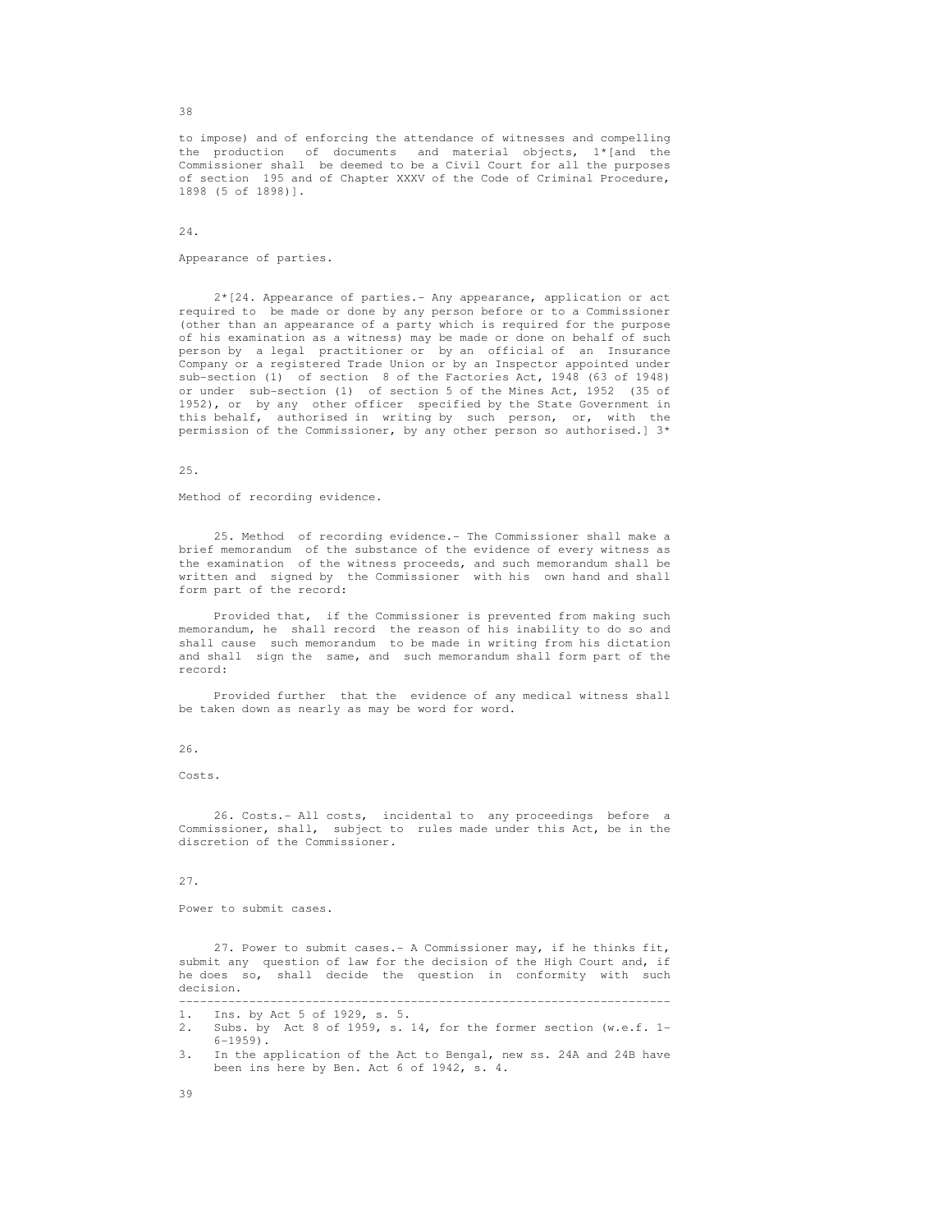to impose) and of enforcing the attendance of witnesses and compelling the production of documents and material objects, 1\*[and the Commissioner shall be deemed to be a Civil Court for all the purposes of section 195 and of Chapter XXXV of the Code of Criminal Procedure, 1898 (5 of 1898)].

# 24.

## Appearance of parties.

 2\*[24. Appearance of parties.- Any appearance, application or act required to be made or done by any person before or to a Commissioner (other than an appearance of a party which is required for the purpose of his examination as a witness) may be made or done on behalf of such person by a legal practitioner or by an official of an Insurance Company or a registered Trade Union or by an Inspector appointed under sub-section (1) of section 8 of the Factories Act, 1948 (63 of 1948) or under sub-section (1) of section 5 of the Mines Act, 1952 (35 of 1952), or by any other officer specified by the State Government in this behalf, authorised in writing by such person, or, with the permission of the Commissioner, by any other person so authorised.] 3\*

# 25.

Method of recording evidence.

 25. Method of recording evidence.- The Commissioner shall make a brief memorandum of the substance of the evidence of every witness as the examination of the witness proceeds, and such memorandum shall be written and signed by the Commissioner with his own hand and shall form part of the record:

 Provided that, if the Commissioner is prevented from making such memorandum, he shall record the reason of his inability to do so and shall cause such memorandum to be made in writing from his dictation and shall sign the same, and such memorandum shall form part of the record:

 Provided further that the evidence of any medical witness shall be taken down as nearly as may be word for word.

## 26.

Costs.

 26. Costs.- All costs, incidental to any proceedings before a Commissioner, shall, subject to rules made under this Act, be in the discretion of the Commissioner.

#### 27.

Power to submit cases.

 27. Power to submit cases.- A Commissioner may, if he thinks fit, submit any question of law for the decision of the High Court and, if he does so, shall decide the question in conformity with such decision.

----------------------------------------------------------------------

38

 <sup>1.</sup> Ins. by Act 5 of 1929, s. 5.

 <sup>2.</sup> Subs. by Act 8 of 1959, s. 14, for the former section (w.e.f. 1- 6-1959).

 <sup>3.</sup> In the application of the Act to Bengal, new ss. 24A and 24B have been ins here by Ben. Act 6 of 1942, s. 4.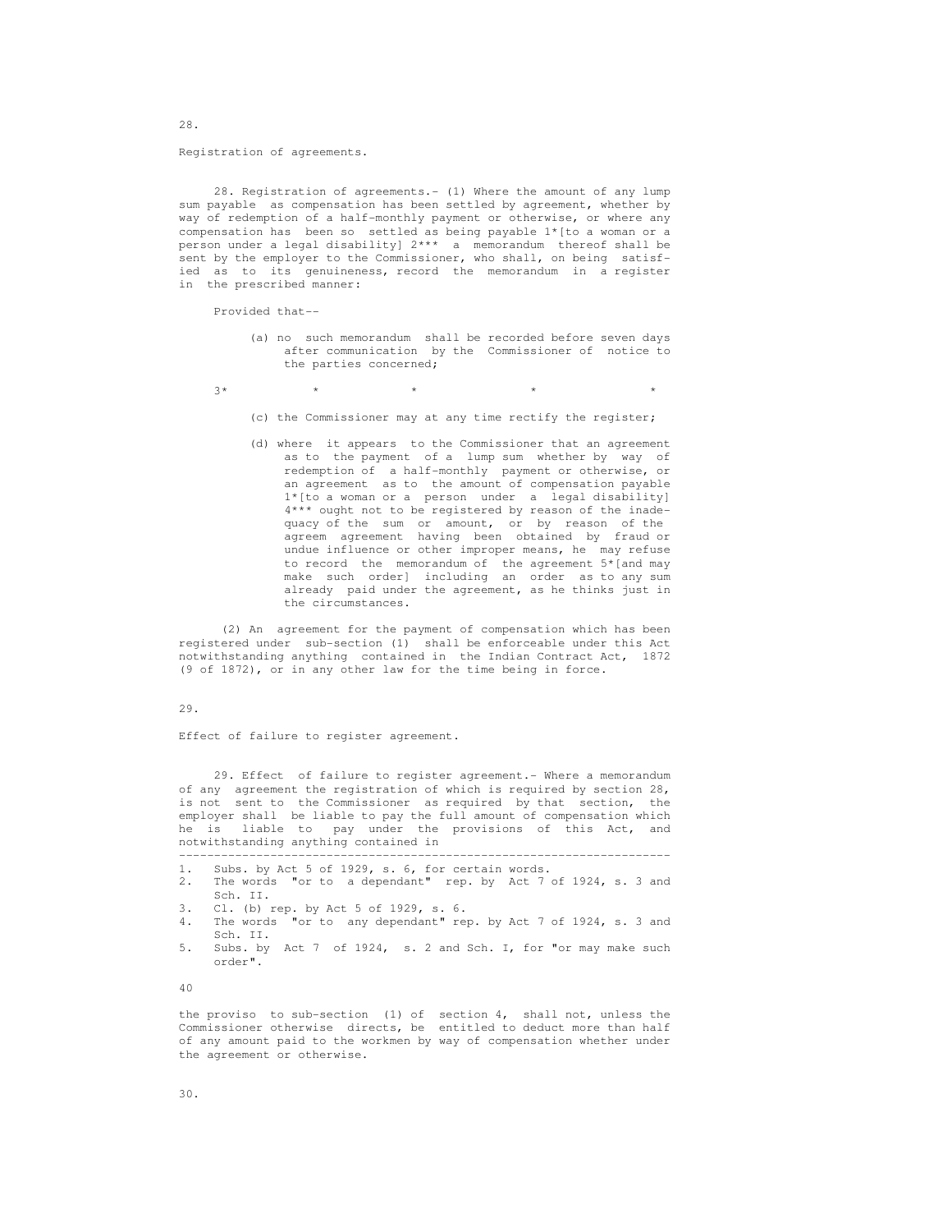Registration of agreements.

 28. Registration of agreements.- (1) Where the amount of any lump sum payable as compensation has been settled by agreement, whether by way of redemption of a half-monthly payment or otherwise, or where any compensation has been so settled as being payable 1\*[to a woman or a person under a legal disability] 2\*\*\* a memorandum thereof shall be sent by the employer to the Commissioner, who shall, on being satisf ied as to its genuineness, record the memorandum in a register in the prescribed manner:

Provided that--

- (a) no such memorandum shall be recorded before seven days after communication by the Commissioner of notice to the parties concerned;
- $3*$  \* \* \* \* \* \* \* \*
	- (c) the Commissioner may at any time rectify the register;
	- (d) where it appears to the Commissioner that an agreement as to the payment of a lump sum whether by way of redemption of a half-monthly payment or otherwise, or an agreement as to the amount of compensation payable 1\*[to a woman or a person under a legal disability] 4\*\*\* ought not to be registered by reason of the inade quacy of the sum or amount, or by reason of the agreem agreement having been obtained by fraud or undue influence or other improper means, he may refuse to record the memorandum of the agreement 5\*[and may make such order] including an order as to any sum already paid under the agreement, as he thinks just in the circumstances.

 (2) An agreement for the payment of compensation which has been registered under sub-section (1) shall be enforceable under this Act notwithstanding anything contained in the Indian Contract Act, 1872 (9 of 1872), or in any other law for the time being in force.

## 29.

Effect of failure to register agreement.

 29. Effect of failure to register agreement.- Where a memorandum of any agreement the registration of which is required by section 28, is not sent to the Commissioner as required by that section, the employer shall be liable to pay the full amount of compensation which he is liable to pay under the provisions of this Act, and notwithstanding anything contained in

 ---------------------------------------------------------------------- 1. Subs. by Act 5 of 1929, s. 6, for certain words. 2. The words "or to a dependant" rep. by Act 7 of 1924, s. 3 and Sch. II. 3. Cl. (b) rep. by Act 5 of 1929, s. 6. 4. The words "or to any dependant" rep. by Act 7 of 1924, s. 3 and Sch. II. 5. Subs. by Act 7 of 1924, s. 2 and Sch. I, for "or may make such order". 40

 the proviso to sub-section (1) of section 4, shall not, unless the Commissioner otherwise directs, be entitled to deduct more than half of any amount paid to the workmen by way of compensation whether under the agreement or otherwise.

28.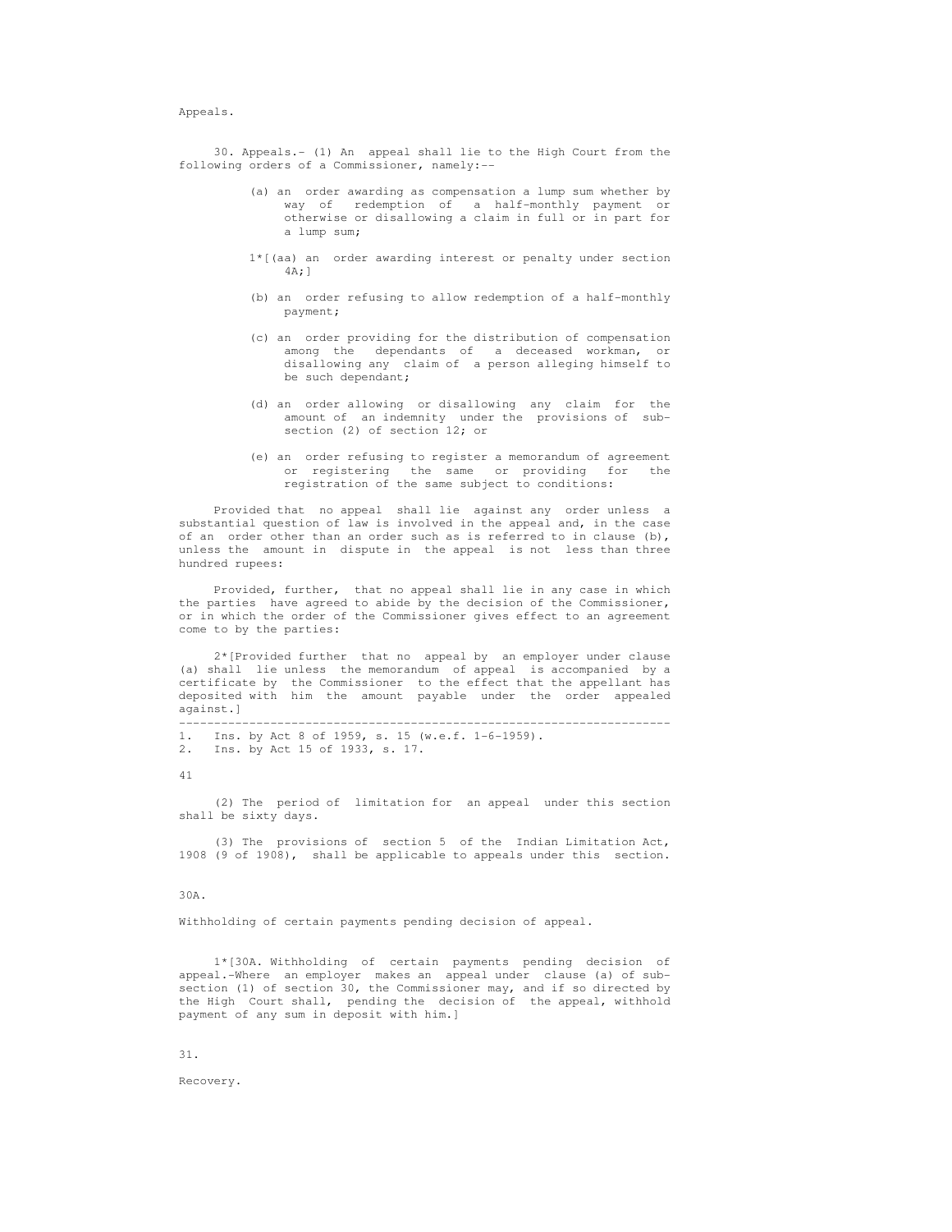## Appeals.

 30. Appeals.- (1) An appeal shall lie to the High Court from the following orders of a Commissioner, namely:--

- (a) an order awarding as compensation a lump sum whether by way of redemption of a half-monthly payment or otherwise or disallowing a claim in full or in part for a lump sum;
- 1\*[(aa) an order awarding interest or penalty under section 4A;]
- (b) an order refusing to allow redemption of a half-monthly payment;
- (c) an order providing for the distribution of compensation among the dependants of a deceased workman, or disallowing any claim of a person alleging himself to be such dependant;
- (d) an order allowing or disallowing any claim for the amount of an indemnity under the provisions of sub section (2) of section 12; or
- (e) an order refusing to register a memorandum of agreement or registering the same or providing for the registration of the same subject to conditions:

 Provided that no appeal shall lie against any order unless a substantial question of law is involved in the appeal and, in the case of an order other than an order such as is referred to in clause  $(b)$ , unless the amount in dispute in the appeal is not less than three hundred rupees:

 Provided, further, that no appeal shall lie in any case in which the parties have agreed to abide by the decision of the Commissioner, or in which the order of the Commissioner gives effect to an agreement come to by the parties:

 2\*[Provided further that no appeal by an employer under clause (a) shall lie unless the memorandum of appeal is accompanied by a certificate by the Commissioner to the effect that the appellant has deposited with him the amount payable under the order appealed against.]

 ---------------------------------------------------------------------- 1. Ins. by Act 8 of 1959, s. 15 (w.e.f. 1-6-1959). 2. Ins. by Act 15 of 1933, s. 17.

41

 (2) The period of limitation for an appeal under this section shall be sixty days.

 (3) The provisions of section 5 of the Indian Limitation Act, 1908 (9 of 1908), shall be applicable to appeals under this section.

### 30A.

Withholding of certain payments pending decision of appeal.

 1\*[30A. Withholding of certain payments pending decision of appeal.-Where an employer makes an appeal under clause (a) of sub section (1) of section 30, the Commissioner may, and if so directed by the High Court shall, pending the decision of the appeal, withhold payment of any sum in deposit with him.]

31.

Recovery.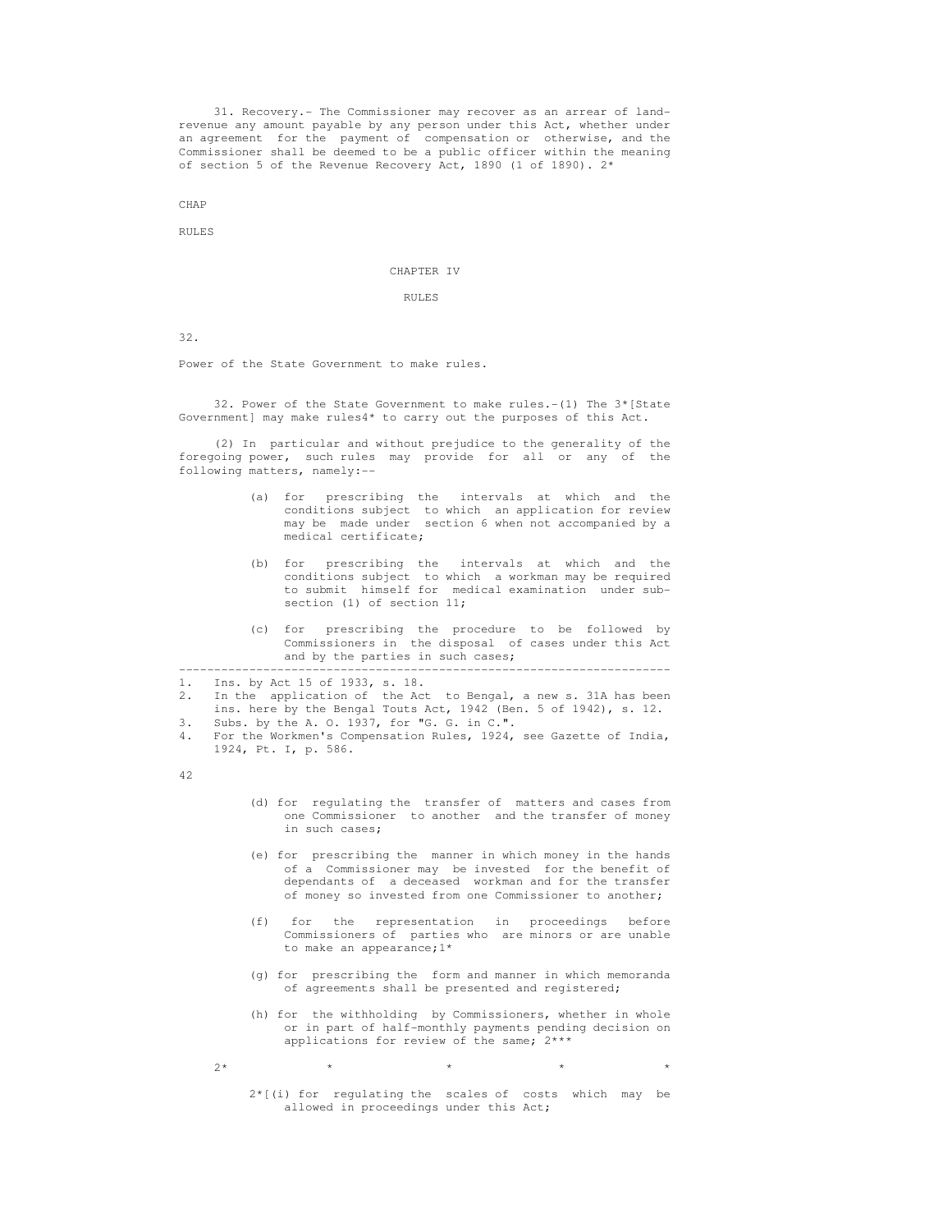31. Recovery.- The Commissioner may recover as an arrear of land revenue any amount payable by any person under this Act, whether under an agreement for the payment of compensation or otherwise, and the Commissioner shall be deemed to be a public officer within the meaning of section 5 of the Revenue Recovery Act, 1890 (1 of 1890). 2\*

CHAP

RULES

## CHAPTER IV

## RULES

32.

Power of the State Government to make rules.

 32. Power of the State Government to make rules.-(1) The 3\*[State Government] may make rules4\* to carry out the purposes of this Act.

 (2) In particular and without prejudice to the generality of the foregoing power, such rules may provide for all or any of the following matters, namely:--

- (a) for prescribing the intervals at which and the conditions subject to which an application for review may be made under section 6 when not accompanied by a medical certificate;
- (b) for prescribing the intervals at which and the conditions subject to which a workman may be required to submit himself for medical examination under sub section (1) of section 11;
	- (c) for prescribing the procedure to be followed by Commissioners in the disposal of cases under this Act and by the parties in such cases;

1. Ins. by Act 15 of 1933, s. 18.

 2. In the application of the Act to Bengal, a new s. 31A has been ins. here by the Bengal Touts Act,  $1942$  (Ben. 5 of  $1942$ ), s. 12.<br>3. Subs. by the A. O. 1937. for "G. G. in C.".

----------------------------------------------------------------------

- Subs. by the A. O. 1937, for "G. G. in C.".
- 4. For the Workmen's Compensation Rules, 1924, see Gazette of India, 1924, Pt. I, p. 586.

42

- (d) for regulating the transfer of matters and cases from one Commissioner to another and the transfer of money in such cases;
- (e) for prescribing the manner in which money in the hands of a Commissioner may be invested for the benefit of dependants of a deceased workman and for the transfer of money so invested from one Commissioner to another;
- (f) for the representation in proceedings before Commissioners of parties who are minors or are unable to make an appearance;1\*
	- (g) for prescribing the form and manner in which memoranda of agreements shall be presented and registered;
- (h) for the withholding by Commissioners, whether in whole or in part of half-monthly payments pending decision on applications for review of the same; 2\*\*\*
- $2*$  \* \* \* \* \* \* \* \* \*

 2\*[(i) for regulating the scales of costs which may be allowed in proceedings under this Act;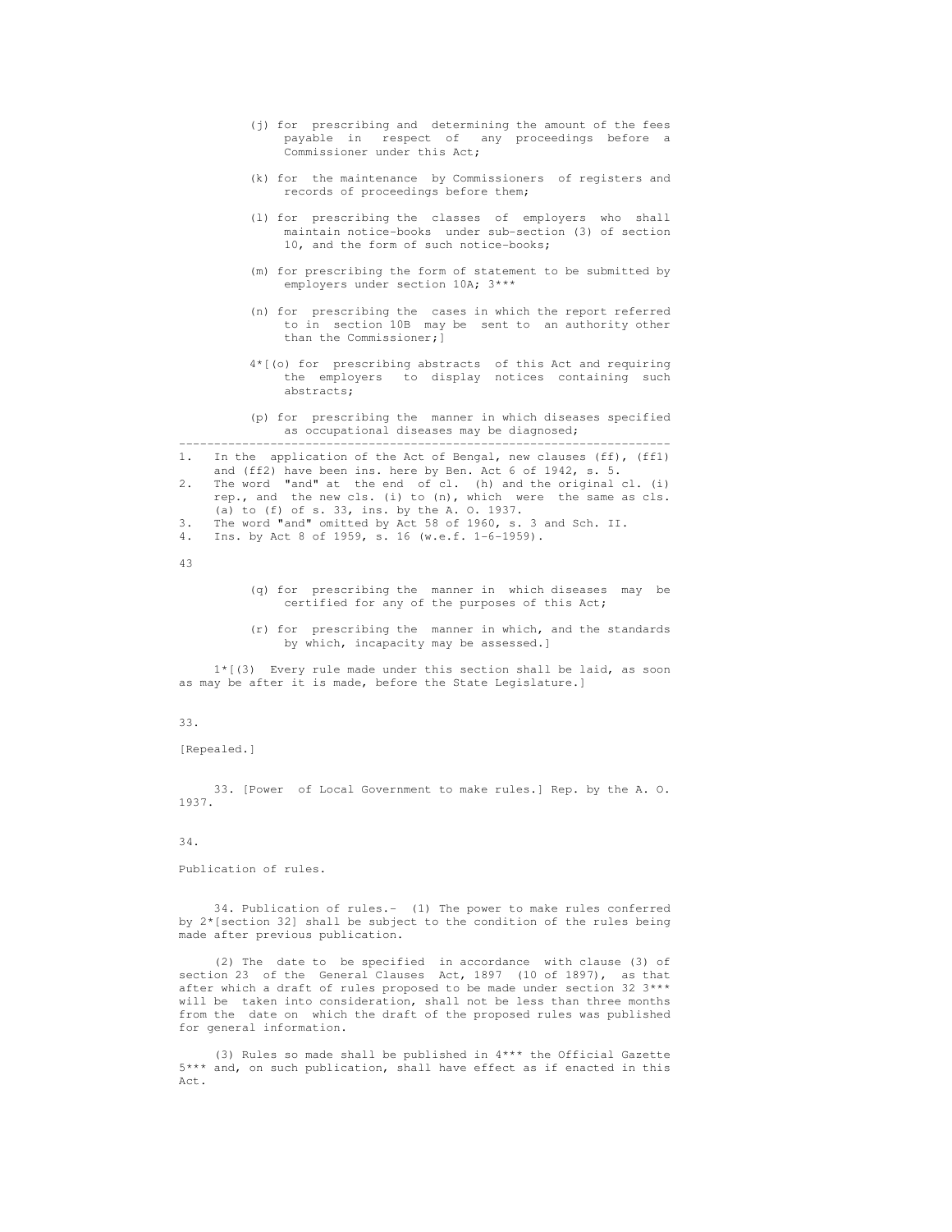- (j) for prescribing and determining the amount of the fees payable in respect of any proceedings before a Commissioner under this Act;
- (k) for the maintenance by Commissioners of registers and records of proceedings before them;
- (l) for prescribing the classes of employers who shall maintain notice-books under sub-section (3) of section 10, and the form of such notice-books;
- (m) for prescribing the form of statement to be submitted by employers under section 10A; 3\*\*\*
- (n) for prescribing the cases in which the report referred to in section 10B may be sent to an authority other than the Commissioner;]
- 4\*[(o) for prescribing abstracts of this Act and requiring the employers to display notices containing such abstracts;
- (p) for prescribing the manner in which diseases specified as occupational diseases may be diagnosed;

 ---------------------------------------------------------------------- 1. In the application of the Act of Bengal, new clauses (ff), (ff1) and (ff2) have been ins. here by Ben. Act 6 of 1942, s. 5.

- 2. The word "and" at the end of cl. (h) and the original cl. (i) rep., and the new cls. (i) to (n), which were the same as cls. (a) to (f) of s. 33, ins. by the A. O. 1937.
- 3. The word "and" omitted by Act 58 of 1960, s. 3 and Sch. II.
- 4. Ins. by Act 8 of 1959, s. 16 (w.e.f. 1-6-1959).
- 43
- (q) for prescribing the manner in which diseases may be certified for any of the purposes of this Act;
- (r) for prescribing the manner in which, and the standards by which, incapacity may be assessed.]

 1\*[(3) Every rule made under this section shall be laid, as soon as may be after it is made, before the State Legislature.]

## 33.

[Repealed.]

 33. [Power of Local Government to make rules.] Rep. by the A. O. 1937.

## 34.

Publication of rules.

 34. Publication of rules.- (1) The power to make rules conferred by 2\*[section 32] shall be subject to the condition of the rules being made after previous publication.

 (2) The date to be specified in accordance with clause (3) of section 23 of the General Clauses Act, 1897 (10 of 1897), as that after which a draft of rules proposed to be made under section 32 3\*\*\* will be taken into consideration, shall not be less than three months from the date on which the draft of the proposed rules was published for general information.

 (3) Rules so made shall be published in 4\*\*\* the Official Gazette 5\*\*\* and, on such publication, shall have effect as if enacted in this Act.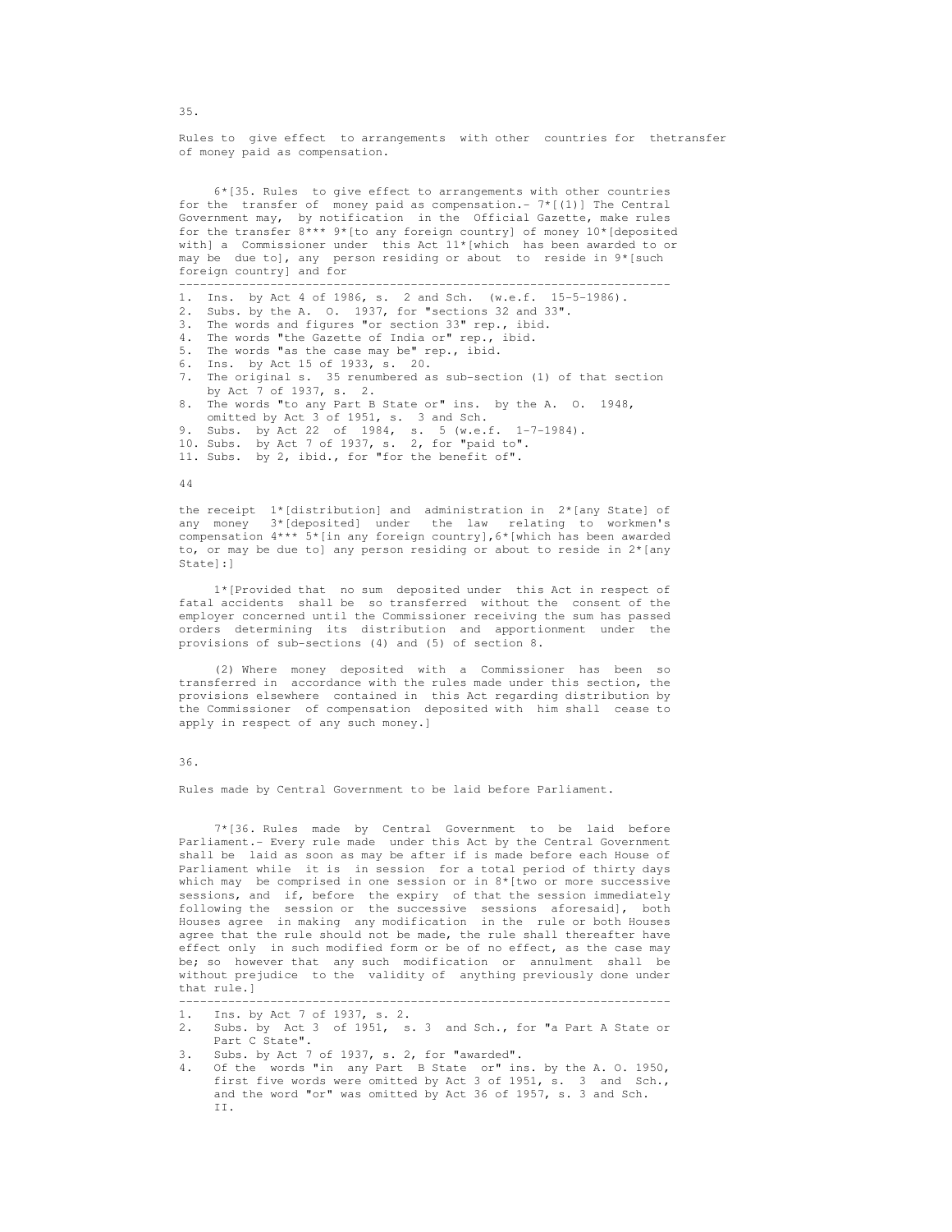Rules to give effect to arrangements with other countries for thetransfer of money paid as compensation.

 6\*[35. Rules to give effect to arrangements with other countries for the transfer of money paid as compensation.-  $7*(1)$ ] The Central Government may, by notification in the Official Gazette, make rules for the transfer  $8***$  9\*[to any foreign country] of money  $10*$ [deposited with] a Commissioner under this Act 11\*[which has been awarded to or may be due to], any person residing or about to reside in 9\*[such foreign country] and for

----------------------------------------------------------------------

- 1. Ins. by Act 4 of 1986, s. 2 and Sch. (w.e.f. 15-5-1986).
- 2. Subs. by the A. O. 1937, for "sections 32 and 33".
- 3. The words and figures "or section 33" rep., ibid.<br>4. The words "the Gazette of India or" rep., ibid.
- The words "the Gazette of India or" rep., ibid.
- 5. The words "as the case may be" rep., ibid.
- 6. Ins. by Act 15 of 1933, s. 20.
- 7. The original s. 35 renumbered as sub-section (1) of that section by Act 7 of 1937, s. 2.
- 8. The words "to any Part B State or" ins. by the A. O. 1948,
- omitted by Act 3 of 1951, s. 3 and Sch. 9. Subs. by Act 22 of 1984, s. 5 (w.e.f. 1-7-1984).
- 
- 10. Subs. by Act 7 of 1937, s. 2, for "paid to".
- 11. Subs. by 2, ibid., for "for the benefit of".

#### 44

 the receipt 1\*[distribution] and administration in 2\*[any State] of any money 3\*[deposited] under the law relating to workmen's compensation 4\*\*\* 5\*[in any foreign country],6\*[which has been awarded to, or may be due to] any person residing or about to reside in 2\*[any State]:]

 1\*[Provided that no sum deposited under this Act in respect of fatal accidents shall be so transferred without the consent of the employer concerned until the Commissioner receiving the sum has passed orders determining its distribution and apportionment under the provisions of sub-sections (4) and (5) of section 8.

 (2) Where money deposited with a Commissioner has been so transferred in accordance with the rules made under this section, the provisions elsewhere contained in this Act regarding distribution by the Commissioner of compensation deposited with him shall cease to apply in respect of any such money.]

#### 36.

Rules made by Central Government to be laid before Parliament.

 7\*[36. Rules made by Central Government to be laid before Parliament.- Every rule made under this Act by the Central Government shall be laid as soon as may be after if is made before each House of Parliament while it is in session for a total period of thirty days which may be comprised in one session or in 8\*[two or more successive sessions, and if, before the expiry of that the session immediately following the session or the successive sessions aforesaid], both Houses agree in making any modification in the rule or both Houses agree that the rule should not be made, the rule shall thereafter have effect only in such modified form or be of no effect, as the case may be; so however that any such modification or annulment shall be without prejudice to the validity of anything previously done under that rule.]

 2. Subs. by Act 3 of 1951, s. 3 and Sch., for "a Part A State or Part C State".

----------------------------------------------------------------------

- 3. Subs. by Act 7 of 1937, s. 2, for "awarded".<br>4. Of the words "in any Part B State or" in
- Of the words "in any Part B State or" ins. by the A. O. 1950, first five words were omitted by Act 3 of 1951, s. 3 and Sch., and the word "or" was omitted by Act 36 of 1957, s. 3 and Sch. II.

35.

 <sup>1.</sup> Ins. by Act 7 of 1937, s. 2.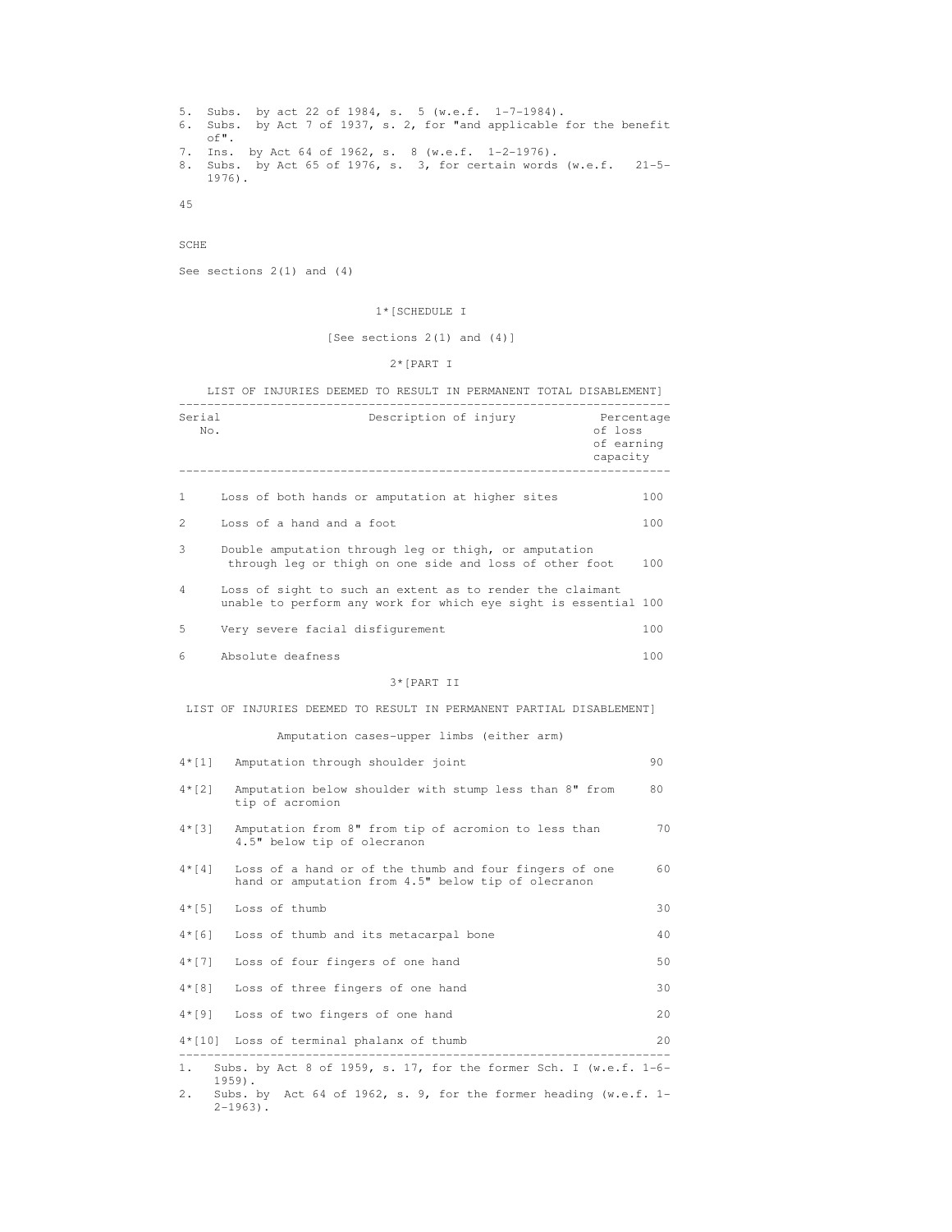```
 5. Subs. by act 22 of 1984, s. 5 (w.e.f. 1-7-1984). 
 6. Subs. by Act 7 of 1937, s. 2, for "and applicable for the benefit 
 of". 
 7. Ins. by Act 64 of 1962, s. 8 (w.e.f. 1-2-1976). 
 8. Subs. by Act 65 of 1976, s. 3, for certain words (w.e.f. 21-5- 
 1976).
```
45

SCHE

See sections 2(1) and (4)

# 1\*[SCHEDULE I

[See sections 2(1) and (4)]

2\*[PART I

LIST OF INJURIES DEEMED TO RESULT IN PERMANENT TOTAL DISABLEMENT]

| Serial<br>No. | Description of injury<br>Percentage<br>of loss<br>of earning<br>capacity                                                     |     |
|---------------|------------------------------------------------------------------------------------------------------------------------------|-----|
| 1             | Loss of both hands or amputation at higher sites                                                                             | 100 |
| 2             | Loss of a hand and a foot                                                                                                    | 100 |
| 3             | Double amputation through leg or thigh, or amputation<br>through leg or thigh on one side and loss of other foot             | 100 |
| 4             | Loss of sight to such an extent as to render the claimant<br>unable to perform any work for which eye sight is essential 100 |     |
| 5             | Very severe facial disfigurement                                                                                             | 100 |
| 6             | Absolute deafness                                                                                                            | 100 |
|               | 3* [PART II                                                                                                                  |     |
|               | LIST OF INJURIES DEEMED TO RESULT IN PERMANENT PARTIAL DISABLEMENT]                                                          |     |
|               | Amputation cases-upper limbs (either arm)                                                                                    |     |
| $4 * [1]$     | Amputation through shoulder joint                                                                                            | 90  |
| $4 * [2]$     | Amputation below shoulder with stump less than 8" from<br>tip of acromion                                                    | 80  |
| $4*131$       | Amputation from 8" from tip of acromion to less than<br>4.5" below tip of olecranon                                          | 70  |
| $4 * [4]$     | Loss of a hand or of the thumb and four fingers of one<br>hand or amputation from 4.5" below tip of olecranon                | 60  |
| $4 * [5]$     | Loss of thumb                                                                                                                | 30  |
| $4 * [6]$     | Loss of thumb and its metacarpal bone                                                                                        | 40  |
| $4 * [7]$     | Loss of four fingers of one hand                                                                                             | 50  |
| 4*[8]         | Loss of three fingers of one hand                                                                                            | 30  |
|               | 4*[9] Loss of two fingers of one hand                                                                                        | 20  |
|               | 4*[10] Loss of terminal phalanx of thumb                                                                                     | 20  |

 2. Subs. by Act 64 of 1962, s. 9, for the former heading (w.e.f. 1-  $2-1963$ ).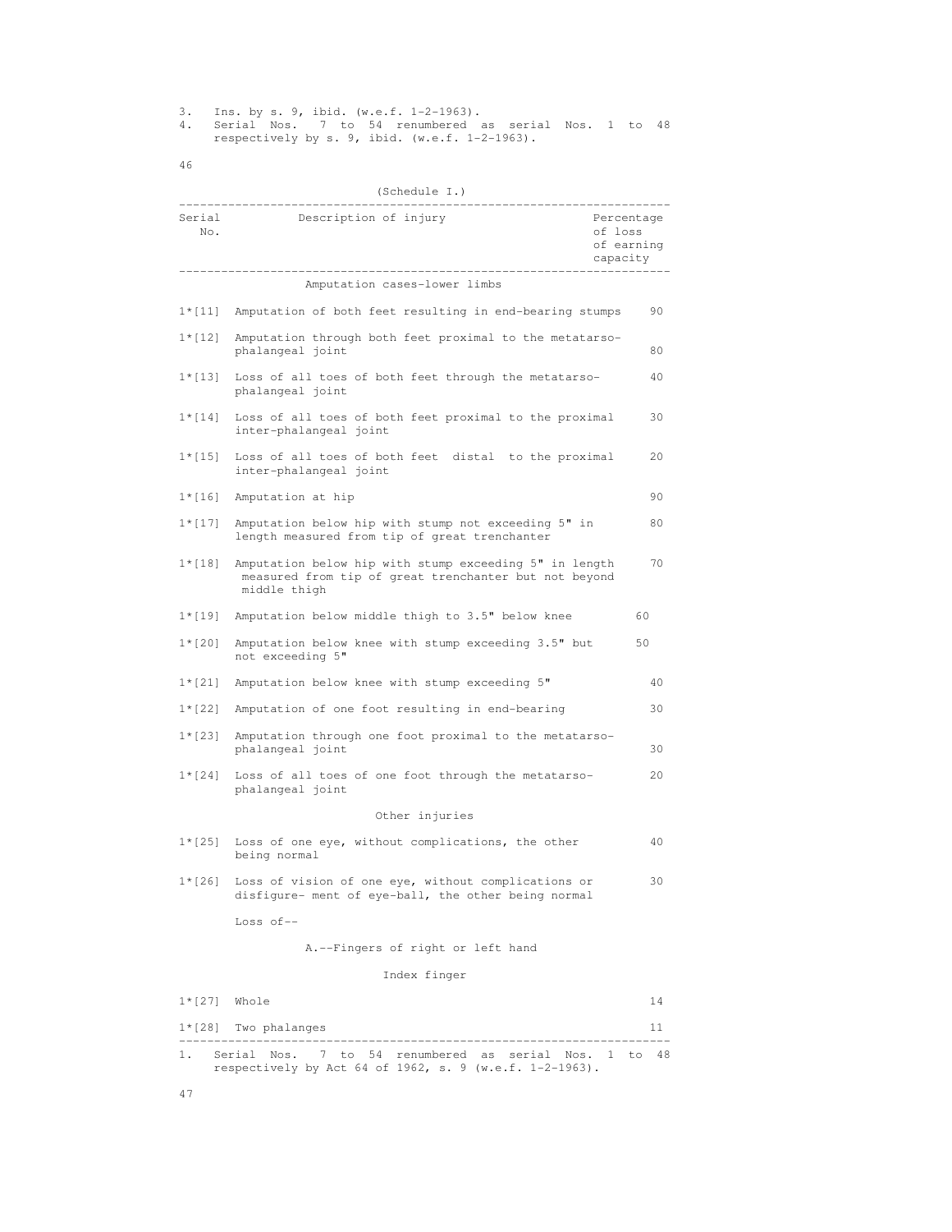3. Ins. by s. 9, ibid. (w.e.f. 1-2-1963).

 4. Serial Nos. 7 to 54 renumbered as serial Nos. 1 to 48 respectively by s. 9, ibid. (w.e.f. 1-2-1963).

46

# (Schedule I.)

| Serial<br>No.  | Description of injury                                                                                                           | Percentage<br>of loss<br>of earning<br>capacity |
|----------------|---------------------------------------------------------------------------------------------------------------------------------|-------------------------------------------------|
|                | Amputation cases-lower limbs                                                                                                    |                                                 |
|                | 1*[11] Amputation of both feet resulting in end-bearing stumps                                                                  | 90                                              |
| $1 * [12]$     | Amputation through both feet proximal to the metatarso-<br>phalangeal joint                                                     | 80                                              |
| $1 * [13]$     | Loss of all toes of both feet through the metatarso-<br>phalangeal joint                                                        | 40                                              |
| $1 * [14]$     | Loss of all toes of both feet proximal to the proximal<br>inter-phalangeal joint                                                | 30                                              |
| $1 * [15]$     | Loss of all toes of both feet distal to the proximal<br>inter-phalangeal joint                                                  | 20                                              |
| $1 * [16]$     | Amputation at hip                                                                                                               | 90                                              |
| $1 * [17]$     | Amputation below hip with stump not exceeding 5" in<br>length measured from tip of great trenchanter                            | 80                                              |
| $1 * [18]$     | Amputation below hip with stump exceeding 5" in length<br>measured from tip of great trenchanter but not beyond<br>middle thigh | 70                                              |
| $1 * [19]$     | Amputation below middle thigh to 3.5" below knee                                                                                | 60                                              |
| $1 * [20]$     | Amputation below knee with stump exceeding 3.5" but<br>not exceeding 5"                                                         | 50                                              |
| $1 * [21]$     | Amputation below knee with stump exceeding 5"                                                                                   | 40                                              |
| $1 * [22]$     | Amputation of one foot resulting in end-bearing                                                                                 | 30                                              |
| $1 * [23]$     | Amputation through one foot proximal to the metatarso-<br>phalangeal joint                                                      | 30                                              |
| $1 * [24]$     | Loss of all toes of one foot through the metatarso-<br>phalangeal joint                                                         | 20                                              |
|                | Other injuries                                                                                                                  |                                                 |
| $1 * [25]$     | Loss of one eye, without complications, the other<br>being normal                                                               | 40                                              |
| $1 * [26]$     | Loss of vision of one eye, without complications or<br>disfigure- ment of eye-ball, the other being normal                      | 30                                              |
|                | Loss of $--$                                                                                                                    |                                                 |
|                | A.--Fingers of right or left hand                                                                                               |                                                 |
|                | Index finger                                                                                                                    |                                                 |
| $1*[27]$ Whole |                                                                                                                                 | 14                                              |
|                | $1*[28]$ Two phalanges                                                                                                          | 11                                              |
| 1.             | Serial Nos. 7 to 54 renumbered as serial Nos. 1 to                                                                              | 48                                              |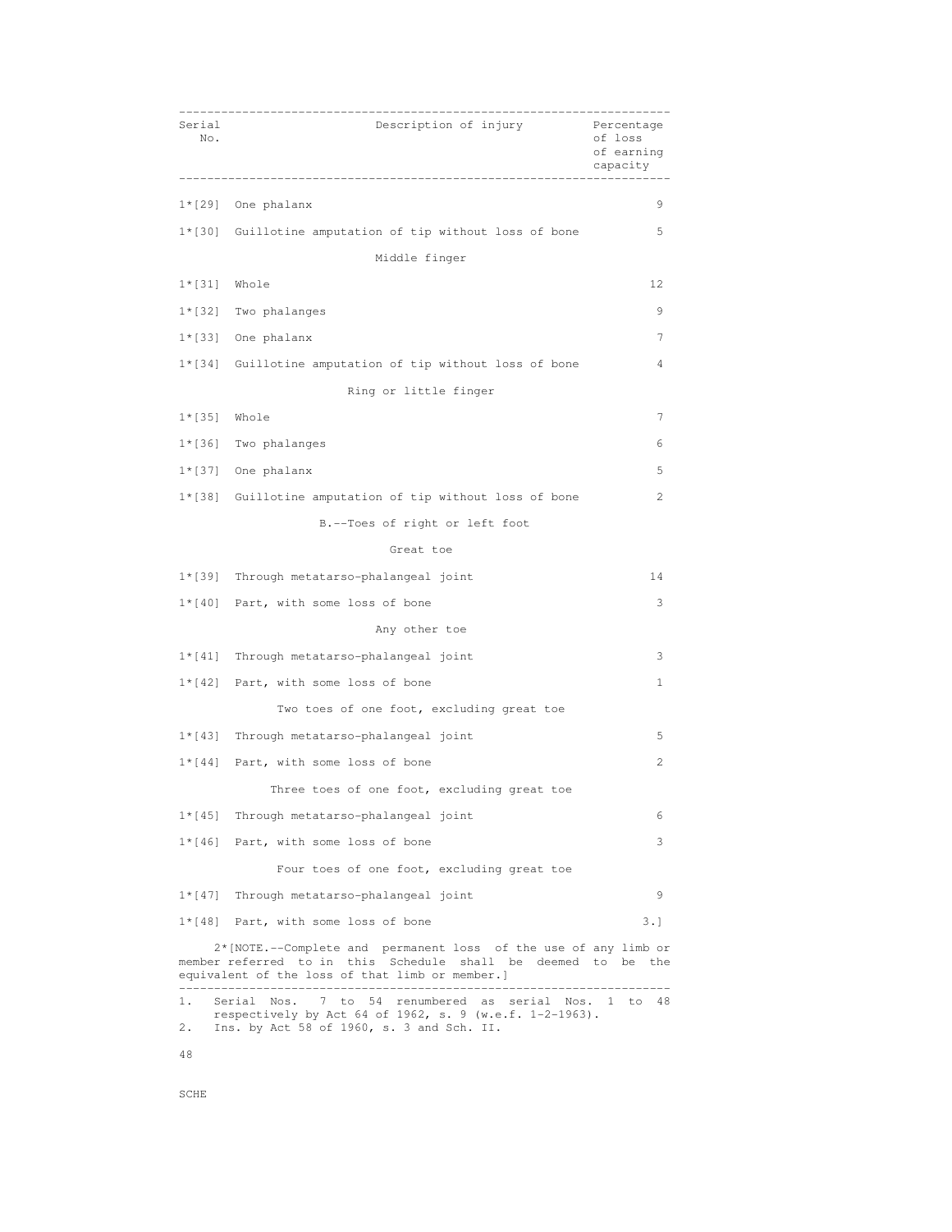| Serial<br>No.   | Description of injury                                                                                                                                                                                                             | Percentage<br>of loss<br>of earning<br>capacity |
|-----------------|-----------------------------------------------------------------------------------------------------------------------------------------------------------------------------------------------------------------------------------|-------------------------------------------------|
|                 | $1*[29]$ One phalanx                                                                                                                                                                                                              | 9                                               |
|                 | 1*[30] Guillotine amputation of tip without loss of bone                                                                                                                                                                          | 5                                               |
|                 | Middle finger                                                                                                                                                                                                                     |                                                 |
| $1* [31]$ Whole |                                                                                                                                                                                                                                   | 12                                              |
|                 | $1*[32]$ Two phalanges                                                                                                                                                                                                            | 9                                               |
|                 | $1*[33]$ One phalanx                                                                                                                                                                                                              | 7                                               |
|                 | 1*[34] Guillotine amputation of tip without loss of bone                                                                                                                                                                          | 4                                               |
|                 | Ring or little finger                                                                                                                                                                                                             |                                                 |
| $1*[35]$ Whole  |                                                                                                                                                                                                                                   | 7                                               |
|                 | 1*[36] Two phalanges                                                                                                                                                                                                              | 6                                               |
|                 | $1*[37]$ One phalanx                                                                                                                                                                                                              | 5                                               |
|                 | 1*[38] Guillotine amputation of tip without loss of bone                                                                                                                                                                          | 2                                               |
|                 | B.--Toes of right or left foot                                                                                                                                                                                                    |                                                 |
|                 | Great toe                                                                                                                                                                                                                         |                                                 |
|                 | 1*[39] Through metatarso-phalangeal joint                                                                                                                                                                                         | 14                                              |
|                 | $1*(40)$ Part, with some loss of bone                                                                                                                                                                                             | 3                                               |
|                 | Any other toe                                                                                                                                                                                                                     |                                                 |
|                 | 1*[41] Through metatarso-phalangeal joint                                                                                                                                                                                         | 3                                               |
|                 | $1*[42]$ Part, with some loss of bone                                                                                                                                                                                             | 1                                               |
|                 | Two toes of one foot, excluding great toe                                                                                                                                                                                         |                                                 |
|                 | 1*[43] Through metatarso-phalangeal joint                                                                                                                                                                                         | 5                                               |
|                 | $1*[44]$ Part, with some loss of bone                                                                                                                                                                                             | 2                                               |
|                 | Three toes of one foot, excluding great toe                                                                                                                                                                                       |                                                 |
| $1 * [45]$      | Through metatarso-phalangeal joint                                                                                                                                                                                                | 6                                               |
| $1 * [46]$      | Part, with some loss of bone                                                                                                                                                                                                      | 3                                               |
|                 | Four toes of one foot, excluding great toe                                                                                                                                                                                        |                                                 |
| $1 * [47]$      | Through metatarso-phalangeal joint                                                                                                                                                                                                | 9                                               |
|                 | $1*(48)$ Part, with some loss of bone                                                                                                                                                                                             | 3.1                                             |
|                 | 2* [NOTE.--Complete and permanent loss of the use of any limb or<br>member referred to in this Schedule shall be deemed to be the<br>equivalent of the loss of that limb or member.]<br>_______________________________<br>------ |                                                 |

 respectively by Act 64 of 1962, s. 9 (w.e.f. 1-2-1963). 2. Ins. by Act 58 of 1960, s. 3 and Sch. II.

48

SCHE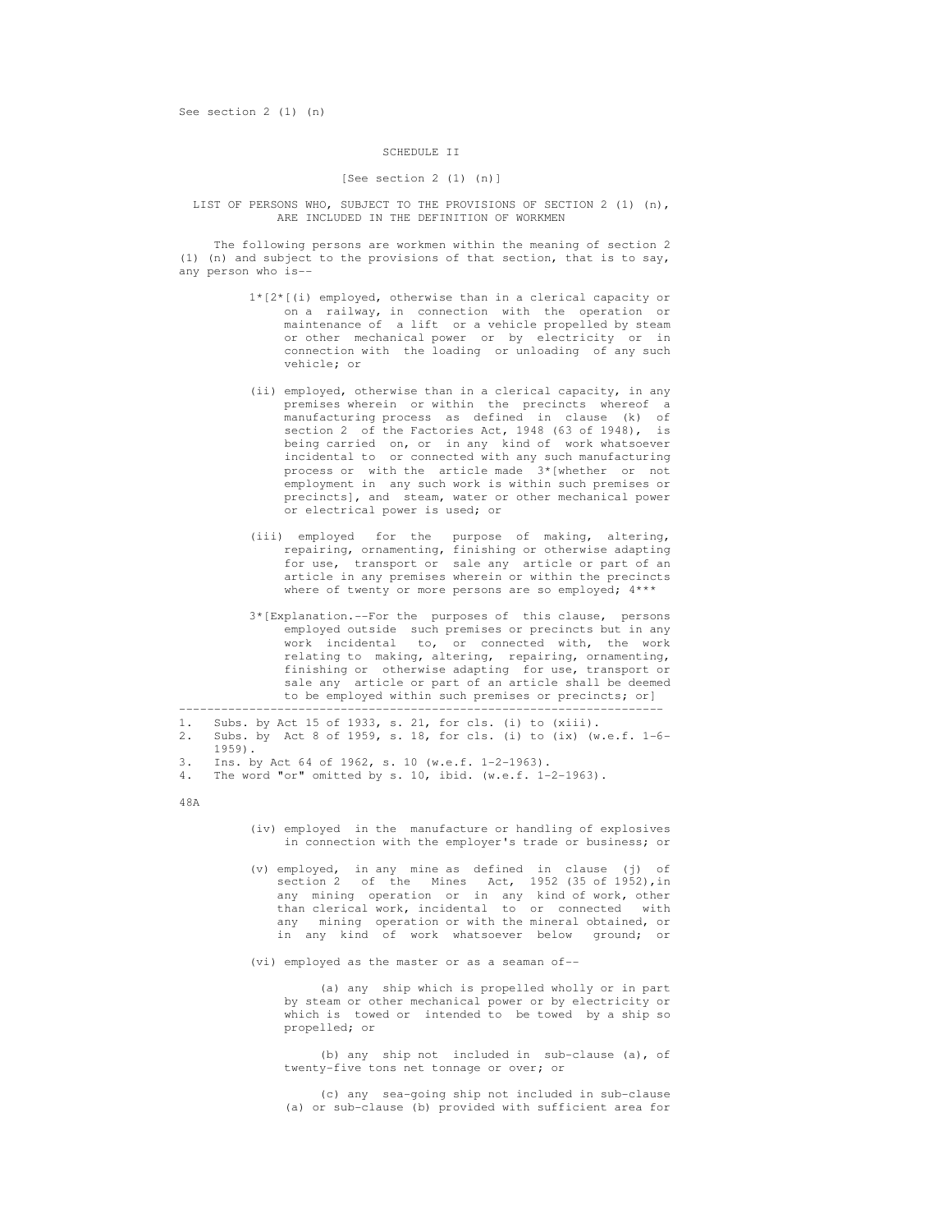# SCHEDULE II

# [See section 2 (1) (n)]

 LIST OF PERSONS WHO, SUBJECT TO THE PROVISIONS OF SECTION 2 (1) (n), ARE INCLUDED IN THE DEFINITION OF WORKMEN

 The following persons are workmen within the meaning of section 2 (1) (n) and subject to the provisions of that section, that is to say, any person who is--

- 1\*[2\*[(i) employed, otherwise than in a clerical capacity or on a railway, in connection with the operation or maintenance of a lift or a vehicle propelled by steam or other mechanical power or by electricity or in connection with the loading or unloading of any such vehicle; or
- (ii) employed, otherwise than in a clerical capacity, in any premises wherein or within the precincts whereof a manufacturing process as defined in clause (k) of section 2 of the Factories Act, 1948 (63 of 1948), is being carried on, or in any kind of work whatsoever incidental to or connected with any such manufacturing process or with the article made 3\*[whether or not employment in any such work is within such premises or precincts], and steam, water or other mechanical power or electrical power is used; or
- (iii) employed for the purpose of making, altering, repairing, ornamenting, finishing or otherwise adapting for use, transport or sale any article or part of an article in any premises wherein or within the precincts where of twenty or more persons are so employed;  $4***$ 
	- 3\*[Explanation.--For the purposes of this clause, persons employed outside such premises or precincts but in any work incidental to, or connected with, the work relating to making, altering, repairing, ornamenting, finishing or otherwise adapting for use, transport or sale any article or part of an article shall be deemed to be employed within such premises or precincts; or]

 --------------------------------------------------------------------- 1. Subs. by Act 15 of 1933, s. 21, for cls. (i) to (xiii).

2. Subs. by Act 8 of 1959, s. 18, for cls. (i) to (ix) (w.e.f. 1-6-

1959).

- 3. Ins. by Act 64 of 1962, s. 10 (w.e.f. 1-2-1963).
- 4. The word "or" omitted by s. 10, ibid. (w.e.f. 1-2-1963).

48A

- (iv) employed in the manufacture or handling of explosives in connection with the employer's trade or business; or
- (v) employed, in any mine as defined in clause (j) of section 2 of the Mines Act, 1952 (35 of 1952), in any mining operation or in any kind of work, other than clerical work, incidental to or connected with any mining operation or with the mineral obtained, or in any kind of work whatsoever below ground; or
- (vi) employed as the master or as a seaman of--

 (a) any ship which is propelled wholly or in part by steam or other mechanical power or by electricity or which is towed or intended to be towed by a ship so propelled; or

 (b) any ship not included in sub-clause (a), of twenty-five tons net tonnage or over; or

 (c) any sea-going ship not included in sub-clause (a) or sub-clause (b) provided with sufficient area for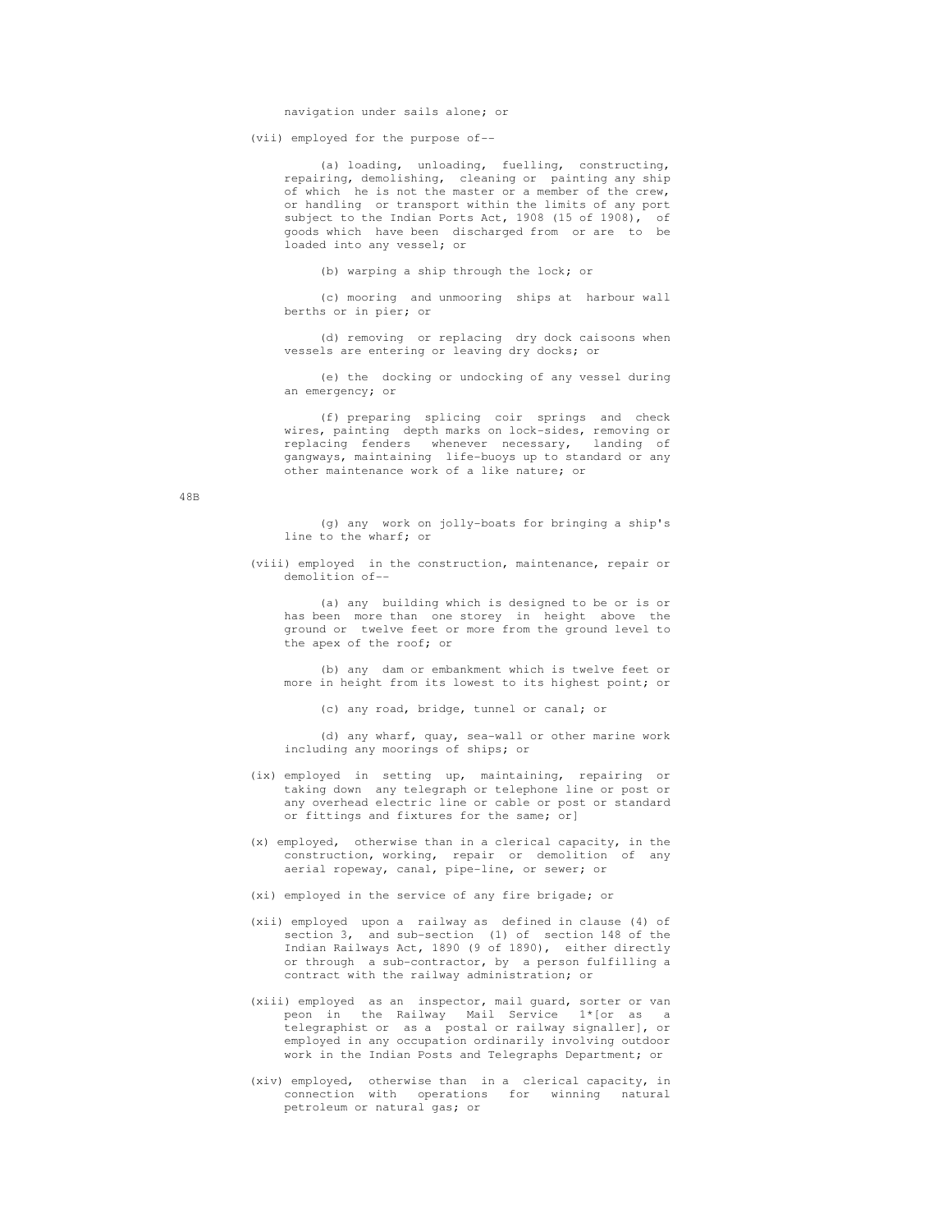(vii) employed for the purpose of--

 (a) loading, unloading, fuelling, constructing, repairing, demolishing, cleaning or painting any ship of which he is not the master or a member of the crew, or handling or transport within the limits of any port subject to the Indian Ports Act, 1908 (15 of 1908), of goods which have been discharged from or are to be loaded into any vessel; or

(b) warping a ship through the lock; or

 (c) mooring and unmooring ships at harbour wall berths or in pier; or

 (d) removing or replacing dry dock caisoons when vessels are entering or leaving dry docks; or

 (e) the docking or undocking of any vessel during an emergency; or

 (f) preparing splicing coir springs and check wires, painting depth marks on lock-sides, removing or replacing fenders whenever necessary, landing of gangways, maintaining life-buoys up to standard or any other maintenance work of a like nature; or

48B

 (g) any work on jolly-boats for bringing a ship's line to the wharf; or

 (viii) employed in the construction, maintenance, repair or demolition of--

 (a) any building which is designed to be or is or has been more than one storey in height above the ground or twelve feet or more from the ground level to the apex of the roof; or

 (b) any dam or embankment which is twelve feet or more in height from its lowest to its highest point; or

(c) any road, bridge, tunnel or canal; or

 (d) any wharf, quay, sea-wall or other marine work including any moorings of ships; or

- (ix) employed in setting up, maintaining, repairing or taking down any telegraph or telephone line or post or any overhead electric line or cable or post or standard or fittings and fixtures for the same; or]
- (x) employed, otherwise than in a clerical capacity, in the construction, working, repair or demolition of any aerial ropeway, canal, pipe-line, or sewer; or
- (xi) employed in the service of any fire brigade; or
- (xii) employed upon a railway as defined in clause (4) of section 3, and sub-section (1) of section 148 of the Indian Railways Act, 1890 (9 of 1890), either directly or through a sub-contractor, by a person fulfilling a contract with the railway administration; or
- (xiii) employed as an inspector, mail guard, sorter or van peon in the Railway Mail Service 1\*[or as a telegraphist or as a postal or railway signaller], or employed in any occupation ordinarily involving outdoor work in the Indian Posts and Telegraphs Department; or
- (xiv) employed, otherwise than in a clerical capacity, in connection with operations for winning natural petroleum or natural gas; or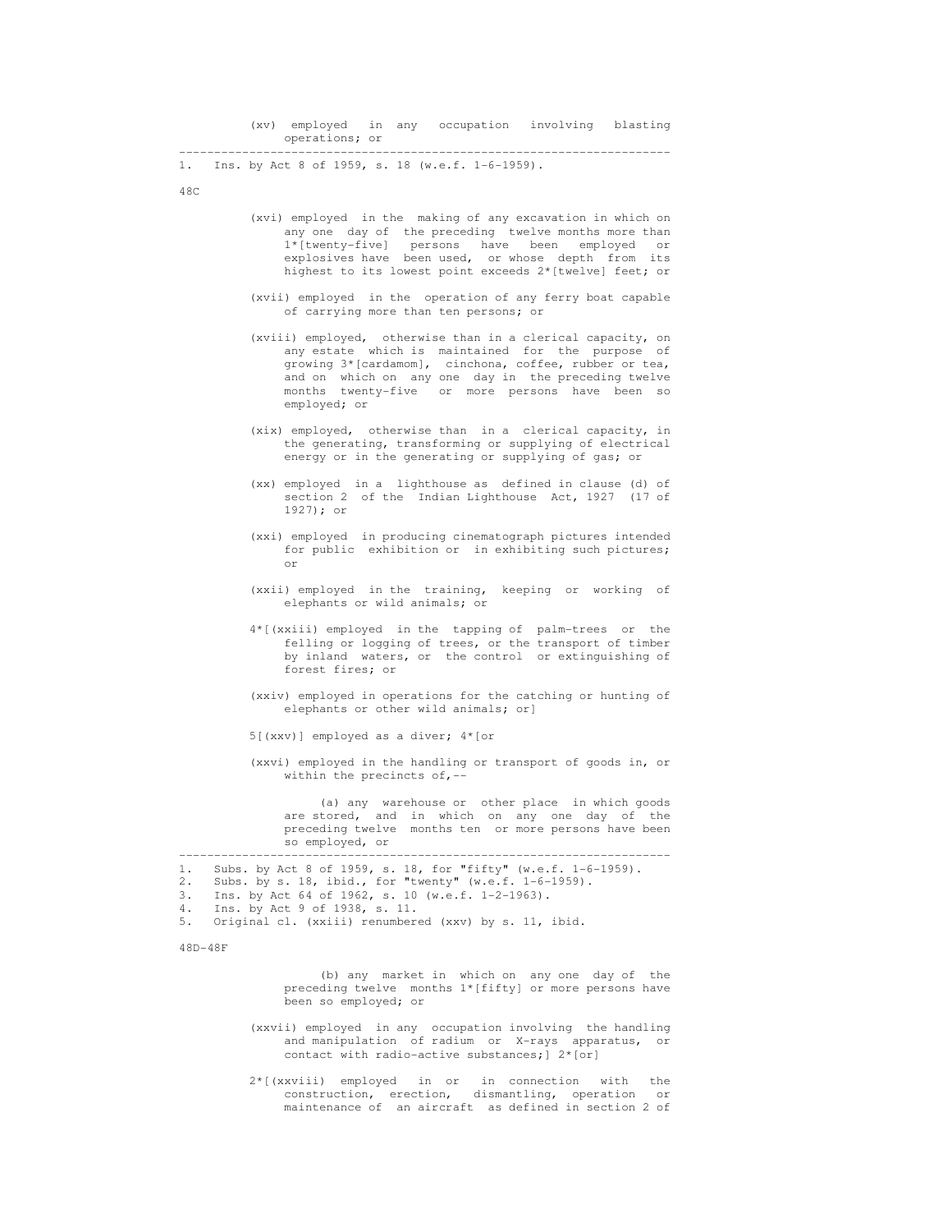| (xv) employed in any occupation involving blasting |  |  |  |
|----------------------------------------------------|--|--|--|
| operations; or                                     |  |  |  |

 ---------------------------------------------------------------------- Ins. by Act 8 of 1959, s. 18 (w.e.f. 1-6-1959).

48C

- (xvi) employed in the making of any excavation in which on any one day of the preceding twelve months more than 1\*[twenty-five] persons have been employed or explosives have been used, or whose depth from its highest to its lowest point exceeds 2\*[twelve] feet; or
- (xvii) employed in the operation of any ferry boat capable of carrying more than ten persons; or
- (xviii) employed, otherwise than in a clerical capacity, on any estate which is maintained for the purpose of growing 3\*[cardamom], cinchona, coffee, rubber or tea, and on which on any one day in the preceding twelve months twenty-five or more persons have been so employed; or
- (xix) employed, otherwise than in a clerical capacity, in the generating, transforming or supplying of electrical energy or in the generating or supplying of gas; or
- (xx) employed in a lighthouse as defined in clause (d) of section 2 of the Indian Lighthouse Act, 1927 (17 of 1927); or
- (xxi) employed in producing cinematograph pictures intended for public exhibition or in exhibiting such pictures; or
	- (xxii) employed in the training, keeping or working of elephants or wild animals; or
	- 4\*[(xxiii) employed in the tapping of palm-trees or the felling or logging of trees, or the transport of timber by inland waters, or the control or extinguishing of forest fires; or
	- (xxiv) employed in operations for the catching or hunting of elephants or other wild animals; or]
	- 5[(xxv)] employed as a diver; 4\*[or
	- (xxvi) employed in the handling or transport of goods in, or within the precincts of, $-$

 (a) any warehouse or other place in which goods are stored, and in which on any one day of the preceding twelve months ten or more persons have been so employed, or

```
 ---------------------------------------------------------------------- 
 1. Subs. by Act 8 of 1959, s. 18, for "fifty" (w.e.f. 1-6-1959). 
2. Subs. by s. 18, ibid., for "twenty" (w.e.f. 1-6-1959).<br>3. Ins. by Act 64 of 1962, s. 10 (w.e.f. 1-2-1963).
      Ins. by Act 64 of 1962, s. 10 (w.e.f. 1-2-1963).
 4. Ins. by Act 9 of 1938, s. 11. 
 5. Original cl. (xxiii) renumbered (xxv) by s. 11, ibid.
```
48D-48F

 (b) any market in which on any one day of the preceding twelve months 1\*[fifty] or more persons have been so employed; or

- (xxvii) employed in any occupation involving the handling and manipulation of radium or X-rays apparatus, or contact with radio-active substances;] 2\*[or]
- 2\*[(xxviii) employed in or in connection with the construction, erection, dismantling, operation or maintenance of an aircraft as defined in section 2 of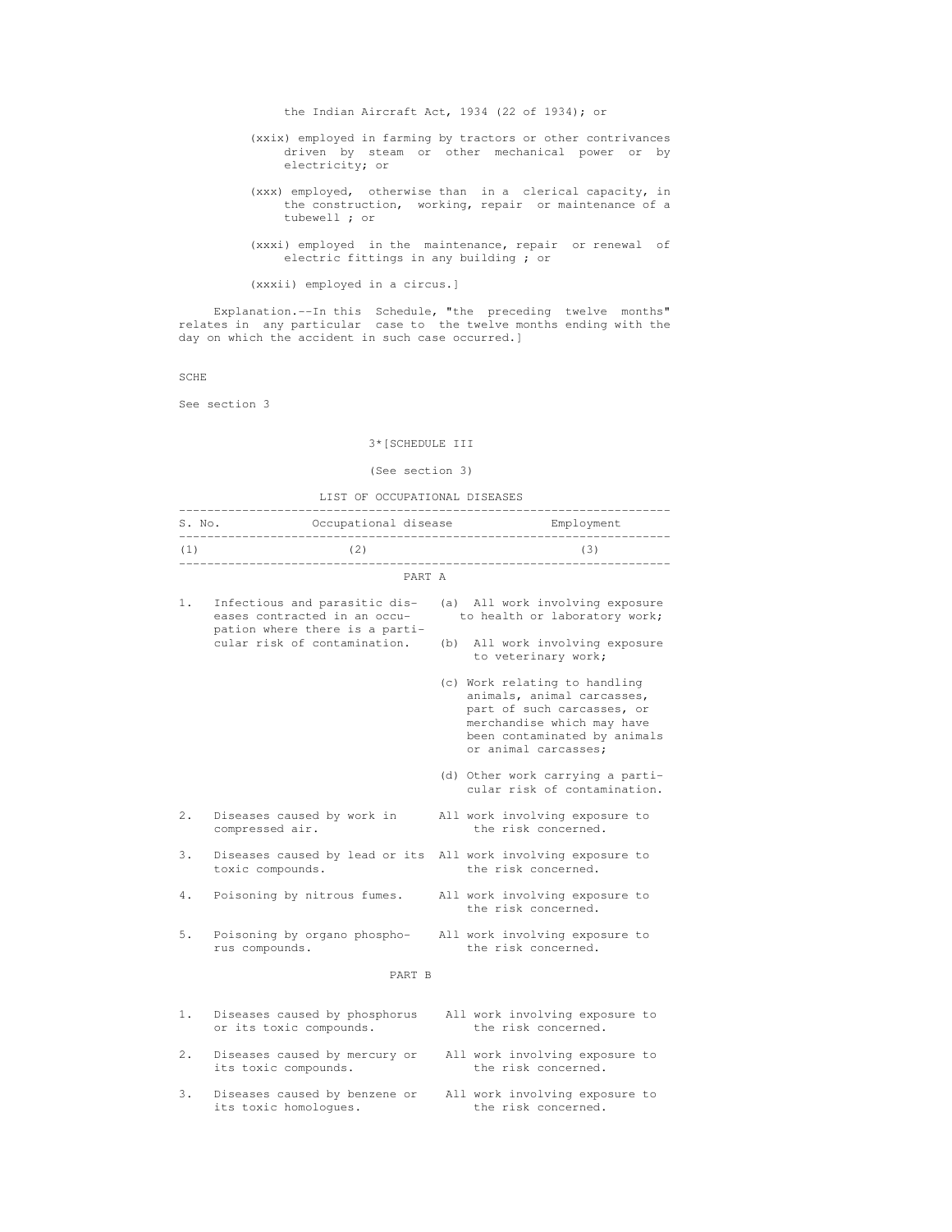the Indian Aircraft Act, 1934 (22 of 1934); or

- (xxix) employed in farming by tractors or other contrivances driven by steam or other mechanical power or by electricity; or
- (xxx) employed, otherwise than in a clerical capacity, in the construction, working, repair or maintenance of a tubewell ; or
- (xxxi) employed in the maintenance, repair or renewal of electric fittings in any building ; or

(xxxii) employed in a circus.]

 Explanation.--In this Schedule, "the preceding twelve months" relates in any particular case to the twelve months ending with the day on which the accident in such case occurred.]

SCHE

See section 3

# 3\*[SCHEDULE III

# (See section 3)

LIST OF OCCUPATIONAL DISEASES

| (1) | (2)<br>----------------------------                                                             |        | (3)<br>_________________________________                                                                                                                                        |
|-----|-------------------------------------------------------------------------------------------------|--------|---------------------------------------------------------------------------------------------------------------------------------------------------------------------------------|
|     |                                                                                                 | PART A |                                                                                                                                                                                 |
| 1.  | Infectious and parasitic dis-<br>eases contracted in an occu-<br>pation where there is a parti- |        | (a) All work involving exposure<br>to health or laboratory work;                                                                                                                |
|     | cular risk of contamination.                                                                    |        | (b) All work involving exposure<br>to veterinary work;                                                                                                                          |
|     |                                                                                                 |        | (c) Work relating to handling<br>animals, animal carcasses,<br>part of such carcasses, or<br>merchandise which may have<br>been contaminated by animals<br>or animal carcasses; |
|     |                                                                                                 |        | (d) Other work carrying a parti-<br>cular risk of contamination.                                                                                                                |
| 2.  | Diseases caused by work in<br>compressed air.                                                   |        | All work involving exposure to<br>the risk concerned.                                                                                                                           |
| 3.  | Diseases caused by lead or its All work involving exposure to<br>toxic compounds.               |        | the risk concerned.                                                                                                                                                             |
| 4.  | Poisoning by nitrous fumes.                                                                     |        | All work involving exposure to<br>the risk concerned.                                                                                                                           |
| 5.  | Poisoning by organo phospho- All work involving exposure to<br>rus compounds.                   |        | the risk concerned.                                                                                                                                                             |
|     | PART B                                                                                          |        |                                                                                                                                                                                 |
| 1.  | Diseases caused by phosphorus<br>or its toxic compounds.                                        |        | All work involving exposure to<br>the risk concerned.                                                                                                                           |
| 2.  | Diseases caused by mercury or<br>its toxic compounds.                                           |        | All work involving exposure to<br>the risk concerned.                                                                                                                           |
| 3.  | Diseases caused by benzene or<br>its toxic homologues.                                          |        | All work involving exposure to<br>the risk concerned.                                                                                                                           |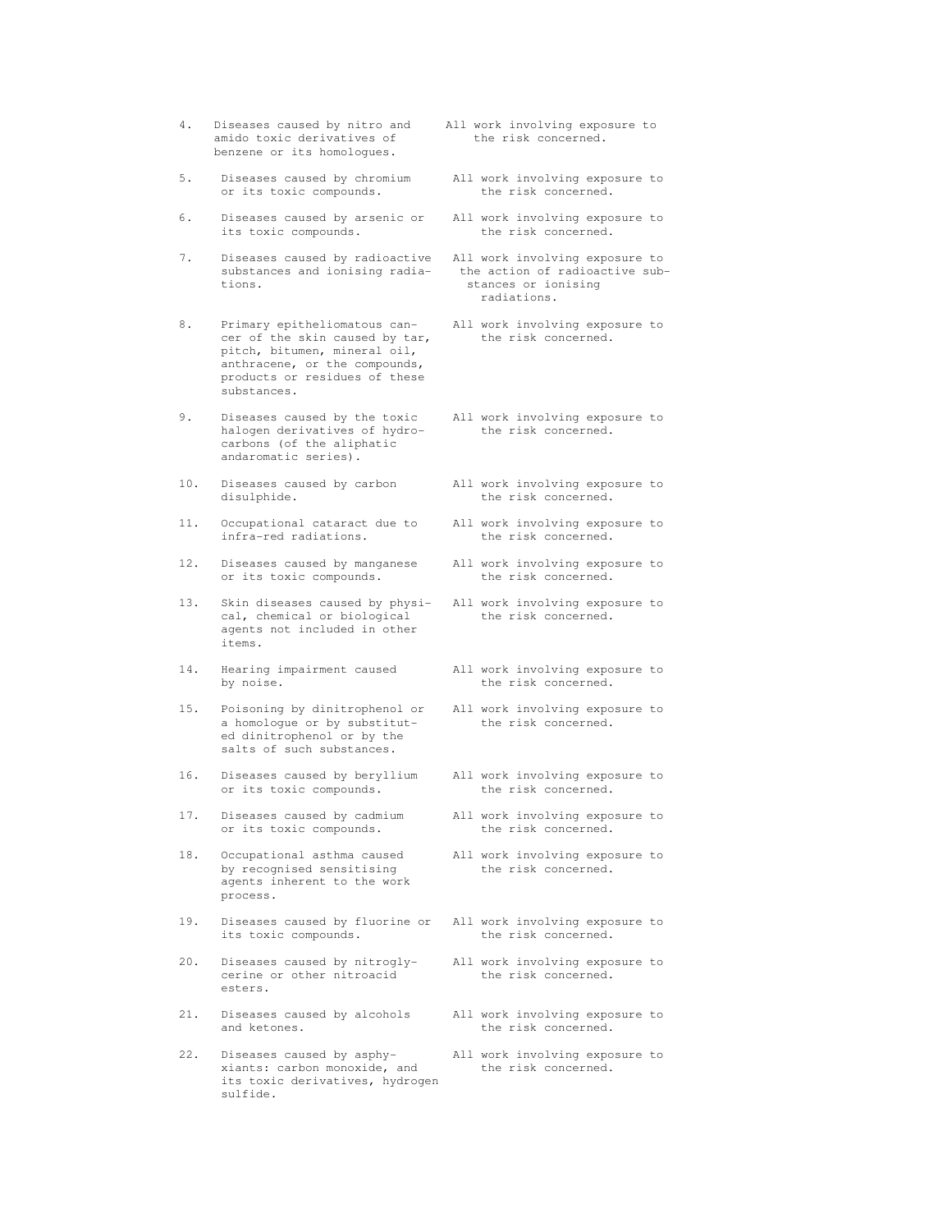- 4. Diseases caused by nitro and All work involving exposure to amido toxic derivatives of the risk concerned. benzene or its homologues.
- 5. Diseases caused by chromium All work involving exposure to or its toxic compounds. The risk concerned.
- 6. Diseases caused by arsenic or All work involving exposure to<br>its toxic compounds. the risk concerned. its toxic compounds.
- 7. Diseases caused by radioactive All work involving exposure to substances and ionising radia-<br>the action of radioactive subtions. stances or ionising
- 8. Primary epitheliomatous can-<br>
only and the skin caused by tar, the risk concerned. cer of the skin caused by tar, pitch, bitumen, mineral oil, anthracene, or the compounds, products or residues of these substances.
- 9. Diseases caused by the toxic All work involving exposure to halogen derivatives of hydro-<br>the risk concerned. carbons (of the aliphatic andaromatic series).
- 10. Diseases caused by carbon all work involving exposure to disulphide.  $\qquad$  the risk concerned.
- 11. Occupational cataract due to All work involving exposure to infra-red radiations. The risk concerned.
- 12. Diseases caused by manganese All work involving exposure to<br>or its toxic compounds. the risk concerned. or its toxic compounds.
- 13. Skin diseases caused by physi- All work involving exposure to cal, chemical or biological the risk concerned. cal, chemical or biological agents not included in other items.
- 14. Hearing impairment caused all work involving exposure to by noise.
- 15. Poisoning by dinitrophenol or All work involving exposure to a homologue or by substitut ed dinitrophenol or by the salts of such substances.
- 16. Diseases caused by beryllium All work involving exposure to or its toxic compounds. the risk concerned. or its toxic compounds.
- 17. Diseases caused by cadmium<br>
or its toxic compounds. 
the risk concerned. or its toxic compounds.
- 18. Occupational asthma caused All work involving exposure to by recognised sensitising the risk concerned. agents inherent to the work process.
- 19. Diseases caused by fluorine or All work involving exposure to its toxic compounds. The risk concerned.
- 20. Diseases caused by nitrogly- All work involving exposure to cerine or other nitroacid the risk concerned. esters.
- 21. Diseases caused by alcohols All work involving exposure to and ketones. The risk concerned.
- 22. Diseases caused by asphy-<br>xiants: carbon monoxide, and the risk concerned. xiants: carbon monoxide, and its toxic derivatives, hydrogen sulfide.
- 
- 
- 
- the action of radioactive subradiations.
- 
- 
- the risk concerned.
- 
- 
- 
- the risk concerned.
- 
- 
- 
- 
- 
- 
- 
-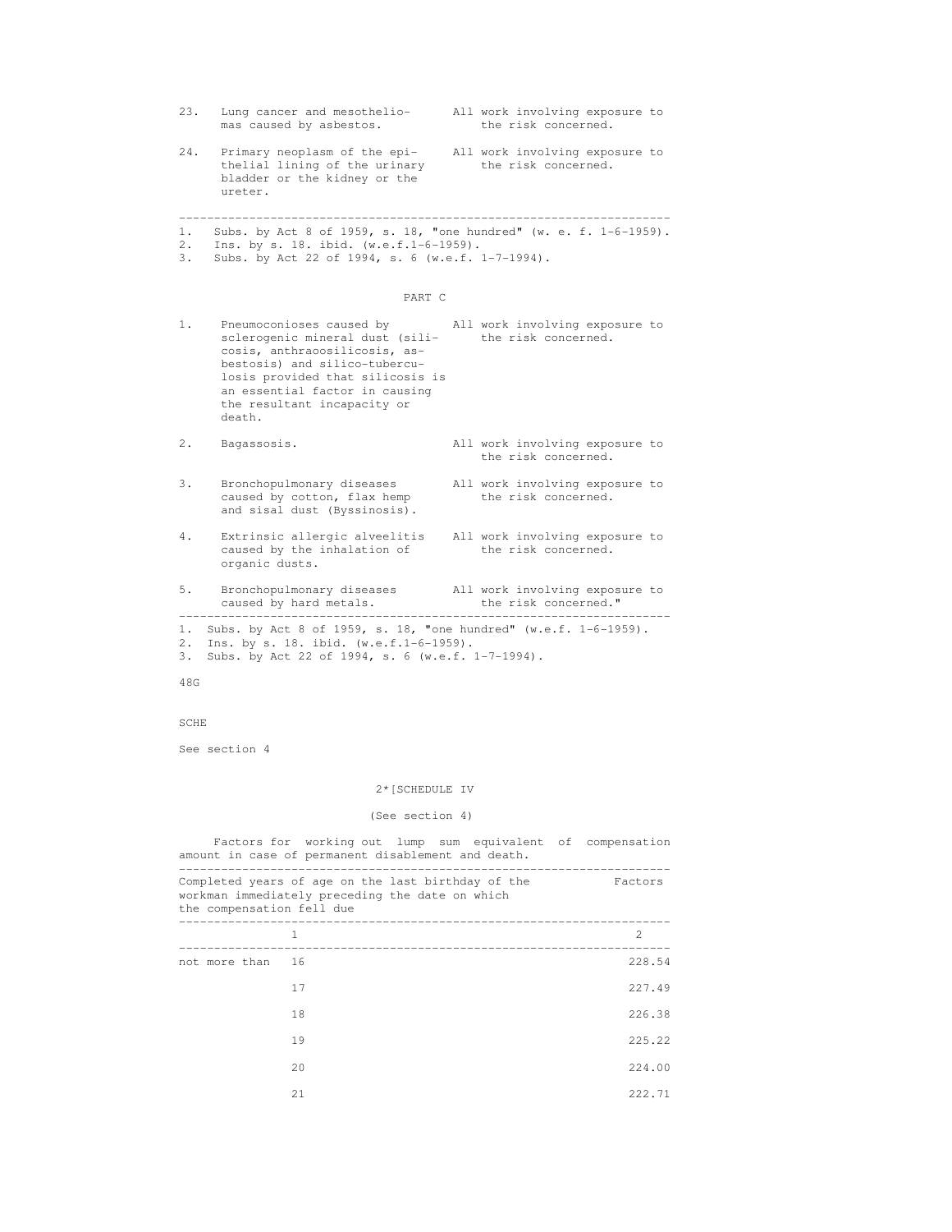| 23.            | Lung cancer and mesothelio-<br>mas caused by asbestos.                                                                                                                                                                                                           |  | All work involving exposure to<br>the risk concerned. |  |
|----------------|------------------------------------------------------------------------------------------------------------------------------------------------------------------------------------------------------------------------------------------------------------------|--|-------------------------------------------------------|--|
| 24.            | Primary neoplasm of the epi- All work involving exposure to<br>thelial lining of the urinary<br>bladder or the kidney or the<br>ureter.                                                                                                                          |  | the risk concerned.                                   |  |
| 1.<br>2.<br>3. | Subs. by Act 8 of 1959, s. 18, "one hundred" (w. e. f. 1-6-1959).<br>Ins. by s. 18. ibid. (w.e.f.1-6-1959).<br>Subs. by Act 22 of 1994, s. 6 (w.e.f. 1-7-1994).                                                                                                  |  |                                                       |  |
|                | PART C                                                                                                                                                                                                                                                           |  |                                                       |  |
| 1.             | Pneumoconioses caused by<br>sclerogenic mineral dust (sili- the risk concerned.<br>cosis, anthraoosilicosis, as-<br>bestosis) and silico-tubercu-<br>losis provided that silicosis is<br>an essential factor in causing<br>the resultant incapacity or<br>death. |  | All work involving exposure to                        |  |
| 2.             | Bagassosis.                                                                                                                                                                                                                                                      |  | All work involving exposure to<br>the risk concerned. |  |
| 3.             | Bronchopulmonary diseases<br>caused by cotton, flax hemp<br>and sisal dust (Byssinosis).                                                                                                                                                                         |  | All work involving exposure to<br>the risk concerned. |  |
| 4.             | Extrinsic allergic alveelitis All work involving exposure to<br>caused by the inhalation of<br>organic dusts.                                                                                                                                                    |  | the risk concerned.                                   |  |
| 5.             | Bronchopulmonary diseases All work involving exposure to                                                                                                                                                                                                         |  | the risk concerned."                                  |  |
| 3.<br>48G      | 1. Subs. by Act 8 of 1959, s. 18, "one hundred" (w.e.f. 1-6-1959).<br>2. Ins. by s. 18. ibid. (w.e.f.1-6-1959).<br>Subs. by Act 22 of 1994, s. 6 (w.e.f. 1-7-1994).                                                                                              |  |                                                       |  |
| SCHE           |                                                                                                                                                                                                                                                                  |  |                                                       |  |
|                | See section 4                                                                                                                                                                                                                                                    |  |                                                       |  |
|                | 2* [SCHEDULE IV                                                                                                                                                                                                                                                  |  |                                                       |  |
|                | (See section 4)                                                                                                                                                                                                                                                  |  |                                                       |  |

 Factors for working out lump sum equivalent of compensation amount in case of permanent disablement and death.

| the compensation fell due | Completed years of age on the last birthday of the<br>workman immediately preceding the date on which | Factors        |
|---------------------------|-------------------------------------------------------------------------------------------------------|----------------|
|                           | 1                                                                                                     | $\mathfrak{D}$ |
| not more than             | 16                                                                                                    | 228.54         |
|                           | 17                                                                                                    | 227.49         |
|                           | 18                                                                                                    | 226.38         |
|                           | 19                                                                                                    | 225.22         |
|                           | 2.0                                                                                                   | 224.00         |
|                           | 2.1                                                                                                   | 222.71         |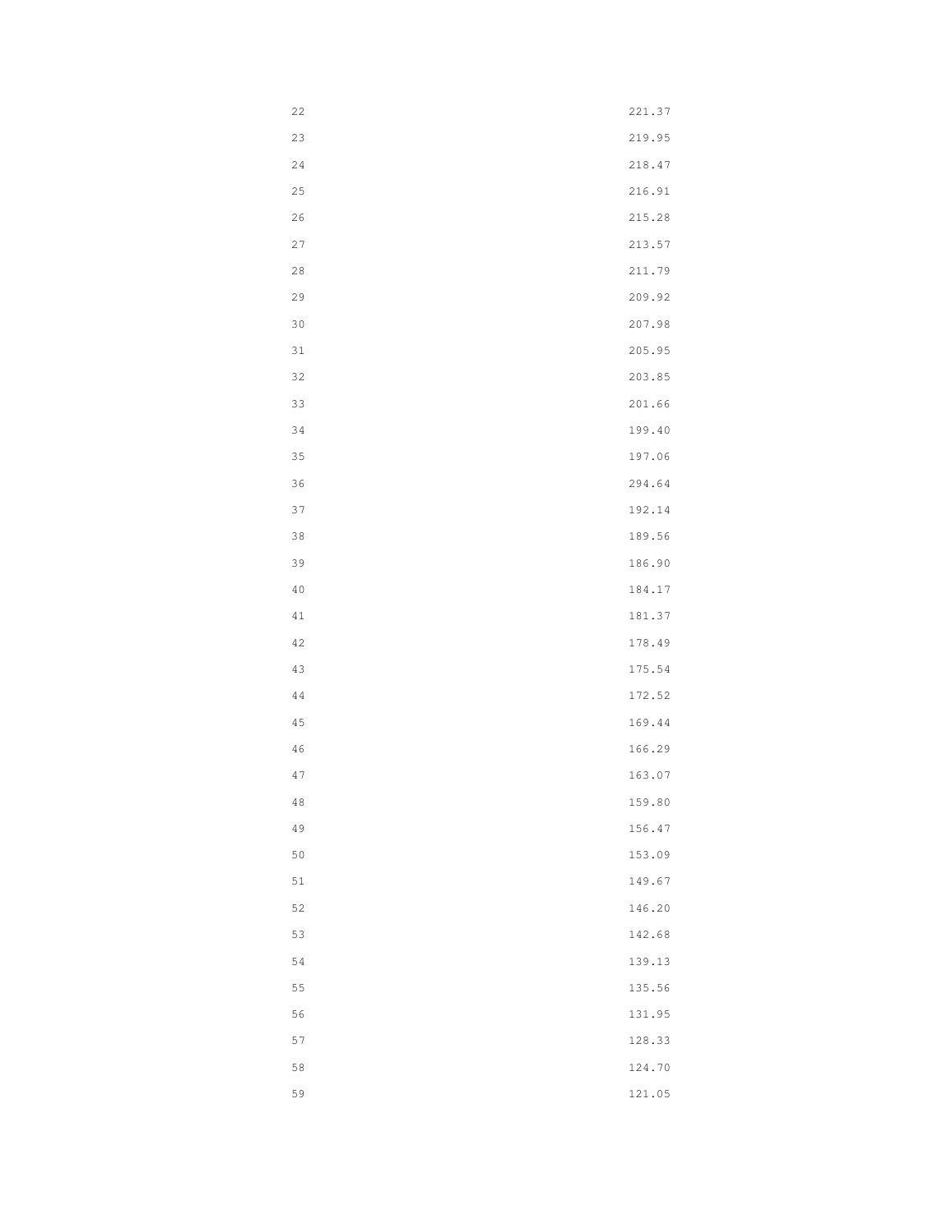| $2\sqrt{2}$ | 221.37 |
|-------------|--------|
| 23          | 219.95 |
| $2\sqrt{4}$ | 218.47 |
| 25          | 216.91 |
| 26          | 215.28 |
| $2\,7$      | 213.57 |
| $2\,8$      | 211.79 |
| 29          | 209.92 |
| $30$        | 207.98 |
| $31$        | 205.95 |
| 32          | 203.85 |
| 33          | 201.66 |
| $3\,4$      | 199.40 |
| 35          | 197.06 |
| 36          | 294.64 |
| $3\,7$      | 192.14 |
| 38          | 189.56 |
| 39          | 186.90 |
| $4\,0$      | 184.17 |
| $4\,1$      | 181.37 |
| 42          | 178.49 |
| 43          | 175.54 |
| $4\,4$      | 172.52 |
| $4\,5$      | 169.44 |
| $4\sqrt{6}$ | 166.29 |
| $4\,7$      | 163.07 |
| $4\,8$      | 159.80 |
| 49          | 156.47 |
| 50          | 153.09 |
| $5\,1$      | 149.67 |
| 52          | 146.20 |
| 53          | 142.68 |
| 54          | 139.13 |
| 55          | 135.56 |
| 56          | 131.95 |
| 57          | 128.33 |
| 58          | 124.70 |
| 59          | 121.05 |